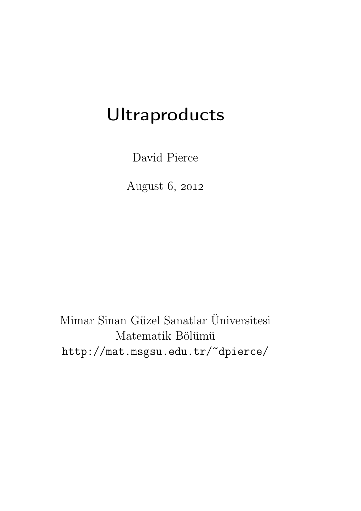# Ultraproducts

David Pierce

August 6, 2012

Mimar Sinan Güzel Sanatlar Üniversitesi Matematik Bölümü http://mat.msgsu.edu.tr/~dpierce/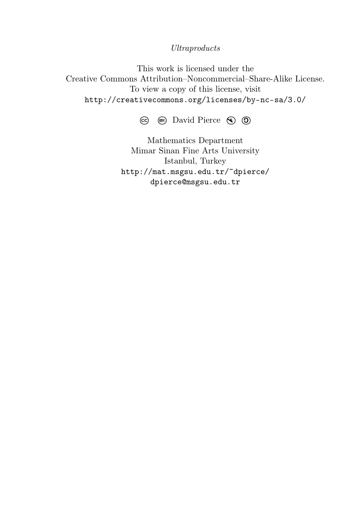#### Ultraproducts

This work is licensed under the Creative Commons Attribution–Noncommercial–Share-Alike License. To view a copy of this license, visit http://creativecommons.org/licenses/by-nc-sa/3.0/

**CC BY:** David Pierce **\$ \ <sup>C</sup>**

Mathematics Department Mimar Sinan Fine Arts University Istanbul, Turkey http://mat.msgsu.edu.tr/~dpierce/ dpierce@msgsu.edu.tr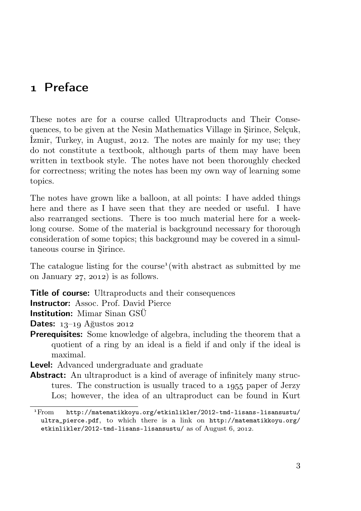# Preface

These notes are for a course called Ultraproducts and Their Consequences, to be given at the Nesin Mathematics Village in Şirince, Selçuk, Izmir, Turkey, in August, 2012. The notes are mainly for my use; they do not constitute a textbook, although parts of them may have been written in textbook style. The notes have not been thoroughly checked for correctness; writing the notes has been my own way of learning some topics.

The notes have grown like a balloon, at all points: I have added things here and there as I have seen that they are needed or useful. I have also rearranged sections. There is too much material here for a weeklong course. Some of the material is background necessary for thorough consideration of some topics; this background may be covered in a simultaneous course in Şirince.

The catalogue listing for the course (with abstract as submitted by me on January  $27$ ,  $2012$ ) is as follows.

**Title of course:** Ultraproducts and their consequences

**Instructor:** Assoc. Prof. David Pierce

Institution: Mimar Sinan GSÜ

Dates:  $13-19$  Ağustos 2012

**Prerequisites:** Some knowledge of algebra, including the theorem that a quotient of a ring by an ideal is a field if and only if the ideal is maximal.

Level: Advanced undergraduate and graduate

Abstract: An ultraproduct is a kind of average of infinitely many structures. The construction is usually traced to a 1955 paper of Jerzy Los; however, the idea of an ultraproduct can be found in Kurt

From http://matematikkoyu.org/etkinlikler/2012-tmd-lisans-lisansustu/ ultra\_pierce.pdf, to which there is a link on http://matematikkoyu.org/ etkinlikler/2012-tmd-lisans-lisansustu/ as of August  $6, 2012$ .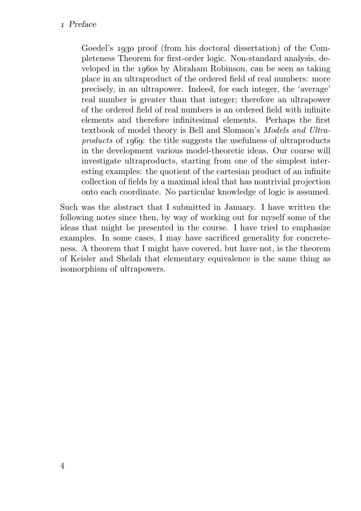#### Preface

Goedel's 1930 proof (from his doctoral dissertation) of the Completeness Theorem for first-order logic. Non-standard analysis, developed in the 1960s by Abraham Robinson, can be seen as taking place in an ultraproduct of the ordered field of real numbers: more precisely, in an ultrapower. Indeed, for each integer, the 'average' real number is greater than that integer; therefore an ultrapower of the ordered field of real numbers is an ordered field with infinite elements and therefore infinitesimal elements. Perhaps the first textbook of model theory is Bell and Slomson's Models and Ultraproducts of 1969: the title suggests the usefulness of ultraproducts in the development various model-theoretic ideas. Our course will investigate ultraproducts, starting from one of the simplest interesting examples: the quotient of the cartesian product of an infinite collection of fields by a maximal ideal that has nontrivial projection onto each coordinate. No particular knowledge of logic is assumed.

Such was the abstract that I submitted in January. I have written the following notes since then, by way of working out for myself some of the ideas that might be presented in the course. I have tried to emphasize examples. In some cases, I may have sacrificed generality for concreteness. A theorem that I might have covered, but have not, is the theorem of Keisler and Shelah that elementary equivalence is the same thing as isomorphism of ultrapowers.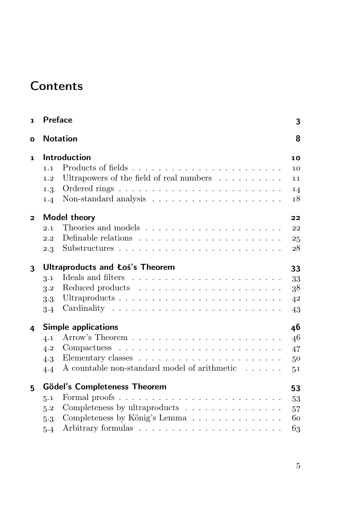# **Contents**

| $\mathbf{1}$            | <b>Preface</b>                                                                      | 3           |
|-------------------------|-------------------------------------------------------------------------------------|-------------|
| O                       | <b>Notation</b>                                                                     | 8           |
| 1                       | <b>Introduction</b>                                                                 | 10          |
|                         | 1.1                                                                                 | 10          |
|                         | Ultrapowers of the field of real numbers<br>1.2                                     | 11          |
|                         | 1.3                                                                                 | 14          |
|                         | 1.4                                                                                 | 18          |
| $\overline{\mathbf{c}}$ | Model theory                                                                        | 22          |
|                         | 2.1                                                                                 | 22          |
|                         | 2.2                                                                                 | 25          |
|                         | 2.3                                                                                 | 28          |
| 3                       | Ultraproducts and Łoś's Theorem                                                     | 33          |
|                         | 3.1                                                                                 | 33          |
|                         | 3.2                                                                                 | 38          |
|                         | $3-3$                                                                               | $4^{\rm 2}$ |
|                         | 3.4                                                                                 | 43          |
| 4                       | <b>Simple applications</b>                                                          | 46          |
|                         | 4.1                                                                                 | 46          |
|                         | $Compactness \ldots \ldots \ldots \ldots \ldots \ldots \ldots \ldots \ldots$<br>4.2 | 47          |
|                         | 4.3                                                                                 | 50          |
|                         | A countable non-standard model of arithmetic $\dots \dots$<br>4.4                   | 51          |
| 5                       | <b>Gödel's Completeness Theorem</b>                                                 | 53          |
|                         | 5.1                                                                                 | 53          |
|                         | Completeness by ultraproducts<br>5.2                                                | 57          |
|                         | Completeness by König's Lemma<br>5.3                                                | 60          |
|                         | 5.4                                                                                 | 63          |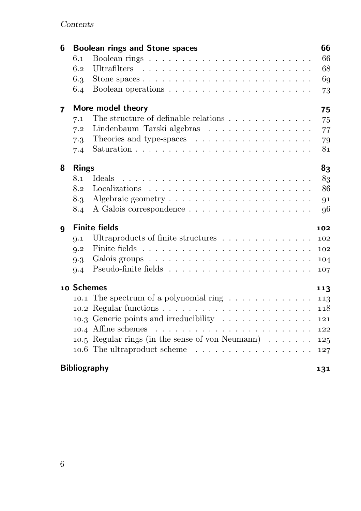# Contents

| 6                       |                     | <b>Boolean rings and Stone spaces</b>                                                      | 66  |  |  |  |
|-------------------------|---------------------|--------------------------------------------------------------------------------------------|-----|--|--|--|
|                         | 6.1                 |                                                                                            | 66  |  |  |  |
|                         | 6.2                 |                                                                                            | 68  |  |  |  |
|                         | 6.3                 | Stone spaces $\ldots \ldots \ldots \ldots \ldots \ldots \ldots \ldots \ldots$              | 69  |  |  |  |
|                         | 6.4                 |                                                                                            | 73  |  |  |  |
| $\overline{\mathbf{r}}$ |                     | More model theory                                                                          | 75  |  |  |  |
|                         | 7.1                 | The structure of definable relations $\ldots \ldots \ldots \ldots$                         | 75  |  |  |  |
|                         | 7.2                 | Lindenbaum-Tarski algebras                                                                 | 77  |  |  |  |
|                         | 7.3                 | Theories and type-spaces                                                                   | 79  |  |  |  |
|                         | 7.4                 |                                                                                            | 81  |  |  |  |
| 8                       | <b>Rings</b>        |                                                                                            | 83  |  |  |  |
|                         | 8.1                 | <b>I</b> deals                                                                             | 83  |  |  |  |
|                         | 8.2                 |                                                                                            | 86  |  |  |  |
|                         | 8.3                 | Algebraic geometry $\ldots$ $\ldots$ $\ldots$ $\ldots$ $\ldots$ $\ldots$ $\ldots$ $\ldots$ | 91  |  |  |  |
|                         | 8.4                 |                                                                                            | 96  |  |  |  |
| 9                       |                     | <b>Finite fields</b>                                                                       | 102 |  |  |  |
|                         | Q.1                 | Ultraproducts of finite structures                                                         | 102 |  |  |  |
|                         | 9.2                 |                                                                                            | 102 |  |  |  |
|                         | 9.3                 |                                                                                            | 104 |  |  |  |
|                         | 9.4                 |                                                                                            | 107 |  |  |  |
|                         | 10 Schemes          |                                                                                            | 113 |  |  |  |
|                         |                     | 10.1 The spectrum of a polynomial ring $\ldots \ldots \ldots \ldots$                       | 113 |  |  |  |
|                         |                     |                                                                                            | 118 |  |  |  |
|                         |                     | 10.3 Generic points and irreducibility                                                     | 121 |  |  |  |
|                         |                     |                                                                                            | 122 |  |  |  |
|                         |                     | 10.5 Regular rings (in the sense of von Neumann) $\ldots \ldots$                           | 125 |  |  |  |
|                         |                     |                                                                                            | 127 |  |  |  |
|                         | <b>Bibliography</b> |                                                                                            |     |  |  |  |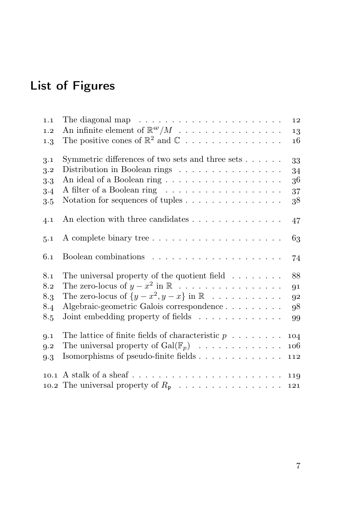# List of Figures

| The diagonal map $\ldots \ldots \ldots \ldots \ldots \ldots \ldots$                | 12                                                                                                                                                             |
|------------------------------------------------------------------------------------|----------------------------------------------------------------------------------------------------------------------------------------------------------------|
| An infinite element of $\mathbb{R}^{\omega}/M \dots \dots \dots \dots \dots \dots$ | 13                                                                                                                                                             |
| The positive cones of $\mathbb{R}^2$ and $\mathbb{C}$                              | 16                                                                                                                                                             |
| Symmetric differences of two sets and three sets                                   | 33                                                                                                                                                             |
| Distribution in Boolean rings                                                      | 34                                                                                                                                                             |
|                                                                                    | 36                                                                                                                                                             |
|                                                                                    | 37                                                                                                                                                             |
|                                                                                    | 38                                                                                                                                                             |
| An election with three candidates $\dots \dots \dots \dots \dots$                  | 47                                                                                                                                                             |
|                                                                                    | 63                                                                                                                                                             |
|                                                                                    | 74                                                                                                                                                             |
| The universal property of the quotient field $\ldots \ldots$                       | 88                                                                                                                                                             |
|                                                                                    | 91                                                                                                                                                             |
| The zero-locus of $\{y - x^2, y - x\}$ in $\mathbb R$                              | 92                                                                                                                                                             |
| Algebraic-geometric Galois correspondence                                          | 98                                                                                                                                                             |
| Joint embedding property of fields                                                 | 99                                                                                                                                                             |
| The lattice of finite fields of characteristic $p \ldots \ldots$                   |                                                                                                                                                                |
|                                                                                    |                                                                                                                                                                |
|                                                                                    |                                                                                                                                                                |
|                                                                                    |                                                                                                                                                                |
|                                                                                    |                                                                                                                                                                |
|                                                                                    | The zero-locus of $y - x^2$ in $\mathbb R$<br>104<br>The universal property of $Gal(\mathbb{F}_p) \longrightarrow \cdots \longrightarrow \cdots$<br>106<br>112 |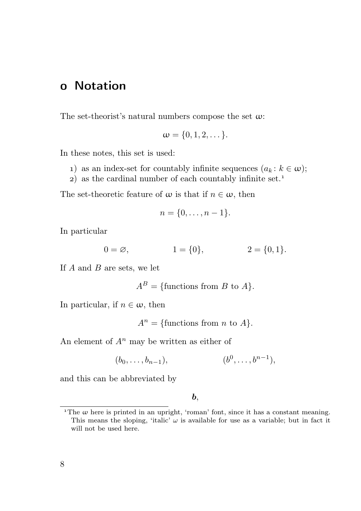# Notation

The set-theorist's natural numbers compose the set  $\omega$ :

$$
\omega=\{0,1,2,\dots\}.
$$

In these notes, this set is used:

- 1) as an index-set for countably infinite sequences  $(a_k : k \in \omega)$ ;
- $2)$  as the cardinal number of each countably infinite set.<sup>1</sup>

The set-theoretic feature of  $\omega$  is that if  $n \in \omega$ , then

$$
n=\{0,\ldots,n-1\}.
$$

In particular

$$
0 = \varnothing, \qquad \qquad 1 = \{0\}, \qquad \qquad 2 = \{0, 1\}.
$$

If  $A$  and  $B$  are sets, we let

$$
A^B = \{\text{functions from } B \text{ to } A\}.
$$

In particular, if  $n \in \omega$ , then

 $A^n = \{\text{functions from } n \text{ to } A\}.$ 

An element of  $A^n$  may be written as either of

$$
(b_0, \ldots, b_{n-1}),
$$
  $(b^0, \ldots, b^{n-1}),$ 

and this can be abbreviated by

b,

<sup>&</sup>lt;sup>1</sup>The  $\omega$  here is printed in an upright, 'roman' font, since it has a constant meaning. This means the sloping, 'italic'  $\omega$  is available for use as a variable; but in fact it will not be used here.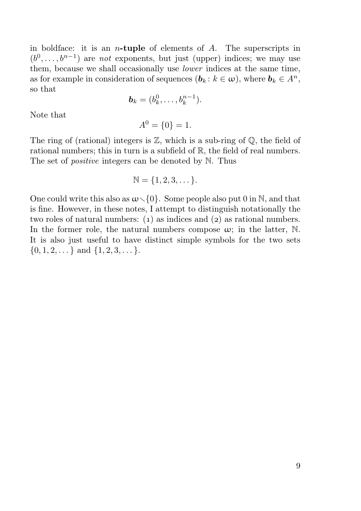in boldface: it is an *n*-tuple of elements of  $A$ . The superscripts in  $(b^0, \ldots, b^{n-1})$  are not exponents, but just (upper) indices; we may use them, because we shall occasionally use lower indices at the same time, as for example in consideration of sequences  $(b_k : k \in \omega)$ , where  $b_k \in A^n$ , so that

$$
\boldsymbol{b}_k=(b_k^0,\ldots,b_k^{n-1}).
$$

Note that

$$
A^0 = \{0\} = 1.
$$

The ring of (rational) integers is  $\mathbb{Z}$ , which is a sub-ring of  $\mathbb{Q}$ , the field of rational numbers; this in turn is a subfield of  $\mathbb{R}$ , the field of real numbers. The set of *positive* integers can be denoted by N. Thus

$$
\mathbb{N} = \{1, 2, 3, \dots\}.
$$

One could write this also as  $\omega \setminus \{0\}$ . Some people also put 0 in N, and that is fine. However, in these notes, I attempt to distinguish notationally the two roles of natural numbers:  $(1)$  as indices and  $(2)$  as rational numbers. In the former role, the natural numbers compose  $\omega$ ; in the latter, N. It is also just useful to have distinct simple symbols for the two sets  $\{0, 1, 2, \ldots\}$  and  $\{1, 2, 3, \ldots\}$ .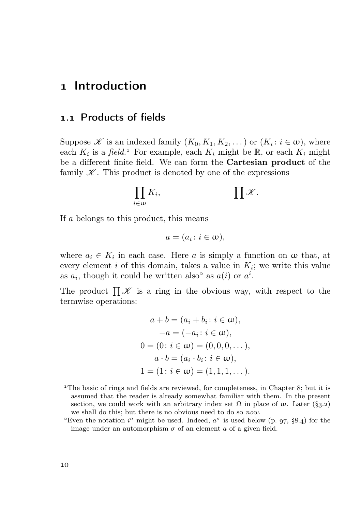# 1 Introduction

## . Products of fields

Suppose  $\mathscr K$  is an indexed family  $(K_0, K_1, K_2, \dots)$  or  $(K_i : i \in \omega)$ , where each  $K_i$  is a *field*.<sup>1</sup> For example, each  $K_i$  might be  $\mathbb{R}$ , or each  $K_i$  might be a different finite field. We can form the Cartesian product of the family  $\mathscr K$ . This product is denoted by one of the expressions

$$
\prod_{i\in\omega}K_i,\qquad\qquad\prod\mathscr{K}.
$$

If a belongs to this product, this means

$$
a=(a_i\colon i\in\omega),
$$

where  $a_i \in K_i$  in each case. Here a is simply a function on  $\omega$  that, at every element  $i$  of this domain, takes a value in  $K_i$ ; we write this value as  $a_i$ , though it could be written also<sup>2</sup> as  $a(i)$  or  $a^i$ .

The product  $\prod \mathscr{K}$  is a ring in the obvious way, with respect to the termwise operations:

$$
a + b = (a_i + b_i : i \in \omega),
$$
  
\n
$$
-a = (-a_i : i \in \omega),
$$
  
\n
$$
0 = (0 : i \in \omega) = (0, 0, 0, ...),
$$
  
\n
$$
a \cdot b = (a_i \cdot b_i : i \in \omega),
$$
  
\n
$$
1 = (1 : i \in \omega) = (1, 1, 1, ...).
$$

<sup>&</sup>lt;sup>1</sup>The basic of rings and fields are reviewed, for completeness, in Chapter 8; but it is assumed that the reader is already somewhat familiar with them. In the present section, we could work with an arbitrary index set  $\Omega$  in place of  $\omega$ . Later (§3.2) we shall do this; but there is no obvious need to do so now.

<sup>&</sup>lt;sup>2</sup>Even the notation  $i^a$  might be used. Indeed,  $a^{\sigma}$  is used below (p. 97, §8.4) for the image under an automorphism  $\sigma$  of an element a of a given field.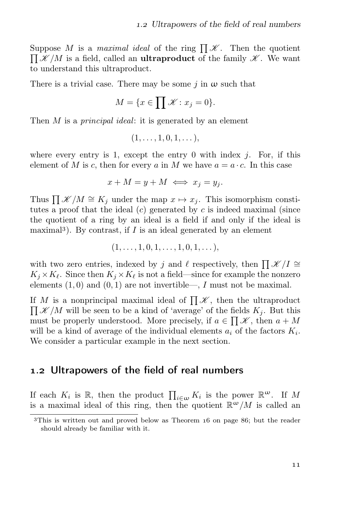Suppose M is a *maximal ideal* of the ring  $\prod \mathscr{K}$ . Then the quotient  $\prod \mathscr{K}/M$  is a field, called an **ultraproduct** of the family  $\mathscr{K}$ . We want to understand this ultraproduct.

There is a trivial case. There may be some j in  $\omega$  such that

$$
M = \{ x \in \prod \mathcal{K} : x_j = 0 \}.
$$

Then M is a *principal ideal*: it is generated by an element

$$
(1,\ldots,1,0,1,\ldots),
$$

where every entry is 1, except the entry 0 with index  $i$ . For, if this element of M is c, then for every a in M we have  $a = a \cdot c$ . In this case

$$
x + M = y + M \iff x_j = y_j.
$$

Thus  $\prod \mathscr{K}/M \cong K_j$  under the map  $x \mapsto x_j$ . This isomorphism constitutes a proof that the ideal  $(c)$  generated by c is indeed maximal (since the quotient of a ring by an ideal is a field if and only if the ideal is maximal<sup>3</sup>). By contrast, if  $I$  is an ideal generated by an element

$$
(1, \ldots, 1, 0, 1, \ldots, 1, 0, 1, \ldots),
$$

with two zero entries, indexed by j and  $\ell$  respectively, then  $\prod \mathscr{K}/I \cong$  $K_j \times K_\ell$ . Since then  $K_j \times K_\ell$  is not a field—since for example the nonzero elements  $(1,0)$  and  $(0,1)$  are not invertible—, I must not be maximal.

If M is a nonprincipal maximal ideal of  $\prod \mathscr{K}$ , then the ultraproduct  $\prod \mathscr{K}/M$  will be seen to be a kind of 'average' of the fields  $K_j$ . But this must be properly understood. More precisely, if  $a \in \prod \mathscr{K}$ , then  $a + M$ will be a kind of average of the individual elements  $a_i$  of the factors  $K_i$ . We consider a particular example in the next section.

## 1.2 Ultrapowers of the field of real numbers

If each  $K_i$  is  $\mathbb{R}$ , then the product  $\prod_{i\in\omega}K_i$  is the power  $\mathbb{R}^{\omega}$ . If M is a maximal ideal of this ring, then the quotient  $\mathbb{R}^{\omega}/M$  is called an

 $3$ This is written out and proved below as Theorem  $16$  on page 86; but the reader should already be familiar with it.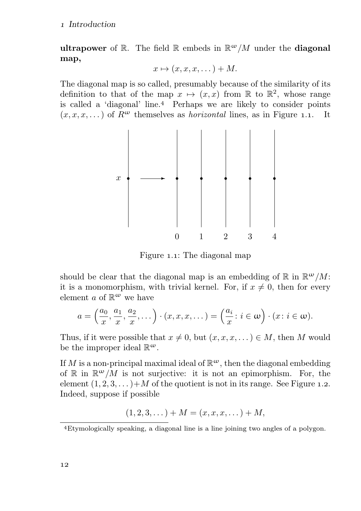ultrapower of R. The field R embeds in  $\mathbb{R}^{\omega}/M$  under the diagonal map,

$$
x \mapsto (x, x, x, \dots) + M.
$$

The diagonal map is so called, presumably because of the similarity of its definition to that of the map  $x \mapsto (x, x)$  from  $\mathbb{R}$  to  $\mathbb{R}^2$ , whose range is called a 'diagonal' line.<sup>4</sup> Perhaps we are likely to consider points  $(x, x, x, ...)$  of  $R^{\omega}$  themselves as *horizontal* lines, as in Figure 1.1. It



Figure 1.1: The diagonal map

should be clear that the diagonal map is an embedding of  $\mathbb R$  in  $\mathbb R^{\omega}/M$ : it is a monomorphism, with trivial kernel. For, if  $x \neq 0$ , then for every element a of  $\mathbb{R}^{\omega}$  we have

$$
a = \left(\frac{a_0}{x}, \frac{a_1}{x}, \frac{a_2}{x}, \dots\right) \cdot (x, x, x, \dots) = \left(\frac{a_i}{x} : i \in \omega\right) \cdot (x : i \in \omega).
$$

Thus, if it were possible that  $x \neq 0$ , but  $(x, x, x, ...) \in M$ , then M would be the improper ideal  $\mathbb{R}^{\omega}$ .

If M is a non-principal maximal ideal of  $\mathbb{R}^{\omega}$ , then the diagonal embedding of  $\mathbb R$  in  $\mathbb R^{\omega}/M$  is not surjective: it is not an epimorphism. For, the element  $(1, 2, 3, ...)$  of the quotient is not in its range. See Figure 1.2. Indeed, suppose if possible

$$
(1, 2, 3, \dots) + M = (x, x, x, \dots) + M,
$$

Etymologically speaking, a diagonal line is a line joining two angles of a polygon.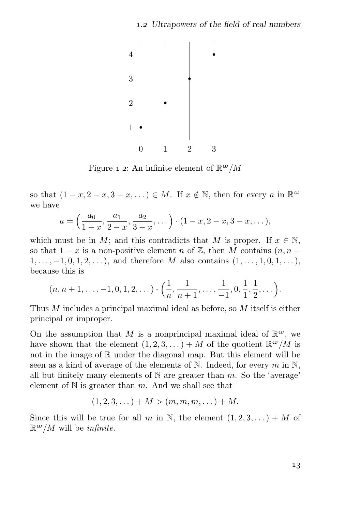

Figure 1.2: An infinite element of  $\mathbb{R}^{\omega}/M$ 

so that  $(1-x, 2-x, 3-x, ...) \in M$ . If  $x \notin \mathbb{N}$ , then for every a in  $\mathbb{R}^{\omega}$ we have

$$
a = \left(\frac{a_0}{1-x}, \frac{a_1}{2-x}, \frac{a_2}{3-x}, \dots\right) \cdot (1-x, 2-x, 3-x, \dots),
$$

which must be in M; and this contradicts that M is proper. If  $x \in \mathbb{N}$ , so that  $1-x$  is a non-positive element n of  $\mathbb{Z}$ , then M contains  $(n, n + 1)$  $1, \ldots, -1, 0, 1, 2, \ldots$ , and therefore M also contains  $(1, \ldots, 1, 0, 1, \ldots)$ , because this is

$$
(n, n+1, \ldots, -1, 0, 1, 2, \ldots) \cdot \left(\frac{1}{n}, \frac{1}{n+1}, \ldots, \frac{1}{-1}, 0, \frac{1}{1}, \frac{1}{2}, \ldots\right).
$$

Thus M includes a principal maximal ideal as before, so M itself is either principal or improper.

On the assumption that M is a nonprincipal maximal ideal of  $\mathbb{R}^{\omega}$ , we have shown that the element  $(1, 2, 3, ...) + M$  of the quotient  $\mathbb{R}^{\omega}/M$  is not in the image of R under the diagonal map. But this element will be seen as a kind of average of the elements of N. Indeed, for every  $m$  in N, all but finitely many elements of  $\mathbb N$  are greater than  $m$ . So the 'average' element of  $N$  is greater than m. And we shall see that

$$
(1,2,3,...) + M > (m, m, m,...) + M.
$$

Since this will be true for all m in N, the element  $(1, 2, 3, ...) + M$  of  $\mathbb{R}^{\omega}/M$  will be *infinite*.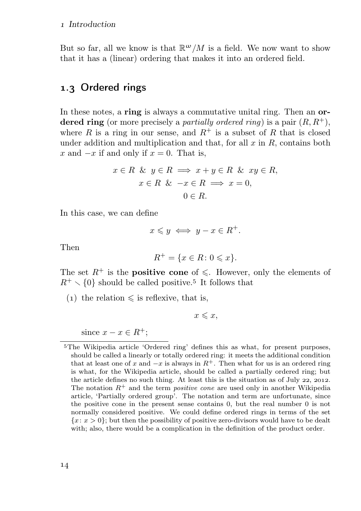But so far, all we know is that  $\mathbb{R}^{\omega}/M$  is a field. We now want to show that it has a (linear) ordering that makes it into an ordered field.

# 1.3 Ordered rings

In these notes, a ring is always a commutative unital ring. Then an ordered ring (or more precisely a *partially ordered ring*) is a pair  $(R, R^+)$ , where R is a ring in our sense, and  $R^+$  is a subset of R that is closed under addition and multiplication and that, for all  $x$  in  $R$ , contains both x and  $-x$  if and only if  $x = 0$ . That is,

$$
x \in R \& y \in R \implies x + y \in R \& xy \in R,
$$
\n
$$
x \in R \& -x \in R \implies x = 0,
$$
\n
$$
0 \in R.
$$

In this case, we can define

$$
x \leqslant y \iff y - x \in R^+.
$$

Then

$$
R^+ = \{ x \in R \colon 0 \leqslant x \}.
$$

The set  $R^+$  is the **positive cone** of  $\leq$ . However, only the elements of  $R^+ \setminus \{0\}$  should be called positive.<sup>5</sup> It follows that

(1) the relation  $\leq$  is reflexive, that is,

 $x \leqslant x$ ,

since  $x - x \in R^+$ ;

The Wikipedia article 'Ordered ring' defines this as what, for present purposes, should be called a linearly or totally ordered ring: it meets the additional condition that at least one of x and  $-x$  is always in  $R^+$ . Then what for us is an ordered ring is what, for the Wikipedia article, should be called a partially ordered ring; but the article defines no such thing. At least this is the situation as of July  $22$ ,  $2012$ . The notation  $R^+$  and the term *positive cone* are used only in another Wikipedia article, 'Partially ordered group'. The notation and term are unfortunate, since the positive cone in the present sense contains 0, but the real number 0 is not normally considered positive. We could define ordered rings in terms of the set  ${x: x > 0}$ ; but then the possibility of positive zero-divisors would have to be dealt with; also, there would be a complication in the definition of the product order.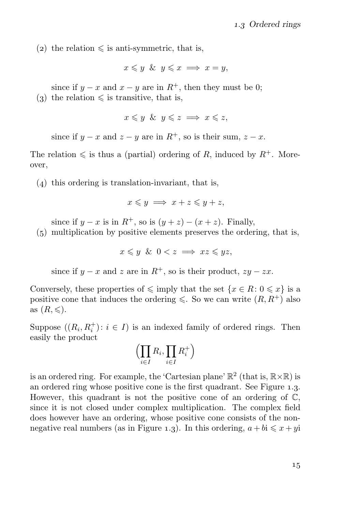(2) the relation  $\leq$  is anti-symmetric, that is,

$$
x \leq y \And y \leq x \implies x = y,
$$

since if  $y - x$  and  $x - y$  are in  $R^+$ , then they must be 0;

(3) the relation  $\leq$  is transitive, that is,

 $x \leq y \& y \leq z \implies x \leq z$ 

since if  $y - x$  and  $z - y$  are in  $R^+$ , so is their sum,  $z - x$ .

The relation  $\leq$  is thus a (partial) ordering of R, induced by  $R^+$ . Moreover,

 $(4)$  this ordering is translation-invariant, that is,

$$
x \leqslant y \implies x + z \leqslant y + z,
$$

since if  $y - x$  is in  $R^+$ , so is  $(y + z) - (x + z)$ . Finally,

 $(5)$  multiplication by positive elements preserves the ordering, that is,

$$
x \leq y \And 0 < z \implies xz \leq yz,
$$

since if  $y - x$  and z are in  $R^+$ , so is their product,  $zy - zx$ .

Conversely, these properties of  $\leq$  imply that the set  $\{x \in R : 0 \leq x\}$  is a positive cone that induces the ordering  $\leq$ . So we can write  $(R, R^+)$  also as  $(R, \leqslant)$ .

Suppose  $((R_i, R_i^+) : i \in I)$  is an indexed family of ordered rings. Then easily the product

$$
\left(\prod_{i\in I} R_i, \prod_{i\in I} R_i^+\right)
$$

is an ordered ring. For example, the 'Cartesian plane'  $\mathbb{R}^2$  (that is,  $\mathbb{R} \times \mathbb{R}$ ) is an ordered ring whose positive cone is the first quadrant. See Figure 1.3. However, this quadrant is not the positive cone of an ordering of  $\mathbb{C}$ , since it is not closed under complex multiplication. The complex field does however have an ordering, whose positive cone consists of the nonnegative real numbers (as in Figure 1.3). In this ordering,  $a + bi \leq x + yi$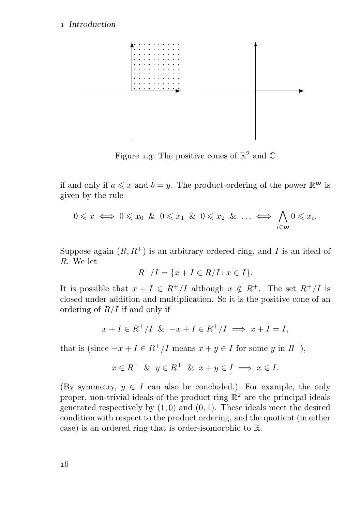#### Introduction



Figure 1.3: The positive cones of  $\mathbb{R}^2$  and  $\mathbb{C}$ 

if and only if  $a \leq x$  and  $b = y$ . The product-ordering of the power  $\mathbb{R}^{\omega}$  is given by the rule

$$
0 \leq x \iff 0 \leq x_0 \And 0 \leq x_1 \And 0 \leq x_2 \And \dots \iff \bigwedge_{i \in \omega} 0 \leq x_i.
$$

Suppose again  $(R, R^+)$  is an arbitrary ordered ring, and I is an ideal of R. We let

$$
R^{+}/I = \{x + I \in R/I : x \in I\}.
$$

It is possible that  $x + I \in R^+/I$  although  $x \notin R^+$ . The set  $R^+/I$  is closed under addition and multiplication. So it is the positive cone of an ordering of  $R/I$  if and only if

$$
x + I \in R^+/I \& -x + I \in R^+/I \implies x + I = I,
$$

that is (since  $-x + I \in R^+/I$  means  $x + y \in I$  for some y in  $R^+$ ),

$$
x \in R^+ \& y \in R^+ \& x + y \in I \implies x \in I.
$$

(By symmetry,  $y \in I$  can also be concluded.) For example, the only proper, non-trivial ideals of the product ring  $\mathbb{R}^2$  are the principal ideals generated respectively by  $(1,0)$  and  $(0,1)$ . These ideals meet the desired condition with respect to the product ordering, and the quotient (in either case) is an ordered ring that is order-isomorphic to R.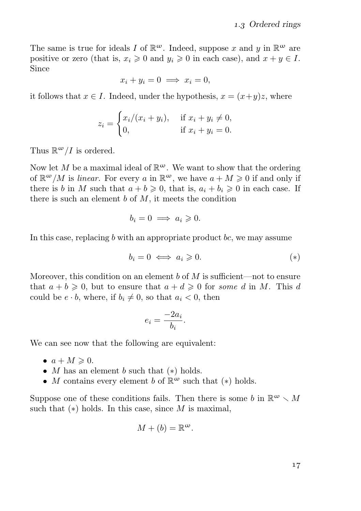The same is true for ideals I of  $\mathbb{R}^{\omega}$ . Indeed, suppose x and y in  $\mathbb{R}^{\omega}$  are positive or zero (that is,  $x_i \geq 0$  and  $y_i \geq 0$  in each case), and  $x + y \in I$ . Since

$$
x_i + y_i = 0 \implies x_i = 0,
$$

it follows that  $x \in I$ . Indeed, under the hypothesis,  $x = (x+y)z$ , where

$$
z_i = \begin{cases} x_i/(x_i + y_i), & \text{if } x_i + y_i \neq 0, \\ 0, & \text{if } x_i + y_i = 0. \end{cases}
$$

Thus  $\mathbb{R}^{\omega}/I$  is ordered.

Now let M be a maximal ideal of  $\mathbb{R}^{\omega}$ . We want to show that the ordering of  $\mathbb{R}^{\omega}/M$  is *linear*. For every a in  $\mathbb{R}^{\omega}$ , we have  $a + M \geq 0$  if and only if there is b in M such that  $a + b \geq 0$ , that is,  $a_i + b_i \geq 0$  in each case. If there is such an element  $b$  of  $M$ , it meets the condition

$$
b_i = 0 \implies a_i \geqslant 0.
$$

In this case, replacing  $b$  with an appropriate product  $bc$ , we may assume

$$
b_i = 0 \iff a_i \geqslant 0. \tag{*}
$$

Moreover, this condition on an element b of  $M$  is sufficient—not to ensure that  $a + b \geq 0$ , but to ensure that  $a + d \geq 0$  for some d in M. This d could be  $e \cdot b$ , where, if  $b_i \neq 0$ , so that  $a_i < 0$ , then

$$
e_i = \frac{-2a_i}{b_i}.
$$

We can see now that the following are equivalent:

- $a + M \geqslant 0$ .
- M has an element b such that  $(*)$  holds.
- M contains every element b of  $\mathbb{R}^{\omega}$  such that  $(*)$  holds.

Suppose one of these conditions fails. Then there is some b in  $\mathbb{R}^{\omega} \setminus M$ such that  $(*)$  holds. In this case, since M is maximal,

$$
M + (b) = \mathbb{R}^{\omega}.
$$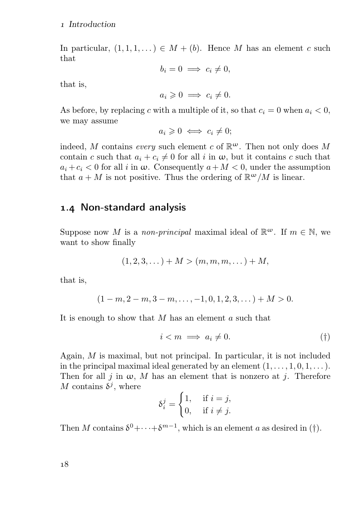#### Introduction

In particular,  $(1, 1, 1, ...) \in M + (b)$ . Hence M has an element c such that

$$
b_i = 0 \implies c_i \neq 0,
$$

that is,

$$
a_i \geq 0 \implies c_i \neq 0.
$$

As before, by replacing c with a multiple of it, so that  $c_i = 0$  when  $a_i < 0$ , we may assume

$$
a_i \geq 0 \iff c_i \neq 0;
$$

indeed, M contains every such element c of  $\mathbb{R}^{\omega}$ . Then not only does M contain c such that  $a_i + c_i \neq 0$  for all i in  $\omega$ , but it contains c such that  $a_i + c_i < 0$  for all i in  $\omega$ . Consequently  $a + M < 0$ , under the assumption that  $a + M$  is not positive. Thus the ordering of  $\mathbb{R}^{\omega}/M$  is linear.

# 1.4 Non-standard analysis

Suppose now M is a non-principal maximal ideal of  $\mathbb{R}^{\omega}$ . If  $m \in \mathbb{N}$ , we want to show finally

$$
(1,2,3,...)+M > (m,m,m,...)+M,
$$

that is,

$$
(1-m, 2-m, 3-m, \ldots, -1, 0, 1, 2, 3, \ldots) + M > 0.
$$

It is enough to show that  $M$  has an element  $a$  such that

$$
i < m \implies a_i \neq 0. \tag{\dagger}
$$

Again, M is maximal, but not principal. In particular, it is not included in the principal maximal ideal generated by an element  $(1, \ldots, 1, 0, 1, \ldots)$ . Then for all j in  $\omega$ , M has an element that is nonzero at j. Therefore M contains  $\delta^j$ , where

$$
\delta_i^j = \begin{cases} 1, & \text{if } i = j, \\ 0, & \text{if } i \neq j. \end{cases}
$$

Then M contains  $\delta^0 + \cdots + \delta^{m-1}$ , which is an element a as desired in (†).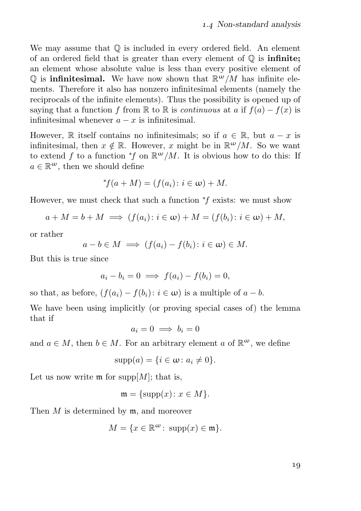We may assume that  $\mathbb Q$  is included in every ordered field. An element of an ordered field that is greater than every element of  $\mathbb O$  is **infinite;** an element whose absolute value is less than every positive element of Q is **infinitesimal.** We have now shown that  $\mathbb{R}^{\omega}/M$  has infinite elements. Therefore it also has nonzero infinitesimal elements (namely the reciprocals of the infinite elements). Thus the possibility is opened up of saying that a function f from R to R is *continuous* at a if  $f(a) - f(x)$  is infinitesimal whenever  $a - x$  is infinitesimal.

However, R itself contains no infinitesimals; so if  $a \in \mathbb{R}$ , but  $a - x$  is infinitesimal, then  $x \notin \mathbb{R}$ . However, x might be in  $\mathbb{R}^{\omega}/M$ . So we want to extend f to a function  $*f$  on  $\mathbb{R}^{\omega}/M$ . It is obvious how to do this: If  $a \in \mathbb{R}^{\omega}$ , then we should define

$$
{}^*\!f(a+M) = (f(a_i) \colon i \in \omega) + M.
$$

However, we must check that such a function  $*f$  exists: we must show

$$
a + M = b + M \implies (f(a_i) : i \in \omega) + M = (f(b_i) : i \in \omega) + M,
$$

or rather

$$
a-b \in M \implies (f(a_i) - f(b_i) : i \in \omega) \in M.
$$

But this is true since

$$
a_i - b_i = 0 \implies f(a_i) - f(b_i) = 0,
$$

so that, as before,  $(f(a_i) - f(b_i): i \in \omega)$  is a multiple of  $a - b$ .

We have been using implicitly (or proving special cases of) the lemma that if

$$
a_i = 0 \implies b_i = 0
$$

and  $a \in M$ , then  $b \in M$ . For an arbitrary element a of  $\mathbb{R}^{\omega}$ , we define

$$
supp(a) = \{i \in \omega \colon a_i \neq 0\}.
$$

Let us now write  $\mathfrak{m}$  for supp $[M]$ ; that is,

$$
\mathfrak{m} = {\text{supp}}(x) \colon x \in M.
$$

Then  $M$  is determined by  $m$ , and moreover

$$
M = \{x \in \mathbb{R}^{\omega} \colon \operatorname{supp}(x) \in \mathfrak{m}\}.
$$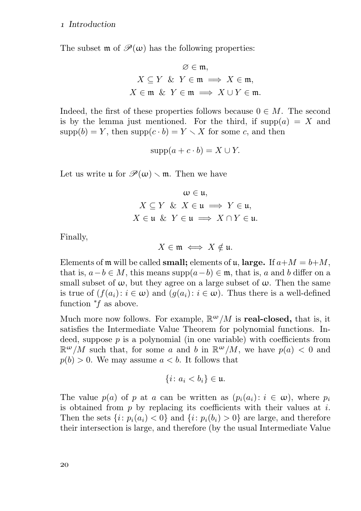#### Introduction

The subset  $\mathfrak{m}$  of  $\mathcal{P}(\omega)$  has the following properties:

$$
\varnothing\in\mathfrak{m},
$$
  
\n
$$
X\subseteq Y\ \&\ Y\in\mathfrak{m}\implies X\in\mathfrak{m},
$$
  
\n
$$
X\in\mathfrak{m}\ \&\ Y\in\mathfrak{m}\implies X\cup Y\in\mathfrak{m}.
$$

Indeed, the first of these properties follows because  $0 \in M$ . The second is by the lemma just mentioned. For the third, if  $supp(a) = X$  and  $supp(b) = Y$ , then  $supp(c \cdot b) = Y \setminus X$  for some c, and then

$$
supp(a + c \cdot b) = X \cup Y.
$$

Let us write  $\mathfrak{u}$  for  $\mathcal{P}(\omega) \setminus \mathfrak{m}$ . Then we have

$$
\omega \in \mathfrak{u},
$$
  
\n
$$
X \subseteq Y \& X \in \mathfrak{u} \Longrightarrow Y \in \mathfrak{u},
$$
  
\n
$$
X \in \mathfrak{u} \& Y \in \mathfrak{u} \Longrightarrow X \cap Y \in \mathfrak{u}.
$$

Finally,

 $X \in \mathfrak{m} \iff X \notin \mathfrak{u}.$ 

Elements of  $\mathfrak m$  will be called **small;** elements of  $\mathfrak u$ , **large.** If  $a+M = b+M$ , that is,  $a-b \in M$ , this means supp $(a-b) \in \mathfrak{m}$ , that is, a and b differ on a small subset of  $\omega$ , but they agree on a large subset of  $\omega$ . Then the same is true of  $(f(a_i): i \in \omega)$  and  $(g(a_i): i \in \omega)$ . Thus there is a well-defined function <sup>∗</sup>f as above.

Much more now follows. For example,  $\mathbb{R}^{\omega}/M$  is **real-closed**, that is, it satisfies the Intermediate Value Theorem for polynomial functions. Indeed, suppose  $p$  is a polynomial (in one variable) with coefficients from  $\mathbb{R}^{\omega}/M$  such that, for some a and b in  $\mathbb{R}^{\omega}/M$ , we have  $p(a) < 0$  and  $p(b) > 0$ . We may assume  $a < b$ . It follows that

$$
\{i\colon a_i
$$

The value  $p(a)$  of p at a can be written as  $(p_i(a_i): i \in \omega)$ , where  $p_i$ is obtained from  $p$  by replacing its coefficients with their values at  $i$ . Then the sets  $\{i: p_i(a_i) < 0\}$  and  $\{i: p_i(b_i) > 0\}$  are large, and therefore their intersection is large, and therefore (by the usual Intermediate Value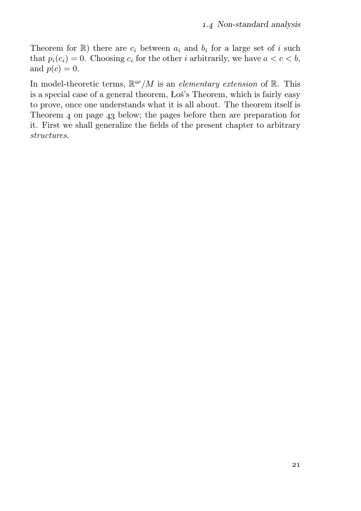Theorem for  $\mathbb{R}$ ) there are  $c_i$  between  $a_i$  and  $b_i$  for a large set of i such that  $p_i(c_i) = 0$ . Choosing  $c_i$  for the other i arbitrarily, we have  $a < c < b$ , and  $p(c) = 0$ .

In model-theoretic terms,  $\mathbb{R}^{\omega}/M$  is an *elementary extension* of  $\mathbb{R}$ . This is a special case of a general theorem, Łoś's Theorem, which is fairly easy to prove, once one understands what it is all about. The theorem itself is Theorem  $\alpha$  on page  $\alpha$ <sub>3</sub> below; the pages before then are preparation for it. First we shall generalize the fields of the present chapter to arbitrary structures.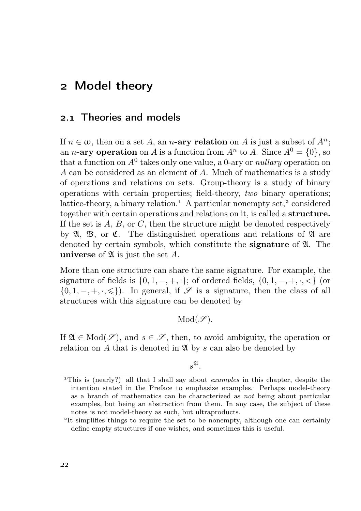# Model theory

# 2.1 Theories and models

If  $n \in \omega$ , then on a set A, an n-ary relation on A is just a subset of  $A^n$ ; an *n*-ary operation on A is a function from  $A^n$  to A. Since  $A^0 = \{0\}$ , so that a function on  $A^0$  takes only one value, a 0-ary or *nullary* operation on A can be considered as an element of A. Much of mathematics is a study of operations and relations on sets. Group-theory is a study of binary operations with certain properties; field-theory, two binary operations; lattice-theory, a binary relation.<sup>1</sup> A particular nonempty set,<sup>2</sup> considered together with certain operations and relations on it, is called a structure. If the set is  $A, B, \text{ or } C$ , then the structure might be denoted respectively by  $\mathfrak{A}, \mathfrak{B}, \text{ or } \mathfrak{C}.$  The distinguished operations and relations of  $\mathfrak{A}$  are denoted by certain symbols, which constitute the **signature** of  $\mathfrak{A}$ . The universe of  $\mathfrak A$  is just the set A.

More than one structure can share the same signature. For example, the signature of fields is  $\{0, 1, -, +, \cdot\}$ ; of ordered fields,  $\{0, 1, -, +, \cdot, \cdot\}$  (or  $\{0, 1, -, +, \cdot, \leq\}\)$ . In general, if  $\mathscr S$  is a signature, then the class of all structures with this signature can be denoted by

 $Mod(\mathscr{S})$ .

If  $\mathfrak{A} \in Mod(\mathscr{S})$ , and  $s \in \mathscr{S}$ , then, to avoid ambiguity, the operation or relation on A that is denoted in  $\mathfrak{A}$  by s can also be denoted by

 $s^{\mathfrak{A}}.$ 

<sup>&</sup>lt;sup>1</sup>This is (nearly?) all that I shall say about *examples* in this chapter, despite the intention stated in the Preface to emphasize examples. Perhaps model-theory as a branch of mathematics can be characterized as not being about particular examples, but being an abstraction from them. In any case, the subject of these notes is not model-theory as such, but ultraproducts.

<sup>&</sup>lt;sup>2</sup>It simplifies things to require the set to be nonempty, although one can certainly define empty structures if one wishes, and sometimes this is useful.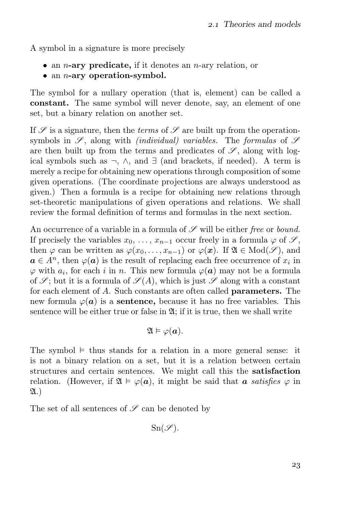A symbol in a signature is more precisely

- an *n*-ary predicate, if it denotes an *n*-ary relation, or
- $\bullet$  an *n*-ary operation-symbol.

The symbol for a nullary operation (that is, element) can be called a constant. The same symbol will never denote, say, an element of one set, but a binary relation on another set.

If  $\mathscr S$  is a signature, then the *terms* of  $\mathscr S$  are built up from the operationsymbols in  $\mathscr{S}$ , along with *(individual) variables*. The *formulas* of  $\mathscr{S}$ are then built up from the terms and predicates of  $\mathscr{S}$ , along with logical symbols such as  $\neg$ ,  $\wedge$ , and  $\exists$  (and brackets, if needed). A term is merely a recipe for obtaining new operations through composition of some given operations. (The coordinate projections are always understood as given.) Then a formula is a recipe for obtaining new relations through set-theoretic manipulations of given operations and relations. We shall review the formal definition of terms and formulas in the next section.

An occurrence of a variable in a formula of  $\mathscr S$  will be either free or bound. If precisely the variables  $x_0, \ldots, x_{n-1}$  occur freely in a formula  $\varphi$  of  $\mathscr{S}$ , then  $\varphi$  can be written as  $\varphi(x_0, \ldots, x_{n-1})$  or  $\varphi(x)$ . If  $\mathfrak{A} \in Mod(\mathscr{S})$ , and  $a \in A<sup>n</sup>$ , then  $\varphi(a)$  is the result of replacing each free occurrence of  $x_i$  in  $\varphi$  with  $a_i$ , for each i in n. This new formula  $\varphi(a)$  may not be a formula of  $\mathscr{S}$ ; but it is a formula of  $\mathscr{S}(A)$ , which is just  $\mathscr{S}$  along with a constant for each element of A. Such constants are often called parameters. The new formula  $\varphi(a)$  is a **sentence**, because it has no free variables. This sentence will be either true or false in  $\mathfrak{A}$ ; if it is true, then we shall write

$$
\mathfrak{A}\vDash\varphi(\boldsymbol{a}).
$$

The symbol  $\models$  thus stands for a relation in a more general sense: it is not a binary relation on a set, but it is a relation between certain structures and certain sentences. We might call this the satisfaction relation. (However, if  $\mathfrak{A} \models \varphi(a)$ , it might be said that a satisfies  $\varphi$  in  $\mathfrak{A}$ .)

The set of all sentences of  ${\mathscr S}$  can be denoted by

 $Sn(\mathscr{S}).$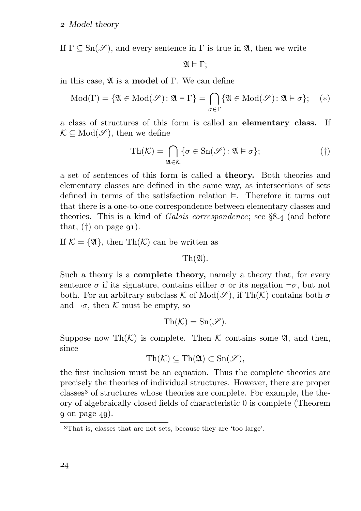If  $\Gamma \subset \text{Sn}(\mathscr{S})$ , and every sentence in  $\Gamma$  is true in  $\mathfrak{A}$ , then we write

$$
\mathfrak{A}\vDash\Gamma;
$$

in this case,  $\mathfrak A$  is a **model** of Γ. We can define

$$
\mathrm{Mod}(\Gamma) = \{ \mathfrak{A} \in \mathrm{Mod}(\mathscr{S}) \colon \mathfrak{A} \vDash \Gamma \} = \bigcap_{\sigma \in \Gamma} \{ \mathfrak{A} \in \mathrm{Mod}(\mathscr{S}) \colon \mathfrak{A} \vDash \sigma \}; \quad (*)
$$

a class of structures of this form is called an elementary class. If  $\mathcal{K} \subseteq Mod(\mathscr{S})$ , then we define

$$
\mathrm{Th}(\mathcal{K}) = \bigcap_{\mathfrak{A} \in \mathcal{K}} \{ \sigma \in \mathrm{Sn}(\mathscr{S}) : \mathfrak{A} \models \sigma \};\tag{\dagger}
$$

a set of sentences of this form is called a theory. Both theories and elementary classes are defined in the same way, as intersections of sets defined in terms of the satisfaction relation  $\models$ . Therefore it turns out that there is a one-to-one correspondence between elementary classes and theories. This is a kind of *Galois correspondence*; see  $8.4$  (and before that,  $(\dagger)$  on page  $q_1$ ).

If  $\mathcal{K} = \{ \mathfrak{A} \}$ , then Th $(\mathcal{K})$  can be written as

 $\text{Th}(\mathfrak{A})$ .

Such a theory is a complete theory, namely a theory that, for every sentence  $\sigma$  if its signature, contains either  $\sigma$  or its negation  $\neg \sigma$ , but not both. For an arbitrary subclass K of  $Mod(\mathscr{S})$ , if  $Th(\mathcal{K})$  contains both  $\sigma$ and  $\neg \sigma$ , then K must be empty, so

$$
\mathrm{Th}(\mathcal{K})=\mathrm{Sn}(\mathscr{S}).
$$

Suppose now Th $(K)$  is complete. Then K contains some  $\mathfrak{A}$ , and then, since

$$
\mathrm{Th}(\mathcal{K})\subseteq \mathrm{Th}(\mathfrak{A})\subset \mathrm{Sn}(\mathscr{S}),
$$

the first inclusion must be an equation. Thus the complete theories are precisely the theories of individual structures. However, there are proper classes<sup>3</sup> of structures whose theories are complete. For example, the theory of algebraically closed fields of characteristic 0 is complete (Theorem  $q$  on page  $4q$ ).

That is, classes that are not sets, because they are 'too large'.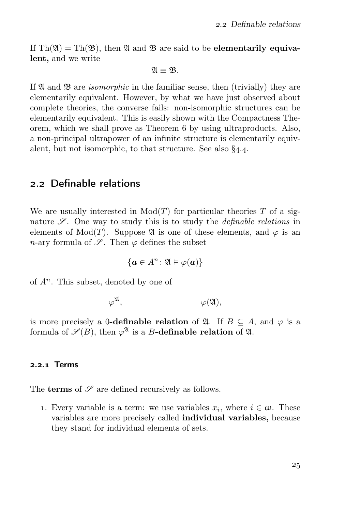If  $\text{Th}(\mathfrak{A}) = \text{Th}(\mathfrak{B})$ , then  $\mathfrak{A}$  and  $\mathfrak{B}$  are said to be **elementarily equiva**lent, and we write

$$
\mathfrak{A}\equiv\mathfrak{B}.
$$

If  $\mathfrak A$  and  $\mathfrak B$  are *isomorphic* in the familiar sense, then (trivially) they are elementarily equivalent. However, by what we have just observed about complete theories, the converse fails: non-isomorphic structures can be elementarily equivalent. This is easily shown with the Compactness Theorem, which we shall prove as Theorem 6 by using ultraproducts. Also, a non-principal ultrapower of an infinite structure is elementarily equivalent, but not isomorphic, to that structure. See also  $\S_{4.4}$ .

## . Definable relations

We are usually interested in  $Mod(T)$  for particular theories T of a signature  $\mathscr{S}$ . One way to study this is to study the *definable relations* in elements of Mod(T). Suppose  $\mathfrak A$  is one of these elements, and  $\varphi$  is an n-ary formula of  $\mathscr{S}$ . Then  $\varphi$  defines the subset

$$
\{\boldsymbol{a}\in A^n\colon \mathfrak{A}\vDash \varphi(\boldsymbol{a})\}
$$

of  $A<sup>n</sup>$ . This subset, denoted by one of

$$
\varphi^{\mathfrak{A}}, \qquad \qquad \varphi(\mathfrak{A}),
$$

is more precisely a 0-definable relation of  $\mathfrak{A}$ . If  $B \subseteq A$ , and  $\varphi$  is a formula of  $\mathscr{S}(B)$ , then  $\varphi^{\mathfrak{A}}$  is a B-definable relation of  $\mathfrak{A}$ .

#### 2.2.1 Terms

The **terms** of  $\mathscr S$  are defined recursively as follows.

1. Every variable is a term: we use variables  $x_i$ , where  $i \in \omega$ . These variables are more precisely called individual variables, because they stand for individual elements of sets.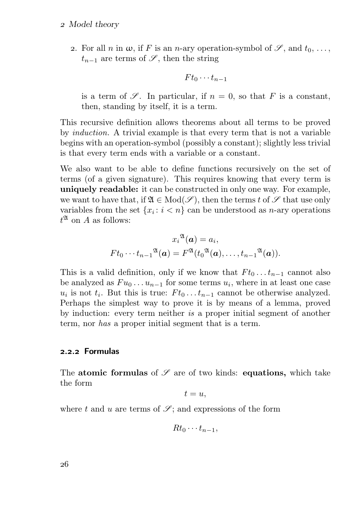#### Model theory

2. For all n in  $\omega$ , if F is an n-ary operation-symbol of  $\mathscr{S}$ , and  $t_0, \ldots$ ,  $t_{n-1}$  are terms of  $\mathscr{S}$ , then the string

$$
F t_0 \cdots t_{n-1}
$$

is a term of  $\mathscr S$ . In particular, if  $n = 0$ , so that F is a constant, then, standing by itself, it is a term.

This recursive definition allows theorems about all terms to be proved by induction. A trivial example is that every term that is not a variable begins with an operation-symbol (possibly a constant); slightly less trivial is that every term ends with a variable or a constant.

We also want to be able to define functions recursively on the set of terms (of a given signature). This requires knowing that every term is uniquely readable: it can be constructed in only one way. For example, we want to have that, if  $\mathfrak{A} \in Mod(\mathscr{S})$ , then the terms t of  $\mathscr{S}$  that use only variables from the set  $\{x_i : i < n\}$  can be understood as *n*-ary operations  $t^{\mathfrak{A}}$  on A as follows:

$$
x_i^{\mathfrak{A}}(\mathbf{a}) = a_i,
$$
  
 
$$
Ft_0 \cdots t_{n-1}^{\mathfrak{A}}(\mathbf{a}) = F^{\mathfrak{A}}(t_0^{\mathfrak{A}}(\mathbf{a}), \dots, t_{n-1}^{\mathfrak{A}}(\mathbf{a})).
$$

This is a valid definition, only if we know that  $F t_0 \dots t_{n-1}$  cannot also be analyzed as  $Fu_0 \ldots u_{n-1}$  for some terms  $u_i$ , where in at least one case  $u_i$  is not  $t_i$ . But this is true:  $F t_0 \dots t_{n-1}$  cannot be otherwise analyzed. Perhaps the simplest way to prove it is by means of a lemma, proved by induction: every term neither is a proper initial segment of another term, nor has a proper initial segment that is a term.

#### .. Formulas

The atomic formulas of  $\mathscr S$  are of two kinds: equations, which take the form

 $t = u$ .

where t and u are terms of  $\mathscr{S}$ ; and expressions of the form

$$
Rt_0\cdots t_{n-1},
$$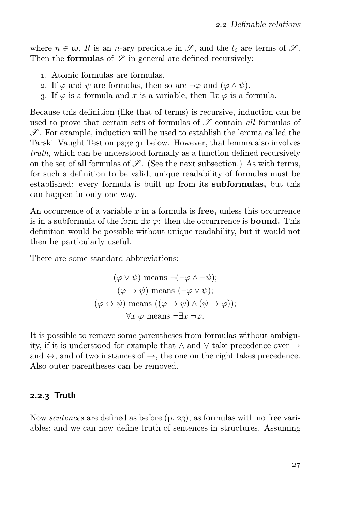where  $n \in \omega$ , R is an n-ary predicate in  $\mathscr{S}$ , and the  $t_i$  are terms of  $\mathscr{S}$ . Then the **formulas** of  $\mathscr S$  in general are defined recursively:

- . Atomic formulas are formulas.
- 2. If  $\varphi$  and  $\psi$  are formulas, then so are  $\neg \varphi$  and  $(\varphi \wedge \psi)$ .
- 3. If  $\varphi$  is a formula and x is a variable, then  $\exists x \varphi$  is a formula.

Because this definition (like that of terms) is recursive, induction can be used to prove that certain sets of formulas of  $\mathscr S$  contain all formulas of  $\mathscr{S}$ . For example, induction will be used to establish the lemma called the Tarski–Vaught Test on page 31 below. However, that lemma also involves truth, which can be understood formally as a function defined recursively on the set of all formulas of  $\mathscr{S}$ . (See the next subsection.) As with terms, for such a definition to be valid, unique readability of formulas must be established: every formula is built up from its subformulas, but this can happen in only one way.

An occurrence of a variable  $x$  in a formula is **free**, unless this occurrence is in a subformula of the form  $\exists x \varphi$ : then the occurrrence is **bound.** This definition would be possible without unique readability, but it would not then be particularly useful.

There are some standard abbreviations:

$$
(\varphi \lor \psi) \text{ means } \neg(\neg \varphi \land \neg \psi);
$$
  

$$
(\varphi \to \psi) \text{ means } (\neg \varphi \lor \psi);
$$
  

$$
(\varphi \leftrightarrow \psi) \text{ means } ((\varphi \to \psi) \land (\psi \to \varphi));
$$
  

$$
\forall x \varphi \text{ means } \neg \exists x \neg \varphi.
$$

It is possible to remove some parentheses from formulas without ambiguity, if it is understood for example that ∧ and ∨ take precedence over → and  $\leftrightarrow$ , and of two instances of  $\rightarrow$ , the one on the right takes precedence. Also outer parentheses can be removed.

#### $2.2.3$  Truth

Now *sentences* are defined as before  $(p. 23)$ , as formulas with no free variables; and we can now define truth of sentences in structures. Assuming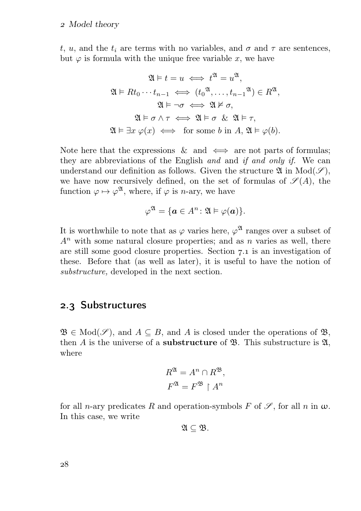#### Model theory

t, u, and the  $t_i$  are terms with no variables, and  $\sigma$  and  $\tau$  are sentences, but  $\varphi$  is formula with the unique free variable x, we have

$$
\mathfrak{A} \models t = u \iff t^{\mathfrak{A}} = u^{\mathfrak{A}},
$$

$$
\mathfrak{A} \models Rt_0 \cdots t_{n-1} \iff (t_0^{\mathfrak{A}}, \dots, t_{n-1}^{\mathfrak{A}}) \in R^{\mathfrak{A}},
$$

$$
\mathfrak{A} \models \neg \sigma \iff \mathfrak{A} \nvDash \sigma,
$$

$$
\mathfrak{A} \models \sigma \land \tau \iff \mathfrak{A} \models \sigma \And \mathfrak{A} \models \tau,
$$

$$
\mathfrak{A} \models \exists x \ \varphi(x) \iff \text{for some } b \text{ in } A, \mathfrak{A} \models \varphi(b).
$$

Note here that the expressions  $\&$  and  $\iff$  are not parts of formulas; they are abbreviations of the English and and if and only if. We can understand our definition as follows. Given the structure  $\mathfrak{A}$  in  $Mod(\mathscr{S})$ , we have now recursively defined, on the set of formulas of  $\mathscr{S}(A)$ , the function  $\varphi \mapsto \varphi^{\mathfrak{A}},$  where, if  $\varphi$  is *n*-ary, we have

$$
\varphi^{\mathfrak{A}}=\{\mathbf{a}\in A^{n}\colon \mathfrak{A}\vDash \varphi(\mathbf{a})\}.
$$

It is worthwhile to note that as  $\varphi$  varies here,  $\varphi^{\mathfrak{A}}$  ranges over a subset of  $A<sup>n</sup>$  with some natural closure properties; and as n varies as well, there are still some good closure properties. Section  $7.1$  is an investigation of these. Before that (as well as later), it is useful to have the notion of substructure, developed in the next section.

# 2.3 Substructures

 $\mathfrak{B} \in \text{Mod}(\mathscr{S})$ , and  $A \subseteq B$ , and A is closed under the operations of  $\mathfrak{B}$ , then  $A$  is the universe of a **substructure** of  $\mathfrak{B}$ . This substructure is  $\mathfrak{A}$ , where

$$
R^{\mathfrak{A}} = A^n \cap R^{\mathfrak{B}},
$$
  

$$
F^{\mathfrak{A}} = F^{\mathfrak{B}} \upharpoonright A^n
$$

for all *n*-ary predicates R and operation-symbols F of  $\mathscr{S}$ , for all *n* in  $\omega$ . In this case, we write

$$
\mathfrak{A}\subseteq \mathfrak{B}.
$$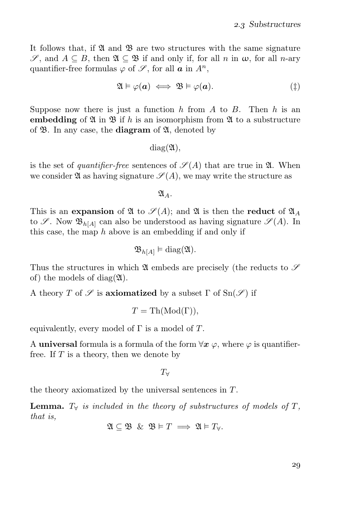It follows that, if  $\mathfrak A$  and  $\mathfrak B$  are two structures with the same signature  $\mathscr{S}$ , and  $A \subseteq B$ , then  $\mathfrak{A} \subseteq \mathfrak{B}$  if and only if, for all n in  $\omega$ , for all n-ary quantifier-free formulas  $\varphi$  of  $\mathscr{S}$ , for all  $\boldsymbol{a}$  in  $A^n$ ,

$$
\mathfrak{A} \models \varphi(\mathbf{a}) \iff \mathfrak{B} \models \varphi(\mathbf{a}). \tag{\ddagger}
$$

Suppose now there is just a function h from A to B. Then h is an embedding of  $\mathfrak A$  in  $\mathfrak B$  if h is an isomorphism from  $\mathfrak A$  to a substructure of  $\mathfrak{B}$ . In any case, the **diagram** of  $\mathfrak{A}$ , denoted by

 $diag(\mathfrak{A})$ .

is the set of *quantifier-free* sentences of  $\mathscr{S}(A)$  that are true in  $\mathfrak{A}$ . When we consider  $\mathfrak A$  as having signature  $\mathscr S(A)$ , we may write the structure as

 $\mathfrak{A}_A$ .

This is an expansion of  $\mathfrak A$  to  $\mathscr S(A)$ ; and  $\mathfrak A$  is then the reduct of  $\mathfrak A_A$ to  $\mathscr{S}$ . Now  $\mathfrak{B}_{h[A]}$  can also be understood as having signature  $\mathscr{S}(A)$ . In this case, the map  $h$  above is an embedding if and only if

$$
\mathfrak{B}_{h[A]} \models \text{diag}(\mathfrak{A}).
$$

Thus the structures in which  $\mathfrak A$  embeds are precisely (the reducts to  $\mathscr S$ of) the models of diag $(\mathfrak{A})$ .

A theory T of  $\mathscr S$  is axiomatized by a subset  $\Gamma$  of  $\text{Sn}(\mathscr S)$  if

$$
T = \operatorname{Th}(\operatorname{Mod}(\Gamma)),
$$

equivalently, every model of  $\Gamma$  is a model of  $T$ .

A universal formula is a formula of the form  $\forall x \varphi$ , where  $\varphi$  is quantifierfree. If  $T$  is a theory, then we denote by

 $T_\forall$ 

the theory axiomatized by the universal sentences in T.

**Lemma.**  $T_\forall$  is included in the theory of substructures of models of T, that is,

$$
\mathfrak{A}\subseteq\mathfrak{B}\ \&\ \mathfrak{B}\vDash T\implies\mathfrak{A}\vDash T_{\forall}.
$$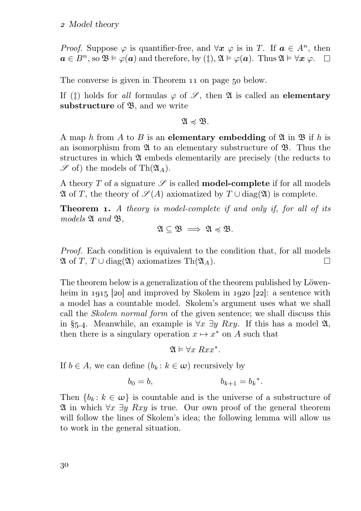#### Model theory

*Proof.* Suppose  $\varphi$  is quantifier-free, and  $\forall x \varphi$  is in T. If  $a \in A^n$ , then  $a \in B^n$ , so  $\mathfrak{B} \models \varphi(a)$  and therefore, by  $(\ddagger), \mathfrak{A} \models \varphi(a)$ . Thus  $\mathfrak{A} \models \forall x \varphi$ .  $\Box$ 

The converse is given in Theorem 11 on page 50 below.

If ( $\ddagger$ ) holds for all formulas  $\varphi$  of  $\mathscr{S}$ , then  $\mathfrak A$  is called an **elementary** substructure of  $\mathfrak{B}$ , and we write

 $\mathfrak{A} \preccurlyeq \mathfrak{B}$ .

A map h from A to B is an elementary embedding of  $\mathfrak A$  in  $\mathfrak B$  if h is an isomorphism from  $\mathfrak A$  to an elementary substructure of  $\mathfrak B$ . Thus the structures in which A embeds elementarily are precisely (the reducts to  $\mathscr S$  of) the models of Th $(\mathfrak{A}_A)$ .

A theory  $T$  of a signature  $\mathscr S$  is called **model-complete** if for all models  $\mathfrak A$  of T, the theory of  $\mathscr S(A)$  axiomatized by  $T \cup \text{diag}(\mathfrak A)$  is complete.

**Theorem 1.** A theory is model-complete if and only if, for all of its  $models \mathfrak{A}$  and  $\mathfrak{B}$ ,

 $\mathfrak{A} \subseteq \mathfrak{B} \implies \mathfrak{A} \preccurlyeq \mathfrak{B}.$ 

Proof. Each condition is equivalent to the condition that, for all models  $\Box$  $\mathfrak A$  of T, T  $\cup$  diag( $\mathfrak A$ ) axiomatizes Th( $\mathfrak A$ A).

The theorem below is a generalization of the theorem published by Löwenheim in  $1915$  [20] and improved by Skolem in  $1920$  [22]: a sentence with a model has a countable model. Skolem's argument uses what we shall call the Skolem normal form of the given sentence; we shall discuss this in §5.4. Meanwhile, an example is  $\forall x \exists y Rxy$ . If this has a model  $\mathfrak{A}$ , then there is a singulary operation  $x \mapsto x^*$  on A such that

 $\mathfrak{A} \models \forall x \; Rxx^*.$ 

If  $b \in A$ , we can define  $(b_k : k \in \omega)$  recursively by

$$
b_0 = b, \t b_{k+1} = b_k^*.
$$

Then  ${b_k : k \in \omega}$  is countable and is the universe of a substructure of  $\mathfrak A$  in which  $\forall x \exists y \; Rxy$  is true. Our own proof of the general theorem will follow the lines of Skolem's idea; the following lemma will allow us to work in the general situation.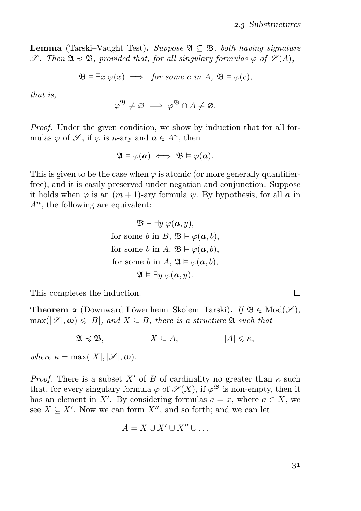**Lemma** (Tarski–Vaught Test). Suppose  $\mathfrak{A} \subset \mathfrak{B}$ , both having signature  $\mathscr{S}$ . Then  $\mathfrak{A} \preccurlyeq \mathfrak{B}$ , provided that, for all singulary formulas  $\varphi$  of  $\mathscr{S}(A)$ ,

$$
\mathfrak{B}\vDash \exists x \ \varphi(x) \implies \text{ for some } c \text{ in } A, \ \mathfrak{B}\vDash \varphi(c),
$$

that is,

$$
\varphi^{\mathfrak{B}} \neq \varnothing \implies \varphi^{\mathfrak{B}} \cap A \neq \varnothing.
$$

Proof. Under the given condition, we show by induction that for all formulas  $\varphi$  of  $\mathscr{S}$ , if  $\varphi$  is *n*-ary and  $\mathbf{a} \in A^n$ , then

$$
\mathfrak{A}\vDash\varphi(\boldsymbol{a})\iff\mathfrak{B}\vDash\varphi(\boldsymbol{a}).
$$

This is given to be the case when  $\varphi$  is atomic (or more generally quantifierfree), and it is easily preserved under negation and conjunction. Suppose it holds when  $\varphi$  is an  $(m+1)$ -ary formula  $\psi$ . By hypothesis, for all  $\boldsymbol{a}$  in  $A<sup>n</sup>$ , the following are equivalent:

$$
\mathfrak{B} \vDash \exists y \ \varphi(\mathbf{a}, y),
$$
  
for some  $b$  in  $B$ ,  $\mathfrak{B} \vDash \varphi(\mathbf{a}, b)$ ,  
for some  $b$  in  $A$ ,  $\mathfrak{B} \vDash \varphi(\mathbf{a}, b)$ ,  
for some  $b$  in  $A$ ,  $\mathfrak{A} \vDash \varphi(\mathbf{a}, b)$ ,  
 $\mathfrak{A} \vDash \exists y \ \varphi(\mathbf{a}, y)$ .

This completes the induction.

**Theorem 2** (Downward Löwenheim–Skolem–Tarski). If  $\mathfrak{B} \in Mod(\mathscr{S})$ ,  $\max(|\mathscr{S}|, \omega) \leq |B|$ , and  $X \subseteq B$ , there is a structure  $\mathfrak{A}$  such that

 $\mathfrak{A} \preccurlyeq \mathfrak{B}, \qquad X \subseteq A, \qquad |A| \leq \kappa,$ 

where  $\kappa = \max(|X|, |\mathcal{S}|, \omega)$ .

*Proof.* There is a subset X' of B of cardinality no greater than  $\kappa$  such that, for every singulary formula  $\varphi$  of  $\mathscr{S}(X)$ , if  $\varphi^{\mathfrak{B}}$  is non-empty, then it has an element in X'. By considering formulas  $a = x$ , where  $a \in X$ , we see  $X \subseteq X'$ . Now we can form  $X''$ , and so forth; and we can let

$$
A = X \cup X' \cup X'' \cup \ldots
$$

 $\Box$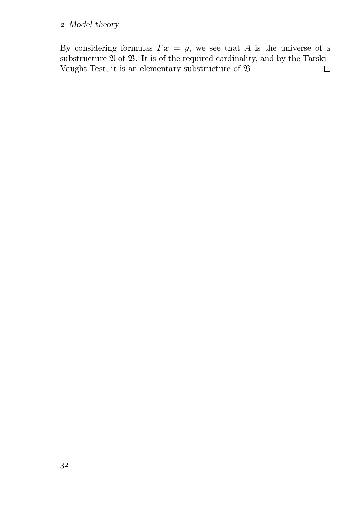### Model theory

By considering formulas  $Fx = y$ , we see that A is the universe of a substructure  $\mathfrak A$  of  $\mathfrak B$ . It is of the required cardinality, and by the Tarski– Vaught Test, it is an elementary substructure of B.  $\Box$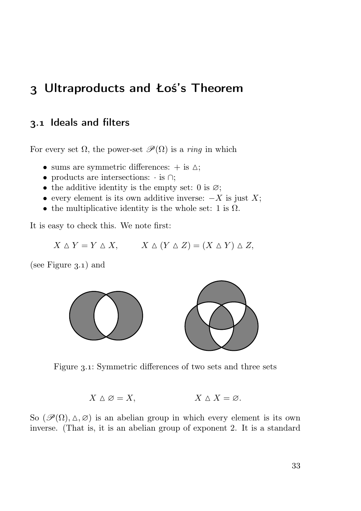# Ultraproducts and Łoś's Theorem

# 3.1 Ideals and filters

For every set  $\Omega$ , the power-set  $\mathscr{P}(\Omega)$  is a *ring* in which

- sums are symmetric differences:  $+$  is  $\Delta$ ;
- products are intersections: · is ∩;
- the additive identity is the empty set: 0 is  $\varnothing$ ;
- every element is its own additive inverse:  $-X$  is just X;
- the multiplicative identity is the whole set: 1 is  $\Omega$ .

It is easy to check this. We note first:

 $X \triangle Y = Y \triangle X$ ,  $X \triangle (Y \triangle Z) = (X \triangle Y) \triangle Z$ ,

(see Figure  $3.1$ ) and



Figure 3.1: Symmetric differences of two sets and three sets

$$
X \triangle \varnothing = X, \qquad X \triangle X = \varnothing.
$$

So  $(\mathscr{P}(\Omega), \Delta, \varnothing)$  is an abelian group in which every element is its own inverse. (That is, it is an abelian group of exponent 2. It is a standard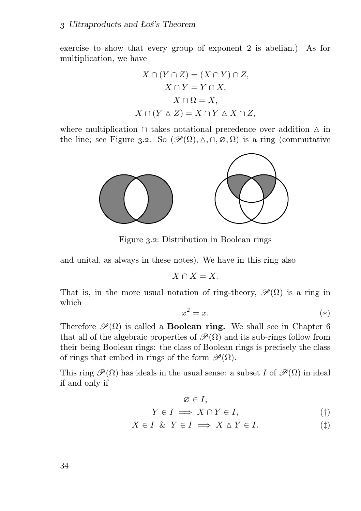exercise to show that every group of exponent 2 is abelian.) As for multiplication, we have

$$
X \cap (Y \cap Z) = (X \cap Y) \cap Z,
$$
  
\n
$$
X \cap Y = Y \cap X,
$$
  
\n
$$
X \cap \Omega = X,
$$
  
\n
$$
X \cap (Y \triangle Z) = X \cap Y \triangle X \cap Z,
$$

where multiplication ∩ takes notational precedence over addition △ in the line; see Figure 3.2. So  $(\mathscr{P}(\Omega), \Delta, \cap, \varnothing, \Omega)$  is a ring (commutative



Figure 3.2: Distribution in Boolean rings

and unital, as always in these notes). We have in this ring also

$$
X \cap X = X.
$$

That is, in the more usual notation of ring-theory,  $\mathscr{P}(\Omega)$  is a ring in which

$$
x^2 = x.\t\t(*)
$$

Therefore  $\mathcal{P}(\Omega)$  is called a **Boolean ring.** We shall see in Chapter 6 that all of the algebraic properties of  $\mathcal{P}(\Omega)$  and its sub-rings follow from their being Boolean rings: the class of Boolean rings is precisely the class of rings that embed in rings of the form  $\mathscr{P}(\Omega)$ .

This ring  $\mathscr{P}(\Omega)$  has ideals in the usual sense: a subset I of  $\mathscr{P}(\Omega)$  in ideal if and only if

$$
\varnothing \in I,
$$
  
\n
$$
Y \in I \implies X \cap Y \in I,
$$
 (†)

$$
X \in I \& Y \in I \implies X \wedge Y \in I. \tag{\ddagger}
$$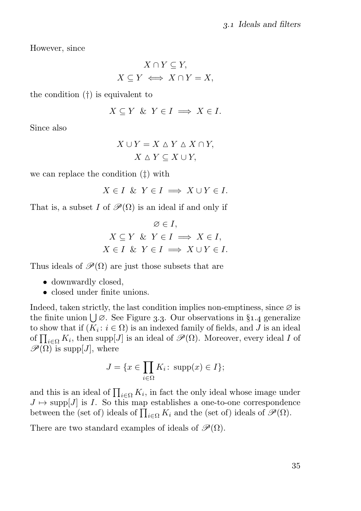However, since

$$
X \cap Y \subseteq Y,
$$
  

$$
X \subseteq Y \iff X \cap Y = X,
$$

the condition (†) is equivalent to

$$
X \subseteq Y \And Y \in I \implies X \in I.
$$

Since also

$$
X \cup Y = X \triangle Y \triangle X \cap Y,
$$
  

$$
X \triangle Y \subseteq X \cup Y,
$$

we can replace the condition (‡) with

$$
X \in I \ \& \ Y \in I \implies X \cup Y \in I.
$$

That is, a subset I of  $\mathscr{P}(\Omega)$  is an ideal if and only if

$$
\emptyset \in I,
$$
  
\n
$$
X \subseteq Y \& Y \in I \implies X \in I,
$$
  
\n
$$
X \in I \& Y \in I \implies X \cup Y \in I.
$$

Thus ideals of  $\mathcal{P}(\Omega)$  are just those subsets that are

- downwardly closed,
- closed under finite unions.

Indeed, taken strictly, the last condition implies non-emptiness, since  $\varnothing$  is the finite union  $\bigcup \emptyset$ . See Figure 3.3. Our observations in §1.4 generalize to show that if  $(K_i : i \in \Omega)$  is an indexed family of fields, and J is an ideal of  $\prod_{i\in\Omega} K_i$ , then supp $[J]$  is an ideal of  $\mathscr{P}(\Omega)$ . Moreover, every ideal I of  $\mathscr{P}(\Omega)$  is supp[J], where

$$
J = \{ x \in \prod_{i \in \Omega} K_i \colon \text{supp}(x) \in I \};
$$

and this is an ideal of  $\prod_{i\in\Omega} K_i$ , in fact the only ideal whose image under  $J \mapsto \text{supp}[J]$  is I. So this map establishes a one-to-one correspondence between the (set of) ideals of  $\prod_{i\in\Omega} K_i$  and the (set of) ideals of  $\mathscr{P}(\Omega)$ .

There are two standard examples of ideals of  $\mathcal{P}(\Omega)$ .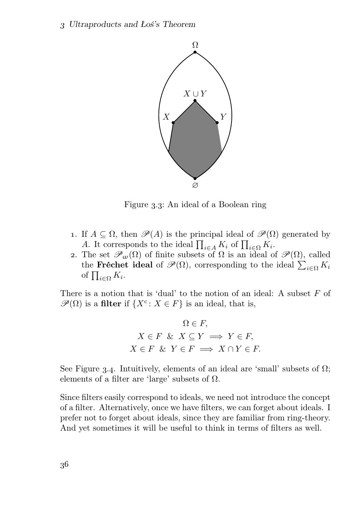

Figure 3.3: An ideal of a Boolean ring

- 1. If  $A \subseteq \Omega$ , then  $\mathscr{P}(A)$  is the principal ideal of  $\mathscr{P}(\Omega)$  generated by A. It corresponds to the ideal  $\prod_{i\in A} K_i$  of  $\prod_{i\in \Omega} K_i$ .
- 2. The set  $\mathscr{P}_{\omega}(\Omega)$  of finite subsets of  $\Omega$  is an ideal of  $\mathscr{P}(\Omega)$ , called the **Fréchet ideal** of  $\mathscr{P}(\Omega)$ , corresponding to the ideal  $\sum_{i\in\Omega} K_i$ of  $\prod_{i\in\Omega}K_i$ .

There is a notion that is 'dual' to the notion of an ideal: A subset  $F$  of  $\mathscr{P}(\Omega)$  is a filter if  $\{X^{\operatorname{c}}\colon X\in F\}$  is an ideal, that is,

$$
\Omega \in F,
$$
  
\n
$$
X \in F \& X \subseteq Y \implies Y \in F,
$$
  
\n
$$
X \in F \& Y \in F \implies X \cap Y \in F.
$$

See Figure 3.4. Intuitively, elements of an ideal are 'small' subsets of  $\Omega$ ; elements of a filter are 'large' subsets of  $\Omega$ .

Since filters easily correspond to ideals, we need not introduce the concept of a filter. Alternatively, once we have filters, we can forget about ideals. I prefer not to forget about ideals, since they are familiar from ring-theory. And yet sometimes it will be useful to think in terms of filters as well.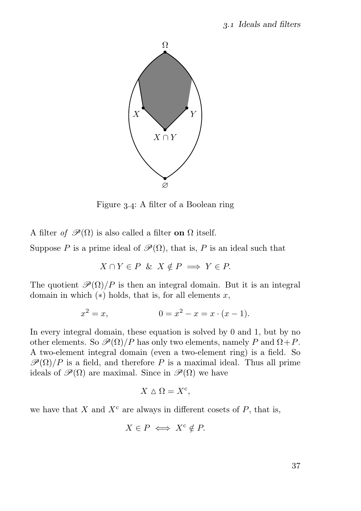

Figure 3.4: A filter of a Boolean ring

A filter of  $\mathscr{P}(\Omega)$  is also called a filter on  $\Omega$  itself.

Suppose P is a prime ideal of  $\mathscr{P}(\Omega)$ , that is, P is an ideal such that

$$
X \cap Y \in P \& X \notin P \implies Y \in P.
$$

The quotient  $\mathcal{P}(\Omega)/P$  is then an integral domain. But it is an integral domain in which  $(*)$  holds, that is, for all elements x,

$$
x^2 = x, \t 0 = x^2 - x = x \cdot (x - 1).
$$

In every integral domain, these equation is solved by 0 and 1, but by no other elements. So  $\mathcal{P}(\Omega)/P$  has only two elements, namely P and  $\Omega + P$ . A two-element integral domain (even a two-element ring) is a field. So  $\mathcal{P}(\Omega)/P$  is a field, and therefore P is a maximal ideal. Thus all prime ideals of  $\mathcal{P}(\Omega)$  are maximal. Since in  $\mathcal{P}(\Omega)$  we have

$$
X \triangle \Omega = X^{\mathsf{c}},
$$

we have that X and  $X^c$  are always in different cosets of P, that is,

$$
X\in P\iff X^{\mathrm{c}}\notin P.
$$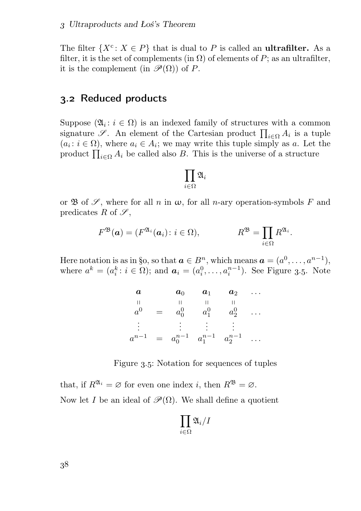The filter  $\{X^c: X \in P\}$  that is dual to P is called an **ultrafilter.** As a filter, it is the set of complements (in  $\Omega$ ) of elements of P; as an ultrafilter, it is the complement (in  $\mathcal{P}(\Omega)$ ) of P.

# 3.2 Reduced products

Suppose  $(\mathfrak{A}_i : i \in \Omega)$  is an indexed family of structures with a common signature  $\mathscr{S}$ . An element of the Cartesian product  $\prod_{i\in\Omega} A_i$  is a tuple  $(a_i : i \in \Omega)$ , where  $a_i \in A_i$ ; we may write this tuple simply as a. Let the product  $\prod_{i\in\Omega} A_i$  be called also B. This is the universe of a structure

$$
\prod_{i\in \Omega}\mathfrak{A}_i
$$

or  $\mathfrak B$  of  $\mathscr S$ , where for all n in  $\omega$ , for all n-ary operation-symbols F and predicates R of  $\mathscr{S}$ ,

$$
F^{\mathfrak{B}}(\mathbf{a}) = (F^{\mathfrak{A}_i}(\mathbf{a}_i) : i \in \Omega), \qquad R^{\mathfrak{B}} = \prod_{i \in \Omega} R^{\mathfrak{A}_i}.
$$

Here notation is as in §o, so that  $a \in B^n$ , which means  $a = (a^0, \ldots, a^{n-1}),$ where  $a^k = (a_i^k : i \in \Omega)$ ; and  $a_i = (a_i^0, \ldots, a_i^{n-1})$ . See Figure 3.5. Note

| a             |     | $a_0$     | $a_1$                             | $a_2$   |  |
|---------------|-----|-----------|-----------------------------------|---------|--|
| $a^0$         | $=$ | $a_0^0$   | $a_1^0$                           | $a_2^0$ |  |
| $\frac{1}{2}$ |     | $\bullet$ |                                   |         |  |
| $a^{n-1}$     |     |           | $= a_0^{n-1} a_1^{n-1} a_2^{n-1}$ |         |  |

Figure 3.5: Notation for sequences of tuples

that, if  $R^{\mathfrak{A}_i} = \varnothing$  for even one index *i*, then  $R^{\mathfrak{B}} = \varnothing$ . Now let I be an ideal of  $\mathscr{P}(\Omega)$ . We shall define a quotient

$$
\prod_{i\in \Omega} \mathfrak{A}_i/I
$$

38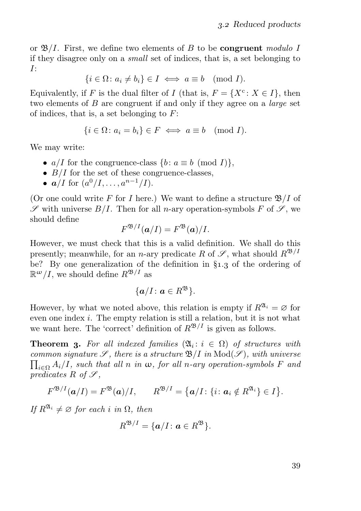or  $\mathfrak{B}/I$ . First, we define two elements of B to be **congruent** modulo I if they disagree only on a small set of indices, that is, a set belonging to I:

$$
\{i \in \Omega \colon a_i \neq b_i\} \in I \iff a \equiv b \pmod{I}.
$$

Equivalently, if F is the dual filter of I (that is,  $F = \{X^c : X \in I\}$ , then two elements of  $B$  are congruent if and only if they agree on a *large* set of indices, that is, a set belonging to  $F$ :

$$
\{i \in \Omega \colon a_i = b_i\} \in F \iff a \equiv b \pmod{I}.
$$

We may write:

- $a/I$  for the congruence-class  $\{b : a \equiv b \pmod{I}\},\$
- $B/I$  for the set of these congruence-classes.
- $a/I$  for  $(a^0/I, \ldots, a^{n-1}/I)$ .

(Or one could write F for I here.) We want to define a structure  $\mathfrak{B}/I$  of  $\mathscr S$  with universe  $B/I$ . Then for all *n*-ary operation-symbols F of  $\mathscr S$ , we should define

$$
F^{\mathfrak{B}/I}(\mathbf{a}/I) = F^{\mathfrak{B}}(\mathbf{a})/I.
$$

However, we must check that this is a valid definition. We shall do this presently; meanwhile, for an *n*-ary predicate R of  $\mathscr{S}$ , what should  $R^{\mathfrak{B}/I}$ be? By one generalization of the definition in  $\S_{1,3}$  of the ordering of  $\mathbb{R}^{\omega}/I$ , we should define  $R^{\mathfrak{B}/I}$  as

$$
\{a/I\colon a\in R^{\mathfrak{B}}\}.
$$

However, by what we noted above, this relation is empty if  $R^{2i} = \emptyset$  for even one index i. The empty relation is still a relation, but it is not what we want here. The 'correct' definition of  $R^{\mathfrak{B}/I}$  is given as follows.

**Theorem 3.** For all indexed families  $(\mathfrak{A}_i : i \in \Omega)$  of structures with  $\prod_{i\in\Omega}A_i/I$ , such that all n in  $\omega$ , for all n-ary operation-symbols F and common signature  $\mathscr{S}$ , there is a structure  $\mathfrak{B}/I$  in  $\text{Mod}(\mathscr{S})$ , with universe predicates R of  $\mathscr{S}$ ,

$$
F^{\mathfrak{B}/I}(\mathbf{a}/I)=F^{\mathfrak{B}}(\mathbf{a})/I, \qquad R^{\mathfrak{B}/I}=\big\{\mathbf{a}/I\colon \{i\colon \mathbf{a}_i\notin R^{\mathfrak{A}_i}\}\in I\big\}.
$$

If  $R^{\mathfrak{A}_i} \neq \emptyset$  for each i in  $\Omega$ , then

$$
R^{\mathfrak{B}/I}=\{a/I\colon a\in R^{\mathfrak{B}}\}.
$$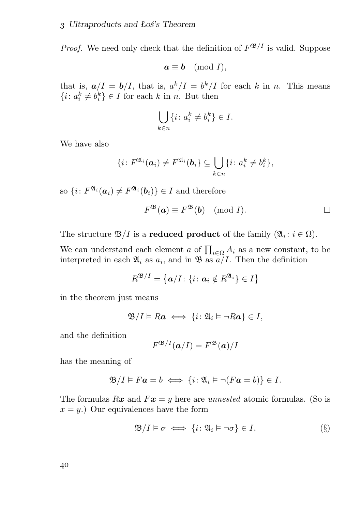*Proof.* We need only check that the definition of  $F^{\mathfrak{B}/I}$  is valid. Suppose

$$
a \equiv b \pmod{I},
$$

that is,  $a/I = b/I$ , that is,  $a^k/I = b^k/I$  for each k in n. This means  $\{i: a_i^k \neq b_i^k\} \in I$  for each k in n. But then

$$
\bigcup_{k \in n} \{i \colon a_i^k \neq b_i^k\} \in I.
$$

We have also

$$
\{i\colon F^{\mathfrak{A}_i}(\boldsymbol{a}_i)\neq F^{\mathfrak{A}_i}(\boldsymbol{b}_i)\subseteq\bigcup_{k\in n}\{i\colon a_i^k\neq b_i^k\},\
$$

so  $\{i: F^{\mathfrak{A}_i}(\boldsymbol{a}_i) \neq F^{\mathfrak{A}_i}(\boldsymbol{b}_i)\} \in I$  and therefore

$$
F^{\mathfrak{B}}(\mathbf{a}) \equiv F^{\mathfrak{B}}(\mathbf{b}) \pmod{I}.
$$

The structure  $\mathfrak{B}/I$  is a **reduced product** of the family  $(\mathfrak{A}_i : i \in \Omega)$ .

We can understand each element a of  $\prod_{i\in\Omega} A_i$  as a new constant, to be interpreted in each  $\mathfrak{A}_i$  as  $a_i$ , and in  $\mathfrak{B}$  as  $a/I$ . Then the definition

$$
R^{\mathfrak{B}/I} = \{ \mathbf{a}/I \colon \{i \colon \mathbf{a}_i \notin R^{\mathfrak{A}_i} \} \in I \}
$$

in the theorem just means

$$
\mathfrak{B}/I \vDash Ra \iff \{i \colon \mathfrak{A}_i \vDash \neg Ra\} \in I,
$$

and the definition

$$
F^{\mathfrak{B}/I}(\boldsymbol{a}/I)=F^{\mathfrak{B}}(\boldsymbol{a})/I
$$

has the meaning of

$$
\mathfrak{B}/I \vDash F\mathbf{a} = b \iff \{i \colon \mathfrak{A}_i \vDash \neg (F\mathbf{a} = b)\} \in I.
$$

The formulas  $Rx$  and  $Fx = y$  here are unnested atomic formulas. (So is  $x = y$ .) Our equivalences have the form

$$
\mathfrak{B}/I \models \sigma \iff \{i : \mathfrak{A}_i \models \neg \sigma\} \in I,
$$
 (§)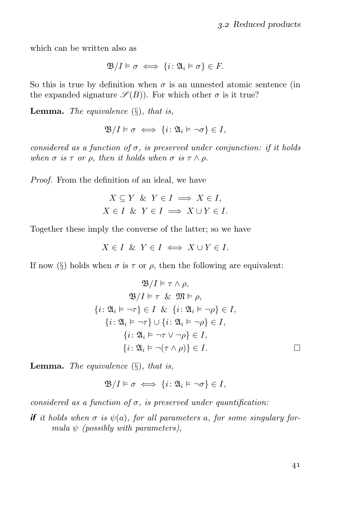which can be written also as

$$
\mathfrak{B}/I \vDash \sigma \iff \{i \colon \mathfrak{A}_i \vDash \sigma\} \in F.
$$

So this is true by definition when  $\sigma$  is an unnested atomic sentence (in the expanded signature  $\mathscr{S}(B)$ ). For which other  $\sigma$  is it true?

**Lemma.** The equivalence  $(\S)$ , that is,

$$
\mathfrak{B}/I \vDash \sigma \iff \{i \colon \mathfrak{A}_i \vDash \neg \sigma\} \in I,
$$

considered as a function of  $\sigma$ , is preserved under conjunction: if it holds when  $\sigma$  is  $\tau$  or  $\rho$ , then it holds when  $\sigma$  is  $\tau \wedge \rho$ .

Proof. From the definition of an ideal, we have

$$
X \subseteq Y \& Y \in I \implies X \in I,
$$
\n
$$
X \in I \& Y \in I \implies X \cup Y \in I.
$$

Together these imply the converse of the latter; so we have

$$
X \in I \ \& \ Y \in I \iff X \cup Y \in I.
$$

If now (§) holds when  $\sigma$  is  $\tau$  or  $\rho$ , then the following are equivalent:

$$
\mathfrak{B}/I \vDash \tau \wedge \rho,
$$
  
\n
$$
\mathfrak{B}/I \vDash \tau \& \mathfrak{M} \vDash \rho,
$$
  
\n
$$
\{i: \mathfrak{A}_i \vDash \neg \tau\} \in I \& \{i: \mathfrak{A}_i \vDash \neg \rho\} \in I,
$$
  
\n
$$
\{i: \mathfrak{A}_i \vDash \neg \tau\} \cup \{i: \mathfrak{A}_i \vDash \neg \rho\} \in I,
$$
  
\n
$$
\{i: \mathfrak{A}_i \vDash \neg \tau \vee \neg \rho\} \in I,
$$
  
\n
$$
\{i: \mathfrak{A}_i \vDash \neg (\tau \wedge \rho)\} \in I.
$$

**Lemma.** The equivalence  $(\S)$ , that is,

$$
\mathfrak{B}/I \vDash \sigma \iff \{i \colon \mathfrak{A}_i \vDash \neg \sigma\} \in I,
$$

considered as a function of  $\sigma$ , is preserved under quantification:

**if** it holds when  $\sigma$  is  $\psi(a)$ , for all parameters a, for some singulary formula  $\psi$  (possibly with parameters),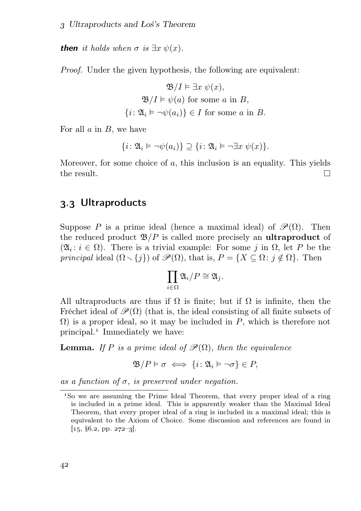**then** it holds when  $\sigma$  is  $\exists x \psi(x)$ .

Proof. Under the given hypothesis, the following are equivalent:

$$
\mathfrak{B}/I \vDash \exists x \ \psi(x),
$$

$$
\mathfrak{B}/I \vDash \psi(a) \text{ for some } a \text{ in } B,
$$

$$
\{i : \mathfrak{A}_i \vDash \neg \psi(a_i)\} \in I \text{ for some } a \text{ in } B.
$$

For all  $a$  in  $B$ , we have

$$
\{i\colon \mathfrak{A}_i \vDash \neg \psi(a_i)\} \supseteq \{i\colon \mathfrak{A}_i \vDash \neg \exists x \ \psi(x)\}.
$$

Moreover, for some choice of  $a$ , this inclusion is an equality. This yields the result. П

# 3.3 Ultraproducts

Suppose P is a prime ideal (hence a maximal ideal) of  $\mathscr{P}(\Omega)$ . Then the reduced product  $\mathfrak{B}/P$  is called more precisely an **ultraproduct** of  $(\mathfrak{A}_i : i \in \Omega)$ . There is a trivial example: For some j in  $\Omega$ , let P be the principal ideal  $(\Omega \setminus \{j\})$  of  $\mathscr{P}(\Omega)$ , that is,  $P = \{X \subseteq \Omega : j \notin \Omega\}$ . Then

$$
\prod_{i\in\Omega}\mathfrak{A}_i/P\cong\mathfrak{A}_j.
$$

All ultraproducts are thus if  $\Omega$  is finite; but if  $\Omega$  is infinite, then the Fréchet ideal of  $\mathscr{P}(\Omega)$  (that is, the ideal consisting of all finite subsets of  $\Omega$ ) is a proper ideal, so it may be included in P, which is therefore not principal. Immediately we have:

**Lemma.** If P is a prime ideal of  $\mathcal{P}(\Omega)$ , then the equivalence

$$
\mathfrak{B}/P \vDash \sigma \iff \{i \colon \mathfrak{A}_i \vDash \neg \sigma\} \in P,
$$

as a function of  $\sigma$ , is preserved under negation.

So we are assuming the Prime Ideal Theorem, that every proper ideal of a ring is included in a prime ideal. This is apparently weaker than the Maximal Ideal Theorem, that every proper ideal of a ring is included in a maximal ideal; this is equivalent to the Axiom of Choice. Some discussion and references are found in  $[15, §6.2, pp. 272-3].$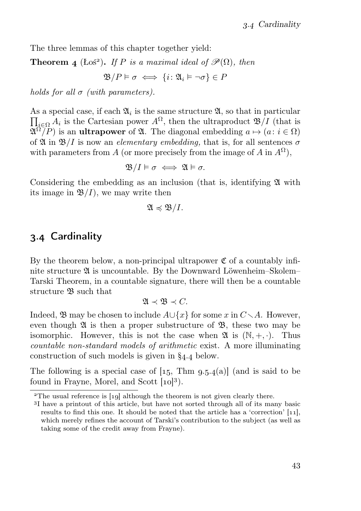The three lemmas of this chapter together yield:

**Theorem 4** (Łoś<sup>2</sup>). If P is a maximal ideal of  $\mathcal{P}(\Omega)$ , then

$$
\mathfrak{B}/P \vDash \sigma \iff \{i \colon \mathfrak{A}_i \vDash \neg \sigma\} \in P
$$

holds for all  $\sigma$  (with parameters).

As a special case, if each  $\mathfrak{A}_i$  is the same structure  $\mathfrak{A}$ , so that in particular  $\prod_{i\in\Omega} A_i$  is the Cartesian power  $A^{\Omega}$ , then the ultraproduct  $\mathfrak{B}/I$  (that is  $\mathfrak{A}^{\Omega}/P$ ) is an **ultrapower** of  $\mathfrak{A}$ . The diagonal embedding  $a \mapsto (a : i \in \Omega)$ of  $\mathfrak{A}$  in  $\mathfrak{B}/I$  is now an *elementary embedding*, that is, for all sentences  $\sigma$ with parameters from A (or more precisely from the image of A in  $A^{\Omega}$ ),

$$
\mathfrak{B}/I \vDash \sigma \iff \mathfrak{A} \vDash \sigma.
$$

Considering the embedding as an inclusion (that is, identifying  $\mathfrak A$  with its image in  $\mathfrak{B}/I$ , we may write then

$$
\mathfrak{A}\preccurlyeq \mathfrak{B}/I.
$$

# 3.4 Cardinality

By the theorem below, a non-principal ultrapower  $\mathfrak C$  of a countably infinite structure A is uncountable. By the Downward Löwenheim–Skolem– Tarski Theorem, in a countable signature, there will then be a countable structure  $\mathfrak B$  such that

$$
\mathfrak{A}\prec\mathfrak{B}\prec C.
$$

Indeed,  $\mathfrak{B}$  may be chosen to include  $A \cup \{x\}$  for some x in  $C \setminus A$ . However, even though  $\mathfrak A$  is then a proper substructure of  $\mathfrak B$ , these two may be isomorphic. However, this is not the case when  $\mathfrak{A}$  is  $(\mathbb{N}, +, \cdot)$ . Thus countable non-standard models of arithmetic exist. A more illuminating construction of such models is given in  $\S_{4.4}$  below.

The following is a special case of  $[15, Thm\, 9.5.4(a)]$  (and is said to be found in Frayne, Morel, and Scott  $[10]^{3}$ ).

 $2$ The usual reference is [19] although the theorem is not given clearly there.

I have a printout of this article, but have not sorted through all of its many basic results to find this one. It should be noted that the article has a 'correction'  $[11]$ , which merely refines the account of Tarski's contribution to the subject (as well as taking some of the credit away from Frayne).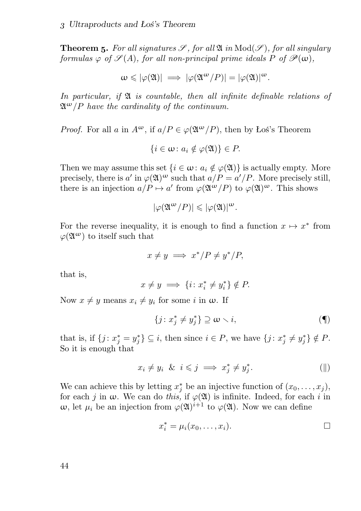**Theorem 5.** For all signatures  $\mathscr{S}$ , for all  $\mathfrak{A}$  in  $\text{Mod}(\mathscr{S})$ , for all singulary formulas  $\varphi$  of  $\mathscr{S}(A)$ , for all non-principal prime ideals P of  $\mathscr{P}(\omega)$ ,

$$
\omega \leqslant |\varphi(\mathfrak{A})| \implies |\varphi(\mathfrak{A}^{\omega}/P)| = |\varphi(\mathfrak{A})|^{\omega}.
$$

In particular, if  $\mathfrak A$  is countable, then all infinite definable relations of  $\mathfrak{A}^{\omega}/P$  have the cardinality of the continuum.

*Proof.* For all a in  $A^{\omega}$ , if  $a/P \in \varphi(\mathfrak{A}^{\omega}/P)$ , then by Łoś's Theorem

$$
\{i\in\omega\colon a_i\notin\varphi(\mathfrak{A})\}\in P.
$$

Then we may assume this set  $\{i \in \omega : a_i \notin \varphi(\mathfrak{A})\}$  is actually empty. More precisely, there is a' in  $\varphi(\mathfrak{A})^{\omega}$  such that  $a/P = a'/P$ . More precisely still, there is an injection  $a/P \mapsto a'$  from  $\varphi(\mathfrak{A}^{\omega}/P)$  to  $\varphi(\mathfrak{A})^{\omega}$ . This shows

$$
|\varphi(\mathfrak{A}^{\omega}/P)| \leqslant |\varphi(\mathfrak{A})|^{\omega}.
$$

For the reverse inequality, it is enough to find a function  $x \mapsto x^*$  from  $\varphi(\mathfrak{A}^{\omega})$  to itself such that

$$
x \neq y \implies x^* / P \neq y^* / P,
$$

that is,

$$
x \neq y \implies \{i \colon x_i^* \neq y_i^*\} \notin P.
$$

Now  $x \neq y$  means  $x_i \neq y_i$  for some i in  $\omega$ . If

$$
\{j: x_j^* \neq y_j^*\} \supseteq \omega \setminus i,\tag{\P}
$$

that is, if  $\{j : x_j^* = y_j^*\} \subseteq i$ , then since  $i \in P$ , we have  $\{j : x_j^* \neq y_j^*\} \notin P$ . So it is enough that

$$
x_i \neq y_i \& i \leq j \implies x_j^* \neq y_j^*.
$$
 (||)

We can achieve this by letting  $x_j^*$  be an injective function of  $(x_0, \ldots, x_j)$ , for each j in  $\omega$ . We can do this, if  $\varphi(\mathfrak{A})$  is infinite. Indeed, for each i in  $ω$ , let  $μ<sub>i</sub>$  be an injection from  $φ(3<sup>i+1</sup>$  to  $φ(3<sup>i</sup>)$ . Now we can define

$$
x_i^* = \mu_i(x_0, \ldots, x_i).
$$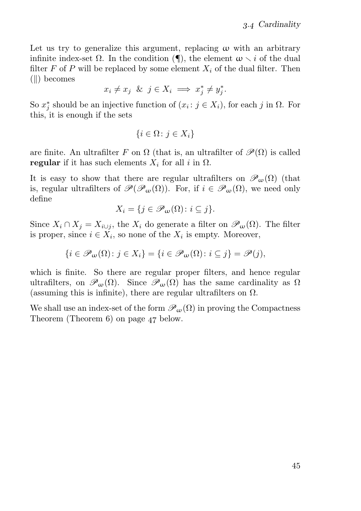Let us try to generalize this argument, replacing  $\omega$  with an arbitrary infinite index-set  $\Omega$ . In the condition ( $\P$ ), the element  $\omega \setminus i$  of the dual filter F of P will be replaced by some element  $X_i$  of the dual filter. Then  $(||$ ) becomes

$$
x_i \neq x_j \ \& \ j \in X_i \implies x_j^* \neq y_j^*.
$$

So  $x_j^*$  should be an injective function of  $(x_i : j \in X_i)$ , for each j in  $\Omega$ . For this, it is enough if the sets

$$
\{i\in\Omega\colon j\in X_i\}
$$

are finite. An ultrafilter F on  $\Omega$  (that is, an ultrafilter of  $\mathscr{P}(\Omega)$  is called regular if it has such elements  $X_i$  for all i in  $\Omega$ .

It is easy to show that there are regular ultrafilters on  $\mathscr{P}_{\omega}(\Omega)$  (that is, regular ultrafilters of  $\mathscr{P}(\mathscr{P}_{\omega}(\Omega))$ . For, if  $i \in \mathscr{P}_{\omega}(\Omega)$ , we need only define

$$
X_i = \{ j \in \mathscr{P}_{\omega}(\Omega) : i \subseteq j \}.
$$

Since  $X_i \cap X_j = X_{i \cup j}$ , the  $X_i$  do generate a filter on  $\mathscr{P}_{\omega}(\Omega)$ . The filter is proper, since  $i \in X_i$ , so none of the  $X_i$  is empty. Moreover,

$$
\{i\in\mathscr{P}_{\omega}(\Omega)\colon j\in X_i\}=\{i\in\mathscr{P}_{\omega}(\Omega)\colon i\subseteq j\}=\mathscr{P}(j),
$$

which is finite. So there are regular proper filters, and hence regular ultrafilters, on  $\mathscr{P}_{\omega}(\Omega)$ . Since  $\mathscr{P}_{\omega}(\Omega)$  has the same cardinality as  $\Omega$ (assuming this is infinite), there are regular ultrafilters on  $\Omega$ .

We shall use an index-set of the form  $\mathcal{P}_{\omega}(\Omega)$  in proving the Compactness Theorem (Theorem  $6$ ) on page  $47$  below.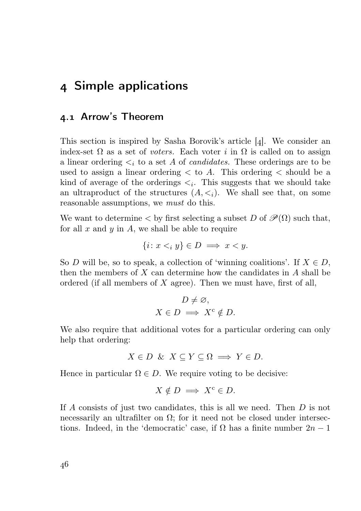# Simple applications

#### . Arrow's Theorem

This section is inspired by Sasha Borovik's article  $[4]$ . We consider an index-set  $\Omega$  as a set of voters. Each voter i in  $\Omega$  is called on to assign a linear ordering  $\lt_i$  to a set A of *candidates*. These orderings are to be used to assign a linear ordering  $\lt$  to A. This ordering  $\lt$  should be a kind of average of the orderings  $\lt_i$ . This suggests that we should take an ultraproduct of the structures  $(A, \leq_i)$ . We shall see that, on some reasonable assumptions, we must do this.

We want to determine  $\lt$  by first selecting a subset D of  $\mathscr{P}(\Omega)$  such that, for all  $x$  and  $y$  in  $A$ , we shall be able to require

$$
\{i \colon x <_{i} y\} \in D \implies x < y.
$$

So D will be, so to speak, a collection of 'winning coalitions'. If  $X \in D$ , then the members of  $X$  can determine how the candidates in  $A$  shall be ordered (if all members of  $X$  agree). Then we must have, first of all,

$$
D \neq \emptyset,
$$
  

$$
X \in D \implies X^c \notin D.
$$

We also require that additional votes for a particular ordering can only help that ordering:

$$
X \in D \& X \subseteq Y \subseteq \Omega \implies Y \in D.
$$

Hence in particular  $\Omega \in D$ . We require voting to be decisive:

$$
X \notin D \implies X^c \in D.
$$

If A consists of just two candidates, this is all we need. Then D is not necessarily an ultrafilter on  $\Omega$ ; for it need not be closed under intersections. Indeed, in the 'democratic' case, if  $\Omega$  has a finite number  $2n-1$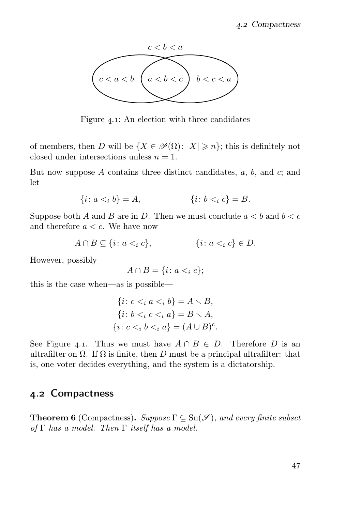

Figure 4.1: An election with three candidates

of members, then D will be  $\{X \in \mathscr{P}(\Omega): |X| \geq n\}$ ; this is definitely not closed under intersections unless  $n = 1$ .

But now suppose A contains three distinct candidates,  $a, b$ , and  $c$ ; and let

$$
\{i \colon a <_i b\} = A, \qquad \{i \colon b <_i c\} = B.
$$

Suppose both A and B are in D. Then we must conclude  $a < b$  and  $b < c$ and therefore  $a < c$ . We have now

$$
A \cap B \subseteq \{i \colon a <_i c\}, \qquad \{i \colon a <_i c\} \in D.
$$

However, possibly

$$
A \cap B = \{i \colon a <_i c\};
$$

this is the case when—as is possible—

$$
\{i: c <_i a <_i b\} = A \setminus B,
$$
  

$$
\{i: b <_i c <_i a\} = B \setminus A,
$$
  

$$
\{i: c <_i b <_i a\} = (A \cup B)^c.
$$

See Figure 4.1. Thus we must have  $A \cap B \in D$ . Therefore D is an ultrafilter on  $\Omega$ . If  $\Omega$  is finite, then D must be a principal ultrafilter: that is, one voter decides everything, and the system is a dictatorship.

#### . Compactness

**Theorem 6** (Compactness). Suppose  $\Gamma \subseteq \text{Sn}(\mathscr{S})$ , and every finite subset of  $\Gamma$  has a model. Then  $\Gamma$  itself has a model.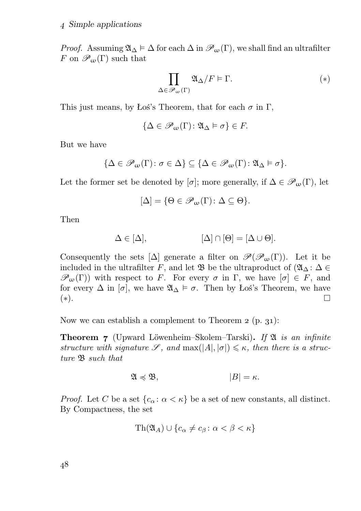*Proof.* Assuming  $\mathfrak{A}_{\Delta} \models \Delta$  for each  $\Delta$  in  $\mathscr{P}_{\omega}(\Gamma)$ , we shall find an ultrafilter F on  $\mathscr{P}_{\omega}(\Gamma)$  such that

$$
\prod_{\Delta \in \mathcal{P}_{\omega}(\Gamma)} \mathfrak{A}_{\Delta}/F \vDash \Gamma.
$$
 (\*)

This just means, by Łoś's Theorem, that for each  $\sigma$  in  $\Gamma$ ,

$$
\{\Delta\in\mathscr{P}_{\omega}(\Gamma)\colon\mathfrak{A}_{\Delta}\vDash\sigma\}\in F.
$$

But we have

$$
\{\Delta\in\mathscr{P}_{\omega}(\Gamma)\colon\sigma\in\Delta\}\subseteq\{\Delta\in\mathscr{P}_{\omega}(\Gamma)\colon\mathfrak{A}_{\Delta}\vDash\sigma\}.
$$

Let the former set be denoted by [ $\sigma$ ]; more generally, if  $\Delta \in \mathscr{P}_{\omega}(\Gamma)$ , let

$$
[\Delta]=\{\Theta\in\mathscr{P}_{\omega}(\Gamma)\colon \Delta\subseteq\Theta\}.
$$

Then

$$
\Delta \in [\Delta], \qquad [\Delta] \cap [\Theta] = [\Delta \cup \Theta].
$$

Consequently the sets  $[\Delta]$  generate a filter on  $\mathscr{P}(\mathscr{P}_{\omega}(\Gamma))$ . Let it be included in the ultrafilter F, and let  $\mathfrak{B}$  be the ultraproduct of  $(\mathfrak{A}_{\Delta} : \Delta \in$  $\mathscr{P}_{\omega}(\Gamma)$  with respect to F. For every  $\sigma$  in  $\Gamma$ , we have  $[\sigma] \in F$ , and for every  $\Delta$  in  $[\sigma]$ , we have  $\mathfrak{A}_{\Delta} \models \sigma$ . Then by Łoś's Theorem, we have (∗). □

Now we can establish a complement to Theorem  $2$  (p. 31):

**Theorem 7** (Upward Löwenheim–Skolem–Tarski). If  $\mathfrak{A}$  is an infinite structure with signature  $\mathscr{S}$ , and  $\max(|A|, |\sigma|) \leq \kappa$ , then there is a structure B such that

$$
\mathfrak{A} \preccurlyeq \mathfrak{B}, \qquad |B| = \kappa.
$$

*Proof.* Let C be a set  $\{c_{\alpha}: \alpha < \kappa\}$  be a set of new constants, all distinct. By Compactness, the set

$$
\mathrm{Th}(\mathfrak{A}_A) \cup \{c_\alpha \neq c_\beta \colon \alpha < \beta < \kappa\}
$$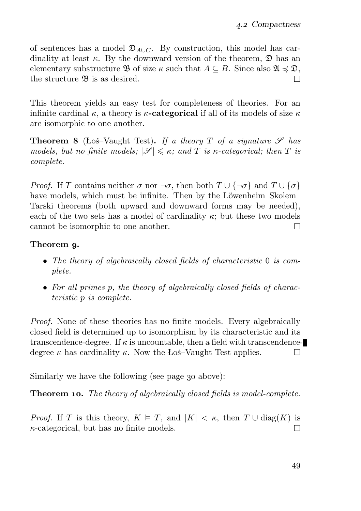of sentences has a model  $\mathfrak{D}_{A\cup C}$ . By construction, this model has cardinality at least  $\kappa$ . By the downward version of the theorem,  $\mathfrak{D}$  has an elementary substructure **B** of size  $\kappa$  such that  $A \subseteq B$ . Since also  $\mathfrak{A} \preccurlyeq \mathfrak{D}$ , the structure **B** is as desired. the structure **B** is as desired.

This theorem yields an easy test for completeness of theories. For an infinite cardinal  $\kappa$ , a theory is  $\kappa$ -categorical if all of its models of size  $\kappa$ are isomorphic to one another.

**Theorem 8** (Łoś–Vaught Test). If a theory T of a signature  $\mathscr S$  has models, but no finite models;  $|\mathscr{S}| \leq \kappa$ ; and T is  $\kappa$ -categorical; then T is complete.

*Proof.* If T contains neither  $\sigma$  nor  $\neg \sigma$ , then both  $T \cup {\neg \sigma}$  and  $T \cup {\sigma}$ have models, which must be infinite. Then by the Löwenheim–Skolem– Tarski theorems (both upward and downward forms may be needed), each of the two sets has a model of cardinality  $\kappa$ ; but these two models cannot be isomorphic to one another.  $\Box$ 

#### Theorem 9.

- The theory of algebraically closed fields of characteristic 0 is complete.
- For all primes p, the theory of algebraically closed fields of characteristic p is complete.

Proof. None of these theories has no finite models. Every algebraically closed field is determined up to isomorphism by its characteristic and its transcendence-degree. If  $\kappa$  is uncountable, then a field with transcendencedegree  $\kappa$  has cardinality  $\kappa$ . Now the Łoś–Vaught Test applies.  $\Box$ 

Similarly we have the following (see page 30 above):

**Theorem 10.** The theory of algebraically closed fields is model-complete.

*Proof.* If T is this theory,  $K \models T$ , and  $|K| < \kappa$ , then  $T \cup diag(K)$  is  $\kappa$ -categorical, but has no finite models.  $\kappa$ -categorical, but has no finite models.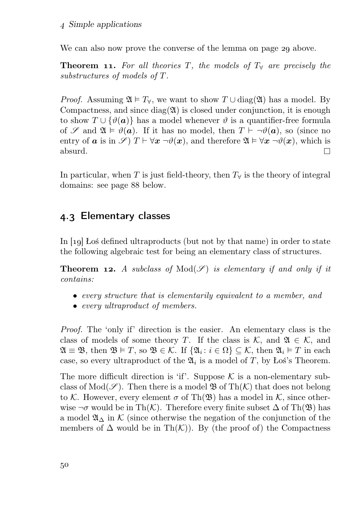We can also now prove the converse of the lemma on page 29 above.

**Theorem 11.** For all theories T, the models of  $T_\forall$  are precisely the substructures of models of T.

*Proof.* Assuming  $\mathfrak{A} \models T_{\forall}$ , we want to show  $T \cup \text{diag}(\mathfrak{A})$  has a model. By Compactness, and since  $diag(2\ell)$  is closed under conjunction, it is enough to show  $T \cup {\vartheta(a)}$  has a model whenever  $\vartheta$  is a quantifier-free formula of S and  $\mathfrak{A} \models \vartheta(\mathbf{a})$ . If it has no model, then  $T \vdash \neg \vartheta(\mathbf{a})$ , so (since no entry of **a** is in  $\mathscr{S}$  )  $T \vdash \forall x \neg \vartheta(x)$ , and therefore  $\mathfrak{A} \models \forall x \neg \vartheta(x)$ , which is absurd. absurd.

In particular, when T is just field-theory, then  $T_{\forall}$  is the theory of integral domains: see page 88 below.

# 4.3 Elementary classes

In  $\lceil \log n \rceil$  Los defined ultraproducts (but not by that name) in order to state the following algebraic test for being an elementary class of structures.

**Theorem 12.** A subclass of  $Mod(\mathscr{S})$  is elementary if and only if it contains:

- every structure that is elementarily equivalent to a member, and
- every ultraproduct of members.

Proof. The 'only if' direction is the easier. An elementary class is the class of models of some theory T. If the class is  $\mathcal{K}$ , and  $\mathfrak{A} \in \mathcal{K}$ , and  $\mathfrak{A} \equiv \mathfrak{B}$ , then  $\mathfrak{B} \models T$ , so  $\mathfrak{B} \in \mathcal{K}$ . If  $\{\mathfrak{A}_i : i \in \Omega\} \subseteq \mathcal{K}$ , then  $\mathfrak{A}_i \models T$  in each case, so every ultraproduct of the  $\mathfrak{A}_i$  is a model of T, by Łoś's Theorem.

The more difficult direction is 'if'. Suppose  $K$  is a non-elementary subclass of  $Mod(\mathscr{S})$ . Then there is a model  $\mathfrak{B}$  of  $Th(\mathcal{K})$  that does not belong to K. However, every element  $\sigma$  of Th( $\mathfrak{B}$ ) has a model in K, since otherwise  $\neg \sigma$  would be in Th(K). Therefore every finite subset  $\Delta$  of Th( $\mathfrak{B}$ ) has a model  $\mathfrak{A}_{\Delta}$  in K (since otherwise the negation of the conjunction of the members of  $\Delta$  would be in Th $(K)$ ). By (the proof of) the Compactness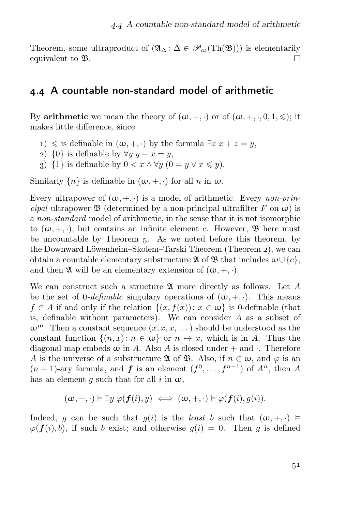Theorem, some ultraproduct of  $(\mathfrak{A}_{\Delta} : \Delta \in \mathcal{P}_{\omega}(Th(\mathfrak{B})))$  is elementarily equivalent to  $\mathfrak{B}$ equivalent to B.

#### . A countable non-standard model of arithmetic

By **arithmetic** we mean the theory of  $(\omega, +, \cdot)$  or of  $(\omega, +, \cdot, 0, 1, \leq)$ ; it makes little difference, since

- 1) ≤ is definable in  $(ω, +, ·)$  by the formula  $∃z x + z = y$ ,
- 2)  $\{0\}$  is definable by  $\forall y \ y + x = y$ ,
- 3) {1} is definable by  $0 < x \wedge \forall y$   $(0 = y \vee x \leq y)$ .

Similarly  $\{n\}$  is definable in  $(\omega, +, \cdot)$  for all n in  $\omega$ .

Every ultrapower of  $(\omega, +, \cdot)$  is a model of arithmetic. Every *non-prin*cipal ultrapower  $\mathfrak{B}$  (determined by a non-principal ultrafilter F on  $\omega$ ) is a non-standard model of arithmetic, in the sense that it is not isomorphic to  $(\omega, +, \cdot)$ , but contains an infinite element c. However,  $\mathfrak{B}$  here must be uncountable by Theorem 5. As we noted before this theorem, by the Downward Löwenheim–Skolem–Tarski Theorem (Theorem ), we can obtain a countable elementary substructure  $\mathfrak A$  of  $\mathfrak B$  that includes  $\omega \cup \{c\},$ and then  $\mathfrak A$  will be an elementary extension of  $(\omega, +, \cdot)$ .

We can construct such a structure  $\mathfrak A$  more directly as follows. Let A be the set of  $0$ -definable singulary operations of  $(\omega, +, \cdot)$ . This means  $f \in A$  if and only if the relation  $\{(x, f(x)) : x \in \omega\}$  is 0-definable (that is, definable without parameters). We can consider A as a subset of  $\omega^{\omega}$ . Then a constant sequence  $(x, x, x, ...)$  should be understood as the constant function  $\{(n, x): n \in \omega\}$  or  $n \mapsto x$ , which is in A. Thus the diagonal map embeds  $\omega$  in A. Also A is closed under  $+$  and  $\cdot$ . Therefore A is the universe of a substructure  $\mathfrak A$  of  $\mathfrak B$ . Also, if  $n \in \omega$ , and  $\varphi$  is an  $(n+1)$ -ary formula, and **f** is an element  $(f^0, \ldots, f^{n-1})$  of  $A^n$ , then A has an element g such that for all i in  $\omega$ ,

$$
(\omega,+,\cdot) \vDash \exists y \ \varphi(\boldsymbol{f}(i),y) \iff (\omega,+,\cdot) \vDash \varphi(\boldsymbol{f}(i),g(i)).
$$

Indeed, g can be such that  $g(i)$  is the least b such that  $(\omega, +, \cdot) \models$  $\varphi(\bm{f}(i), b)$ , if such b exist; and otherwise  $g(i) = 0$ . Then g is defined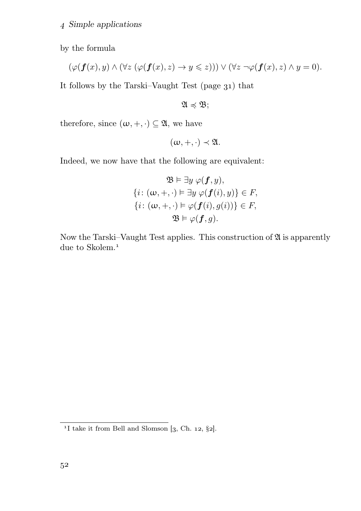by the formula

$$
(\varphi(\boldsymbol{f}(x),y)\wedge(\forall z\;(\varphi(\boldsymbol{f}(x),z)\rightarrow y\leqslant z)))\vee(\forall z\;\neg\varphi(\boldsymbol{f}(x),z)\wedge y=0).
$$

It follows by the Tarski–Vaught Test (page  $31$ ) that

 $\mathfrak{A} \preccurlyeq \mathfrak{B}$ ;

therefore, since  $(\omega, +, \cdot) \subseteq \mathfrak{A}$ , we have

$$
(\omega, +, \cdot) \prec \mathfrak{A}.
$$

Indeed, we now have that the following are equivalent:

$$
\mathfrak{B} \vDash \exists y \ \varphi(\mathbf{f}, y),
$$

$$
\{i \colon (\omega, +, \cdot) \vDash \exists y \ \varphi(\mathbf{f}(i), y)\} \in F,
$$

$$
\{i \colon (\omega, +, \cdot) \vDash \varphi(\mathbf{f}(i), g(i))\} \in F,
$$

$$
\mathfrak{B} \vDash \varphi(\mathbf{f}, g).
$$

Now the Tarski–Vaught Test applies. This construction of  $\mathfrak A$  is apparently due to Skolem.<sup>1</sup>

<sup>&</sup>lt;sup>1</sup>I take it from Bell and Slomson  $[3, Ch. 12, §2]$ .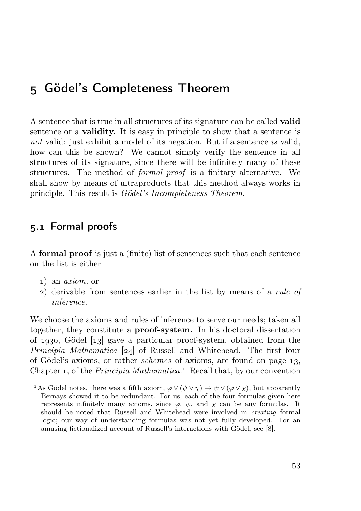# Gödel's Completeness Theorem

A sentence that is true in all structures of its signature can be called valid sentence or a validity. It is easy in principle to show that a sentence is not valid: just exhibit a model of its negation. But if a sentence is valid, how can this be shown? We cannot simply verify the sentence in all structures of its signature, since there will be infinitely many of these structures. The method of formal proof is a finitary alternative. We shall show by means of ultraproducts that this method always works in principle. This result is Gödel's Incompleteness Theorem.

# . Formal proofs

A formal proof is just a (finite) list of sentences such that each sentence on the list is either

- ) an axiom, or
- ) derivable from sentences earlier in the list by means of a rule of inference.

We choose the axioms and rules of inference to serve our needs; taken all together, they constitute a proof-system. In his doctoral dissertation of 1930, Gödel  $\begin{bmatrix} 1 & 3 \end{bmatrix}$  gave a particular proof-system, obtained from the *Principia Mathematica* [24] of Russell and Whitehead. The first four of Gödel's axioms, or rather *schemes* of axioms, are found on page 13, Chapter 1, of the *Principia Mathematica*.<sup>1</sup> Recall that, by our convention

<sup>&</sup>lt;sup>1</sup>As Gödel notes, there was a fifth axiom,  $\varphi \lor (\psi \lor \chi) \to \psi \lor (\varphi \lor \chi)$ , but apparently Bernays showed it to be redundant. For us, each of the four formulas given here represents infinitely many axioms, since  $\varphi$ ,  $\psi$ , and  $\chi$  can be any formulas. It should be noted that Russell and Whitehead were involved in creating formal logic; our way of understanding formulas was not yet fully developed. For an amusing fictionalized account of Russell's interactions with Gödel, see [8].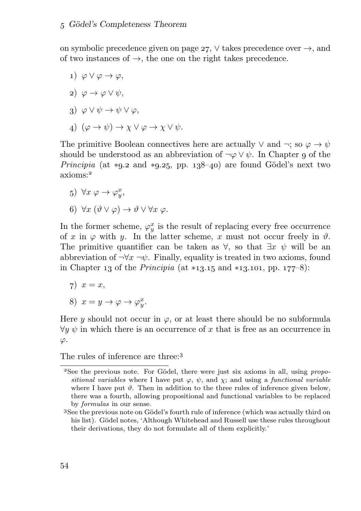on symbolic precedence given on page 27,  $\vee$  takes precedence over  $\rightarrow$ , and of two instances of  $\rightarrow$ , the one on the right takes precedence.

- 1)  $\varphi \vee \varphi \rightarrow \varphi$ ,
- 2)  $\varphi \to \varphi \vee \psi$ ,
- 3)  $\varphi \vee \psi \rightarrow \psi \vee \varphi$ ,
- 4)  $(\varphi \to \psi) \to \chi \lor \varphi \to \chi \lor \psi$ .

The primitive Boolean connectives here are actually  $\vee$  and  $\neg$ ; so  $\varphi \rightarrow \psi$ should be understood as an abbreviation of  $\neg \varphi \lor \psi$ . In Chapter 9 of the *Principia* (at \*9.2 and \*9.25, pp. 138-40) are found Gödel's next two axioms:

- 5)  $\forall x \varphi \rightarrow \varphi_y^x$ ,
- 6)  $\forall x (\vartheta \vee \varphi) \rightarrow \vartheta \vee \forall x \varphi$ .

In the former scheme,  $\varphi_y^x$  is the result of replacing every free occurrence of x in  $\varphi$  with y. In the latter scheme, x must not occur freely in  $\vartheta$ . The primitive quantifier can be taken as  $\forall$ , so that  $\exists x \psi$  will be an abbreviation of  $\neg\forall x \neg\psi$ . Finally, equality is treated in two axioms, found in Chapter 13 of the *Principia* (at  $*13.15$  and  $*13.101$ , pp.  $177-8$ ):

- $\tau$ )  $x = x$ ,
- 8)  $x = y \rightarrow \varphi \rightarrow \varphi_y^x$ .

Here y should not occur in  $\varphi$ , or at least there should be no subformula  $\forall y \psi$  in which there is an occurrence of x that is free as an occurrence in  $\varphi$ .

The rules of inference are three<sup>3</sup>

<sup>&</sup>lt;sup>2</sup>See the previous note. For Gödel, there were just six axioms in all, using *propo*sitional variables where I have put  $\varphi$ ,  $\psi$ , and  $\chi$ ; and using a functional variable where I have put  $\vartheta$ . Then in addition to the three rules of inference given below, there was a fourth, allowing propositional and functional variables to be replaced by formulas in our sense.

See the previous note on Gödel's fourth rule of inference (which was actually third on his list). Gödel notes, 'Although Whitehead and Russell use these rules throughout their derivations, they do not formulate all of them explicitly.'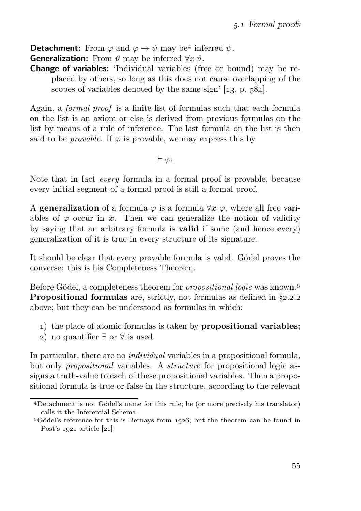**Detachment:** From  $\varphi$  and  $\varphi \to \psi$  may be<sup>4</sup> inferred  $\psi$ .

**Generalization:** From  $\vartheta$  may be inferred  $\forall x \vartheta$ .

**Change of variables:** 'Individual variables (free or bound) may be replaced by others, so long as this does not cause overlapping of the scopes of variables denoted by the same sign'  $[13, p. 584]$ .

Again, a formal proof is a finite list of formulas such that each formula on the list is an axiom or else is derived from previous formulas on the list by means of a rule of inference. The last formula on the list is then said to be *provable*. If  $\varphi$  is provable, we may express this by

⊢ ϕ.

Note that in fact every formula in a formal proof is provable, because every initial segment of a formal proof is still a formal proof.

A generalization of a formula  $\varphi$  is a formula  $\forall x \varphi$ , where all free variables of  $\varphi$  occur in x. Then we can generalize the notion of validity by saying that an arbitrary formula is valid if some (and hence every) generalization of it is true in every structure of its signature.

It should be clear that every provable formula is valid. Gödel proves the converse: this is his Completeness Theorem.

Before Gödel, a completeness theorem for *propositional logic* was known.<sup>5</sup> **Propositional formulas** are, strictly, not formulas as defined in  $\S$ 2.2.2 above; but they can be understood as formulas in which:

- ) the place of atomic formulas is taken by propositional variables;
- ) no quantifier ∃ or ∀ is used.

In particular, there are no *individual* variables in a propositional formula, but only *propositional* variables. A *structure* for propositional logic assigns a truth-value to each of these propositional variables. Then a propositional formula is true or false in the structure, according to the relevant

Detachment is not Gödel's name for this rule; he (or more precisely his translator) calls it the Inferential Schema.

 $5$ Gödel's reference for this is Bernays from 1926; but the theorem can be found in Post's  $1921$  article  $[21]$ .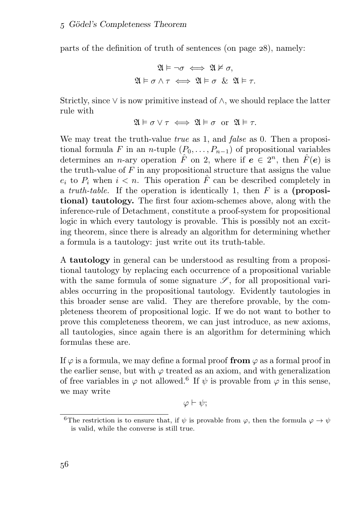parts of the definition of truth of sentences (on page  $28$ ), namely:

$$
\mathfrak{A} \models \neg \sigma \iff \mathfrak{A} \nvDash \sigma,
$$
  

$$
\mathfrak{A} \models \sigma \land \tau \iff \mathfrak{A} \models \sigma \& \mathfrak{A} \models \tau.
$$

Strictly, since  $\vee$  is now primitive instead of  $\wedge$ , we should replace the latter rule with

$$
\mathfrak{A} \models \sigma \lor \tau \iff \mathfrak{A} \models \sigma \text{ or } \mathfrak{A} \models \tau.
$$

We may treat the truth-value *true* as 1, and *false* as 0. Then a propositional formula F in an n-tuple  $(P_0, \ldots, P_{n-1})$  of propositional variables determines an *n*-ary operation  $\hat{F}$  on 2, where if  $e \in 2^n$ , then  $\hat{F}(e)$  is the truth-value of  $F$  in any propositional structure that assigns the value  $e_i$  to  $P_i$  when  $i < n$ . This operation  $\hat{F}$  can be described completely in a *truth-table*. If the operation is identically 1, then  $F$  is a **(proposi**tional) tautology. The first four axiom-schemes above, along with the inference-rule of Detachment, constitute a proof-system for propositional logic in which every tautology is provable. This is possibly not an exciting theorem, since there is already an algorithm for determining whether a formula is a tautology: just write out its truth-table.

A tautology in general can be understood as resulting from a propositional tautology by replacing each occurrence of a propositional variable with the same formula of some signature  $\mathscr{S}$ , for all propositional variables occurring in the propositional tautology. Evidently tautologies in this broader sense are valid. They are therefore provable, by the completeness theorem of propositional logic. If we do not want to bother to prove this completeness theorem, we can just introduce, as new axioms, all tautologies, since again there is an algorithm for determining which formulas these are.

If  $\varphi$  is a formula, we may define a formal proof from  $\varphi$  as a formal proof in the earlier sense, but with  $\varphi$  treated as an axiom, and with generalization of free variables in  $\varphi$  not allowed.<sup>6</sup> If  $\psi$  is provable from  $\varphi$  in this sense, we may write

 $\varphi \vdash \psi$ ;

<sup>&</sup>lt;sup>6</sup>The restriction is to ensure that, if  $\psi$  is provable from  $\varphi$ , then the formula  $\varphi \to \psi$ is valid, while the converse is still true.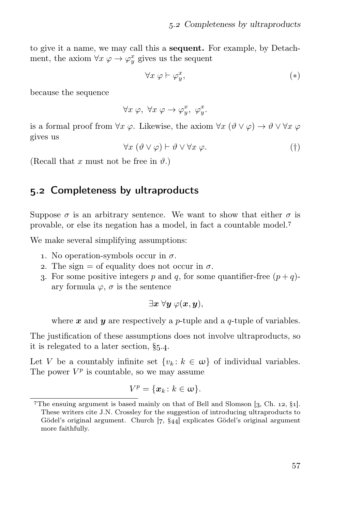to give it a name, we may call this a sequent. For example, by Detachment, the axiom  $\forall x \varphi \rightarrow \varphi_y^x$  gives us the sequent

$$
\forall x \varphi \vdash \varphi_y^x,\tag{*}
$$

because the sequence

 $\forall x \varphi, \ \forall x \varphi \rightarrow \varphi_y^x, \ \varphi_y^x.$ 

is a formal proof from  $\forall x \varphi$ . Likewise, the axiom  $\forall x (\vartheta \vee \varphi) \rightarrow \vartheta \vee \forall x \varphi$ gives us

$$
\forall x (\vartheta \vee \varphi) \vdash \vartheta \vee \forall x \varphi. \tag{\dagger}
$$

(Recall that x must not be free in  $\vartheta$ .)

### 5.2 Completeness by ultraproducts

Suppose  $\sigma$  is an arbitrary sentence. We want to show that either  $\sigma$  is provable, or else its negation has a model, in fact a countable model.

We make several simplifying assumptions:

- 1. No operation-symbols occur in  $\sigma$ .
- 2. The sign = of equality does not occur in  $\sigma$ .
- 3. For some positive integers p and q, for some quantifier-free  $(p+q)$ ary formula  $\varphi$ ,  $\sigma$  is the sentence

 $\exists x \; \forall y \; \varphi(x,y),$ 

where  $x$  and  $y$  are respectively a p-tuple and a q-tuple of variables.

The justification of these assumptions does not involve ultraproducts, so it is relegated to a later section,  $\S$ 5.4.

Let V be a countably infinite set  $\{v_k : k \in \omega\}$  of individual variables. The power  $V^p$  is countable, so we may assume

$$
V^p = \{x_k \colon k \in \omega\}.
$$

<sup>&</sup>lt;sup>7</sup>The ensuing argument is based mainly on that of Bell and Slomson  $[3, Ch. 12, §1]$ . These writers cite J.N. Crossley for the suggestion of introducing ultraproducts to Gödel's original argument. Church  $[7, §44]$  explicates Gödel's original argument more faithfully.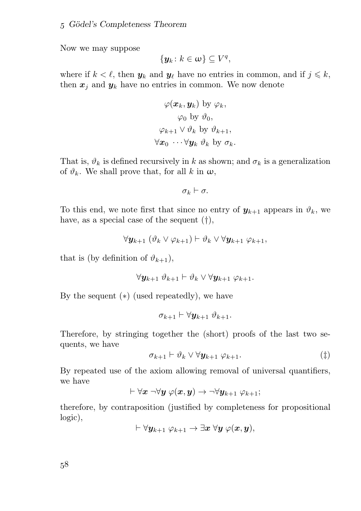Now we may suppose

$$
\{\boldsymbol{y}_k\colon k\in\omega\}\subseteq V^q,
$$

where if  $k < \ell$ , then  $y_k$  and  $y_\ell$  have no entries in common, and if  $j \leq k$ , then  $x_i$  and  $y_k$  have no entries in common. We now denote

$$
\varphi(\boldsymbol{x}_k, \boldsymbol{y}_k) \text{ by } \varphi_k,
$$
  

$$
\varphi_0 \text{ by } \vartheta_0,
$$
  

$$
\varphi_{k+1} \vee \vartheta_k \text{ by } \vartheta_{k+1},
$$
  

$$
\forall \boldsymbol{x}_0 \cdots \forall \boldsymbol{y}_k \vartheta_k \text{ by } \sigma_k.
$$

That is,  $\vartheta_k$  is defined recursively in k as shown; and  $\sigma_k$  is a generalization of  $\vartheta_k$ . We shall prove that, for all k in  $\omega$ ,

$$
\sigma_k \vdash \sigma.
$$

To this end, we note first that since no entry of  $y_{k+1}$  appears in  $\vartheta_k$ , we have, as a special case of the sequent (†),

$$
\forall \mathbf{y}_{k+1} \ (\vartheta_k \vee \varphi_{k+1}) \vdash \vartheta_k \vee \forall \mathbf{y}_{k+1} \ \varphi_{k+1},
$$

that is (by definition of  $\vartheta_{k+1}$ ),

$$
\forall \boldsymbol{y}_{k+1} \ \vartheta_{k+1} \vdash \vartheta_k \lor \forall \boldsymbol{y}_{k+1} \ \varphi_{k+1}.
$$

By the sequent  $(*)$  (used repeatedly), we have

$$
\sigma_{k+1} \vdash \forall \mathbf{y}_{k+1} \ \vartheta_{k+1}.
$$

Therefore, by stringing together the (short) proofs of the last two sequents, we have

$$
\sigma_{k+1} \vdash \vartheta_k \vee \forall \mathbf{y}_{k+1} \varphi_{k+1}.\tag{\ddagger}
$$

By repeated use of the axiom allowing removal of universal quantifiers, we have

$$
\vdash \forall \boldsymbol{x} \; \neg \forall \boldsymbol{y} \; \varphi(\boldsymbol{x}, \boldsymbol{y}) \to \neg \forall \boldsymbol{y}_{k+1} \; \varphi_{k+1};
$$

therefore, by contraposition (justified by completeness for propositional logic),

$$
\vdash \forall \boldsymbol{y}_{k+1} \ \varphi_{k+1} \rightarrow \exists \boldsymbol{x} \ \forall \boldsymbol{y} \ \varphi(\boldsymbol{x}, \boldsymbol{y}),
$$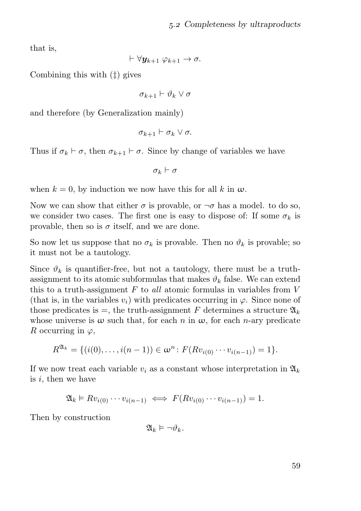that is,

$$
\vdash \forall \mathbf{y}_{k+1} \ \varphi_{k+1} \to \sigma.
$$

Combining this with (‡) gives

 $\sigma_{k+1} \vdash \vartheta_k \vee \sigma$ 

and therefore (by Generalization mainly)

$$
\sigma_{k+1} \vdash \sigma_k \vee \sigma.
$$

Thus if  $\sigma_k \vdash \sigma$ , then  $\sigma_{k+1} \vdash \sigma$ . Since by change of variables we have

 $\sigma_k \vdash \sigma$ 

when  $k = 0$ , by induction we now have this for all k in  $\omega$ .

Now we can show that either  $\sigma$  is provable, or  $\neg \sigma$  has a model. to do so, we consider two cases. The first one is easy to dispose of: If some  $\sigma_k$  is provable, then so is  $\sigma$  itself, and we are done.

So now let us suppose that no  $\sigma_k$  is provable. Then no  $\vartheta_k$  is provable; so it must not be a tautology.

Since  $\vartheta_k$  is quantifier-free, but not a tautology, there must be a truthassignment to its atomic subformulas that makes  $\vartheta_k$  false. We can extend this to a truth-assignment  $F$  to all atomic formulas in variables from  $V$ (that is, in the variables  $v_i$ ) with predicates occurring in  $\varphi$ . Since none of those predicates is  $=$ , the truth-assignment F determines a structure  $\mathfrak{A}_k$ whose universe is  $\omega$  such that, for each n in  $\omega$ , for each n-ary predicate R occurring in  $\varphi$ ,

$$
R^{\mathfrak{A}_k} = \{ (i(0), \ldots, i(n-1)) \in \omega^n : F(Rv_{i(0)} \cdots v_{i(n-1)}) = 1 \}.
$$

If we now treat each variable  $v_i$  as a constant whose interpretation in  $\mathfrak{A}_k$ is i, then we have

$$
\mathfrak{A}_k \models Rv_{i(0)} \cdots v_{i(n-1)} \iff F(Rv_{i(0)} \cdots v_{i(n-1)}) = 1.
$$

Then by construction

$$
\mathfrak{A}_k \vDash \neg \vartheta_k.
$$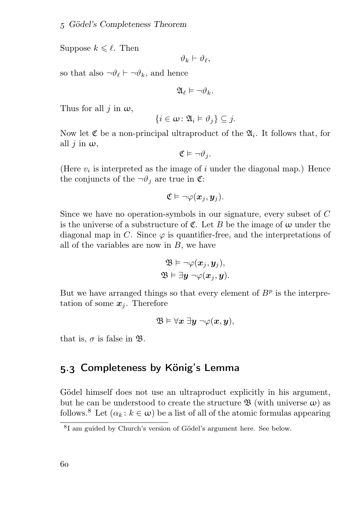Suppose  $k \leq \ell$ . Then

$$
\vartheta_k \vdash \vartheta_\ell,
$$

so that also  $\neg \vartheta_\ell \vdash \neg \vartheta_k$ , and hence

$$
\mathfrak{A}_{\ell}\vDash\neg\vartheta_k.
$$

Thus for all  $j$  in  $\omega$ ,

$$
\{i\in\omega\colon\mathfrak{A}_i\vDash\vartheta_j\}\subseteq j.
$$

Now let  $\mathfrak C$  be a non-principal ultraproduct of the  $\mathfrak A_i$ . It follows that, for all  $j$  in  $\omega$ ,

$$
\mathfrak{C}\vDash\neg\vartheta_j.
$$

(Here  $v_i$  is interpreted as the image of i under the diagonal map.) Hence the conjuncts of the  $\neg \vartheta_i$  are true in  $\mathfrak{C}$ :

$$
\mathfrak{C}\vDash\neg\varphi(\boldsymbol{x}_j,\boldsymbol{y}_j).
$$

Since we have no operation-symbols in our signature, every subset of C is the universe of a substructure of  $\mathfrak{C}$ . Let B be the image of  $\omega$  under the diagonal map in C. Since  $\varphi$  is quantifier-free, and the interpretations of all of the variables are now in  $B$ , we have

$$
\mathfrak{B}\vDash\neg\varphi(\boldsymbol{x}_j,\boldsymbol{y}_j),\\ \mathfrak{B}\vDash\exists\boldsymbol{y}\neg\varphi(\boldsymbol{x}_j,\boldsymbol{y}).
$$

But we have arranged things so that every element of  $B<sup>p</sup>$  is the interpretation of some  $x_j$ . Therefore

$$
\mathfrak{B}\vDash\forall x\;\exists y\;\neg\varphi(x,y),
$$

that is,  $\sigma$  is false in  $\mathfrak{B}$ .

# . Completeness by König's Lemma

Gödel himself does not use an ultraproduct explicitly in his argument, but he can be understood to create the structure  $\mathfrak{B}$  (with universe  $\omega$ ) as follows.<sup>8</sup> Let  $(\alpha_k : k \in \omega)$  be a list of all of the atomic formulas appearing

 ${}^{8}$ I am guided by Church's version of Gödel's argument here. See below.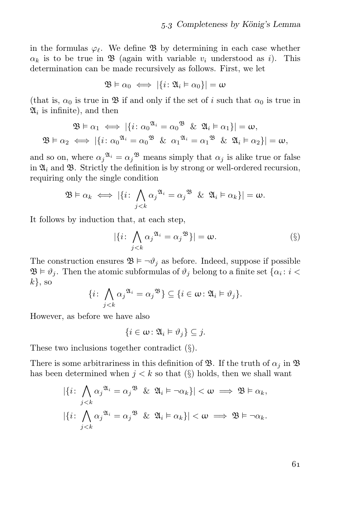in the formulas  $\varphi_{\ell}$ . We define  $\mathfrak{B}$  by determining in each case whether  $\alpha_k$  is to be true in  $\mathfrak{B}$  (again with variable  $v_i$  understood as i). This determination can be made recursively as follows. First, we let

$$
\mathfrak{B}\vDash\alpha_0\iff|\{i\colon\mathfrak{A}_i\vDash\alpha_0\}|=\omega
$$

(that is,  $\alpha_0$  is true in  $\mathfrak B$  if and only if the set of i such that  $\alpha_0$  is true in  $\mathfrak{A}_i$  is infinite), and then

$$
\mathfrak{B} \models \alpha_1 \iff |\{i : \alpha_0^{\mathfrak{A}_i} = \alpha_0^{\mathfrak{B}} \& \mathfrak{A}_i \models \alpha_1\}| = \omega,
$$
  

$$
\mathfrak{B} \models \alpha_2 \iff |\{i : \alpha_0^{\mathfrak{A}_i} = \alpha_0^{\mathfrak{B}} \& \alpha_1^{\mathfrak{A}_i} = \alpha_1^{\mathfrak{B}} \& \mathfrak{A}_i \models \alpha_2\}| = \omega,
$$

and so on, where  $\alpha_j^{\mathfrak{A}_i} = \alpha_j^{\mathfrak{B}}$  means simply that  $\alpha_j$  is alike true or false in  $\mathfrak{A}_i$  and  $\mathfrak{B}$ . Strictly the definition is by strong or well-ordered recursion, requiring only the single condition

$$
\mathfrak{B} \vDash \alpha_k \iff |\{i \colon \bigwedge_{j < k} \alpha_j^{\mathfrak{A}_i} = \alpha_j^{\mathfrak{B}} \& \mathfrak{A}_i \vDash \alpha_k\}| = \omega.
$$

It follows by induction that, at each step,

$$
|\{i: \bigwedge_{j (§)
$$

The construction ensures  $\mathfrak{B} \models \neg \vartheta_i$  as before. Indeed, suppose if possible  $\mathfrak{B} \models \vartheta_j$ . Then the atomic subformulas of  $\vartheta_j$  belong to a finite set  $\{\alpha_i : i < \vartheta_j\}$  $k$ , so

$$
\{i\colon \bigwedge_{j
$$

However, as before we have also

$$
\{i\in\omega\colon\mathfrak{A}_i\vDash\vartheta_j\}\subseteq j.
$$

These two inclusions together contradict (§).

There is some arbitrariness in this definition of  $\mathfrak{B}$ . If the truth of  $\alpha_i$  in  $\mathfrak{B}$ has been determined when  $j < k$  so that  $(\S)$  holds, then we shall want

$$
|\{i: \bigwedge_{j < k} \alpha_j^{\mathfrak{A}_i} = \alpha_j^{\mathfrak{B}} \& \mathfrak{A}_i \models \neg \alpha_k\}| < \omega \implies \mathfrak{B} \models \alpha_k,
$$
\n
$$
|\{i: \bigwedge_{j < k} \alpha_j^{\mathfrak{A}_i} = \alpha_j^{\mathfrak{B}} \& \mathfrak{A}_i \models \alpha_k\}| < \omega \implies \mathfrak{B} \models \neg \alpha_k.
$$

61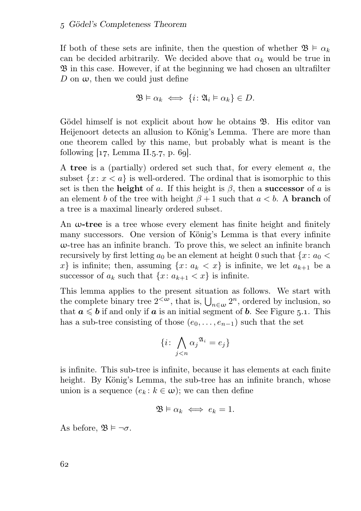If both of these sets are infinite, then the question of whether  $\mathfrak{B} \models \alpha_k$ can be decided arbitrarily. We decided above that  $\alpha_k$  would be true in  $\mathfrak{B}$  in this case. However, if at the beginning we had chosen an ultrafilter D on  $\omega$ , then we could just define

$$
\mathfrak{B}\vDash \alpha_k \iff \{i\colon \mathfrak{A}_i\vDash \alpha_k\}\in D.
$$

Gödel himself is not explicit about how he obtains B. His editor van Heijenoort detects an allusion to König's Lemma. There are more than one theorem called by this name, but probably what is meant is the following  $[17, \text{Lemma II.}5.7, \text{p. 69}].$ 

A tree is a (partially) ordered set such that, for every element a, the subset  $\{x: x < a\}$  is well-ordered. The ordinal that is isomorphic to this set is then the **height** of a. If this height is  $\beta$ , then a **successor** of a is an element b of the tree with height  $\beta + 1$  such that  $a < b$ . A **branch** of a tree is a maximal linearly ordered subset.

An  $\omega$ -tree is a tree whose every element has finite height and finitely many successors. One version of König's Lemma is that every infinite  $\omega$ -tree has an infinite branch. To prove this, we select an infinite branch recursively by first letting  $a_0$  be an element at height 0 such that  $\{x: a_0 <$ x is infinite; then, assuming  $\{x: a_k < x\}$  is infinite, we let  $a_{k+1}$  be a successor of  $a_k$  such that  $\{x: a_{k+1} < x\}$  is infinite.

This lemma applies to the present situation as follows. We start with the complete binary tree  $2<sup>{<</sup>\omega$ , that is,  $\bigcup_{n\in\omega}2^n$ , ordered by inclusion, so that  $a \leq b$  if and only if a is an initial segment of b. See Figure 5.1. This has a sub-tree consisting of those  $(e_0, \ldots, e_{n-1})$  such that the set

$$
\{i \colon \bigwedge_{j < n} {\alpha_j}^{\mathfrak{A}_i} = e_j\}
$$

is infinite. This sub-tree is infinite, because it has elements at each finite height. By König's Lemma, the sub-tree has an infinite branch, whose union is a sequence  $(e_k : k \in \omega)$ ; we can then define

$$
\mathfrak{B} \models \alpha_k \iff e_k = 1.
$$

As before,  $\mathfrak{B} \models \neg \sigma$ .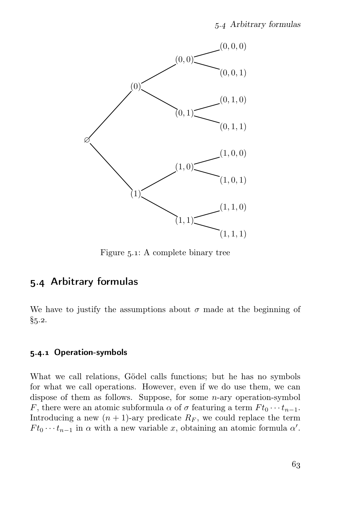

Figure  $5.1$ : A complete binary tree

# . Arbitrary formulas

We have to justify the assumptions about  $\sigma$  made at the beginning of  $§5.2.$ 

#### 5.4.1 Operation-symbols

What we call relations, Gödel calls functions; but he has no symbols for what we call operations. However, even if we do use them, we can dispose of them as follows. Suppose, for some  $n$ -ary operation-symbol F, there were an atomic subformula  $\alpha$  of  $\sigma$  featuring a term  $F t_0 \cdots t_{n-1}$ . Introducing a new  $(n + 1)$ -ary predicate  $R_F$ , we could replace the term  $F t_0 \cdots t_{n-1}$  in  $\alpha$  with a new variable x, obtaining an atomic formula  $\alpha'$ .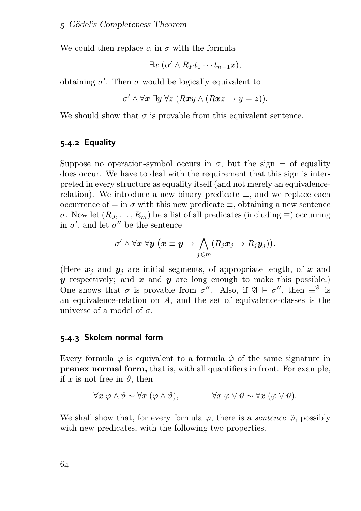We could then replace  $\alpha$  in  $\sigma$  with the formula

$$
\exists x \ (\alpha' \land R_F t_0 \cdots t_{n-1} x),
$$

obtaining  $\sigma'$ . Then  $\sigma$  would be logically equivalent to

$$
\sigma' \wedge \forall x \ \exists y \ \forall z \ (Rxy \wedge (Rxz \rightarrow y = z)).
$$

We should show that  $\sigma$  is provable from this equivalent sentence.

#### 5.4.2 Equality

Suppose no operation-symbol occurs in  $\sigma$ , but the sign = of equality does occur. We have to deal with the requirement that this sign is interpreted in every structure as equality itself (and not merely an equivalencerelation). We introduce a new binary predicate  $\equiv$ , and we replace each occurrence of = in  $\sigma$  with this new predicate  $\equiv$ , obtaining a new sentence  $\sigma$ . Now let  $(R_0, \ldots, R_m)$  be a list of all predicates (including  $\equiv$ ) occurring in  $\sigma'$ , and let  $\sigma''$  be the sentence

$$
\sigma' \land \forall \boldsymbol{x} \ \forall \boldsymbol{y} \ \big(\boldsymbol{x} \equiv \boldsymbol{y} \to \bigwedge_{j \leqslant m} (R_j \boldsymbol{x}_j \to R_j \boldsymbol{y}_j) \big).
$$

(Here  $x_i$  and  $y_i$  are initial segments, of appropriate length, of x and y respectively; and x and y are long enough to make this possible.) One shows that  $\sigma$  is provable from  $\sigma''$ . Also, if  $\mathfrak{A} \models \sigma''$ , then  $\equiv^{\mathfrak{A}}$  is an equivalence-relation on A, and the set of equivalence-classes is the universe of a model of  $\sigma$ .

#### 5.4.3 Skolem normal form

Every formula  $\varphi$  is equivalent to a formula  $\varphi$  of the same signature in prenex normal form, that is, with all quantifiers in front. For example, if x is not free in  $\vartheta$ , then

$$
\forall x \varphi \land \vartheta \sim \forall x (\varphi \land \vartheta), \qquad \forall x \varphi \lor \vartheta \sim \forall x (\varphi \lor \vartheta).
$$

We shall show that, for every formula  $\varphi$ , there is a *sentence*  $\tilde{\varphi}$ , possibly with new predicates, with the following two properties.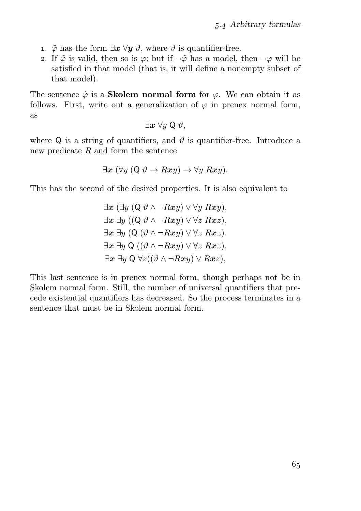- 1.  $\tilde{\varphi}$  has the form  $\exists x \forall y \vartheta$ , where  $\vartheta$  is quantifier-free.
- 2. If  $\tilde{\varphi}$  is valid, then so is  $\varphi$ ; but if  $\neg \tilde{\varphi}$  has a model, then  $\neg \varphi$  will be satisfied in that model (that is, it will define a nonempty subset of that model).

The sentence  $\tilde{\varphi}$  is a **Skolem normal form** for  $\varphi$ . We can obtain it as follows. First, write out a generalization of  $\varphi$  in prenex normal form, as

$$
\exists x \; \forall y \; \mathsf{Q} \; \vartheta,
$$

where Q is a string of quantifiers, and  $\vartheta$  is quantifier-free. Introduce a new predicate R and form the sentence

$$
\exists \boldsymbol{x} \ (\forall y \ (\mathsf{Q} \ \vartheta \to R\boldsymbol{x}y) \to \forall y \ R\boldsymbol{x}y).
$$

This has the second of the desired properties. It is also equivalent to

$$
\exists x (\exists y (Q \vartheta \land \neg Rxy) \lor \forall y Rxy),\exists x \exists y ((Q \vartheta \land \neg Rxy) \lor \forall z Rxz),\exists x \exists y (Q (\vartheta \land \neg Rxy) \lor \forall z Rxz),\exists x \exists y Q ((\vartheta \land \neg Rxy) \lor \forall z Rxz),\exists x \exists y Q \forall z ((\vartheta \land \neg Rxy) \lor Rxz),
$$

This last sentence is in prenex normal form, though perhaps not be in Skolem normal form. Still, the number of universal quantifiers that precede existential quantifiers has decreased. So the process terminates in a sentence that must be in Skolem normal form.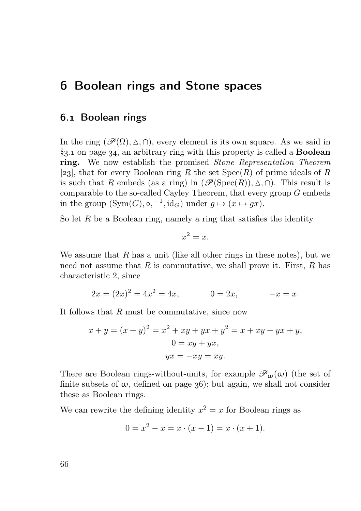# **6 Boolean rings and Stone spaces**

### . Boolean rings

In the ring  $(\mathscr{P}(\Omega), \Delta, \cap)$ , every element is its own square. As we said in  $\S$ 3.1 on page 34, an arbitrary ring with this property is called a **Boolean** ring. We now establish the promised Stone Representation Theorem [23], that for every Boolean ring R the set  $Spec(R)$  of prime ideals of R is such that R embeds (as a ring) in  $(\mathscr{P}(\mathrm{Spec}(R)), \Delta, \cap)$ . This result is comparable to the so-called Cayley Theorem, that every group  $G$  embeds in the group  $(\text{Sym}(G), \circ, \neg 1, \text{id}_G)$  under  $g \mapsto (x \mapsto gx)$ .

So let  $R$  be a Boolean ring, namely a ring that satisfies the identity

$$
x^2 = x.
$$

We assume that R has a unit (like all other rings in these notes), but we need not assume that  $R$  is commutative, we shall prove it. First,  $R$  has characteristic 2, since

$$
2x = (2x)^2 = 4x^2 = 4x, \t 0 = 2x, \t -x = x.
$$

It follows that R must be commutative, since now

$$
x + y = (x + y)^2 = x^2 + xy + yx + y^2 = x + xy + yx + y,
$$
  
\n
$$
0 = xy + yx,
$$
  
\n
$$
yx = -xy = xy.
$$

There are Boolean rings-without-units, for example  $\mathscr{P}_{\omega}(\omega)$  (the set of finite subsets of  $\omega$ , defined on page 36); but again, we shall not consider these as Boolean rings.

We can rewrite the defining identity  $x^2 = x$  for Boolean rings as

$$
0 = x^2 - x = x \cdot (x - 1) = x \cdot (x + 1).
$$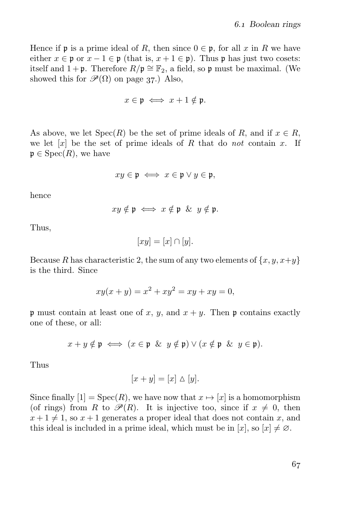Hence if **p** is a prime ideal of R, then since  $0 \in \mathfrak{p}$ , for all x in R we have either  $x \in \mathfrak{p}$  or  $x - 1 \in \mathfrak{p}$  (that is,  $x + 1 \in \mathfrak{p}$ ). Thus  $\mathfrak{p}$  has just two cosets: itself and 1 + p. Therefore  $R/\mathfrak{p} \cong \mathbb{F}_2$ , a field, so p must be maximal. (We showed this for  $\mathcal{P}(\Omega)$  on page 37.) Also,

$$
x \in \mathfrak{p} \iff x + 1 \notin \mathfrak{p}.
$$

As above, we let  $Spec(R)$  be the set of prime ideals of R, and if  $x \in R$ , we let  $[x]$  be the set of prime ideals of R that do not contain x. If  $\mathfrak{p} \in \text{Spec}(R)$ , we have

$$
xy\in\mathfrak{p}\iff x\in\mathfrak{p}\vee y\in\mathfrak{p},
$$

hence

$$
xy \notin \mathfrak{p} \iff x \notin \mathfrak{p} \And y \notin \mathfrak{p}.
$$

Thus,

$$
[xy] = [x] \cap [y].
$$

Because R has characteristic 2, the sum of any two elements of  $\{x, y, x+y\}$ is the third. Since

$$
xy(x + y) = x^2 + xy^2 = xy + xy = 0,
$$

p must contain at least one of x, y, and  $x + y$ . Then p contains exactly one of these, or all:

$$
x + y \notin \mathfrak{p} \iff (x \in \mathfrak{p} \And y \notin \mathfrak{p}) \lor (x \notin \mathfrak{p} \And y \in \mathfrak{p}).
$$

Thus

$$
[x+y] = [x] \Delta [y].
$$

Since finally  $[1] = \text{Spec}(R)$ , we have now that  $x \mapsto [x]$  is a homomorphism (of rings) from R to  $\mathscr{P}(R)$ . It is injective too, since if  $x \neq 0$ , then  $x+1 \neq 1$ , so  $x+1$  generates a proper ideal that does not contain x, and this ideal is included in a prime ideal, which must be in  $[x]$ , so  $[x] \neq \emptyset$ .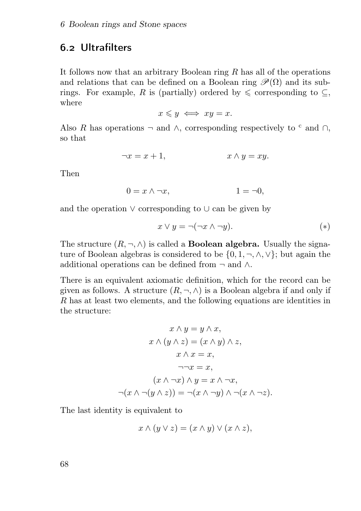# . Ultrafilters

It follows now that an arbitrary Boolean ring  $R$  has all of the operations and relations that can be defined on a Boolean ring  $\mathscr{P}(\Omega)$  and its subrings. For example, R is (partially) ordered by  $\leq$  corresponding to  $\subseteq$ , where

 $x \leq y \iff xy = x.$ 

Also R has operations  $\neg$  and  $\wedge$ , corresponding respectively to <sup>c</sup> and  $\cap$ , so that

$$
\neg x = x + 1, \qquad x \wedge y = xy.
$$

Then

$$
0 = x \wedge \neg x, \qquad \qquad 1 = \neg 0,
$$

and the operation ∨ corresponding to ∪ can be given by

$$
x \lor y = \neg(\neg x \land \neg y). \tag{(*)}
$$

The structure  $(R, \neg, \wedge)$  is called a **Boolean algebra.** Usually the signature of Boolean algebras is considered to be  $\{0, 1, \neg, \wedge, \vee\}$ ; but again the additional operations can be defined from  $\neg$  and  $\wedge$ .

There is an equivalent axiomatic definition, which for the record can be given as follows. A structure  $(R, \neg, \wedge)$  is a Boolean algebra if and only if R has at least two elements, and the following equations are identities in the structure:

$$
x \wedge y = y \wedge x,
$$
  
\n
$$
x \wedge (y \wedge z) = (x \wedge y) \wedge z,
$$
  
\n
$$
x \wedge x = x,
$$
  
\n
$$
\neg\neg x = x,
$$
  
\n
$$
(x \wedge \neg x) \wedge y = x \wedge \neg x,
$$
  
\n
$$
\neg(x \wedge \neg(y \wedge z)) = \neg(x \wedge \neg y) \wedge \neg(x \wedge \neg z).
$$

The last identity is equivalent to

$$
x \wedge (y \vee z) = (x \wedge y) \vee (x \wedge z),
$$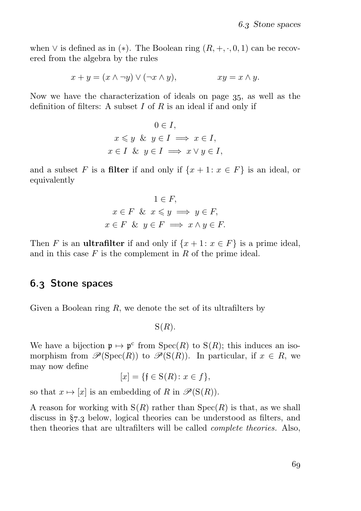when  $\vee$  is defined as in (\*). The Boolean ring  $(R, +, \cdot, 0, 1)$  can be recovered from the algebra by the rules

$$
x + y = (x \land \neg y) \lor (\neg x \land y), \qquad xy = x \land y.
$$

Now we have the characterization of ideals on page 35, as well as the definition of filters: A subset  $I$  of  $R$  is an ideal if and only if

$$
0 \in I,
$$
  

$$
x \le y \& y \in I \implies x \in I,
$$
  

$$
x \in I \& y \in I \implies x \lor y \in I,
$$

and a subset F is a filter if and only if  $\{x+1: x \in F\}$  is an ideal, or equivalently

$$
1 \in F,
$$
  
\n $x \in F$  &  $x \le y \implies y \in F,$   
\n $x \in F$  &  $y \in F \implies x \land y \in F.$ 

Then F is an **ultrafilter** if and only if  $\{x+1: x \in F\}$  is a prime ideal, and in this case  $F$  is the complement in  $R$  of the prime ideal.

#### . Stone spaces

Given a Boolean ring  $R$ , we denote the set of its ultrafilters by

 $S(R)$ .

We have a bijection  $\mathfrak{p} \mapsto \mathfrak{p}^c$  from  $\text{Spec}(R)$  to  $S(R)$ ; this induces an isomorphism from  $\mathscr{P}(\mathrm{Spec}(R))$  to  $\mathscr{P}(\mathrm{S}(R))$ . In particular, if  $x \in R$ , we may now define

$$
[x] = \{ \mathfrak{f} \in \mathcal{S}(R) \colon x \in f \},
$$

so that  $x \mapsto [x]$  is an embedding of R in  $\mathscr{P}(S(R))$ .

A reason for working with  $S(R)$  rather than  $Spec(R)$  is that, as we shall discuss in  $\S$ 7.3 below, logical theories can be understood as filters, and then theories that are ultrafilters will be called complete theories. Also,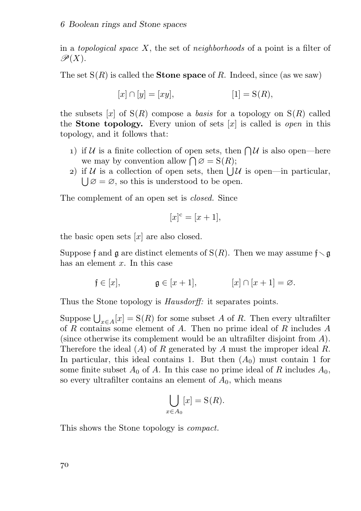in a topological space X, the set of neighborhoods of a point is a filter of  $\mathscr{P}(X)$ .

The set  $S(R)$  is called the **Stone space** of R. Indeed, since (as we saw)

$$
[x] \cap [y] = [xy], \qquad [1] = S(R),
$$

the subsets [x] of  $S(R)$  compose a basis for a topology on  $S(R)$  called the **Stone topology.** Every union of sets  $[x]$  is called is *open* in this topology, and it follows that:

- 1) if U is a finite collection of open sets, then  $\bigcap \mathcal{U}$  is also open—here we may by convention allow  $\bigcap \emptyset = \mathcal{S}(R)$ ;
- 2) if  $U$  is a collection of open sets, then  $\bigcup U$  is open—in particular,  $\bigcup \emptyset = \emptyset$ , so this is understood to be open.

The complement of an open set is *closed*. Since

$$
[x]^{c} = [x+1],
$$

the basic open sets  $[x]$  are also closed.

Suppose f and  $\mathfrak g$  are distinct elements of  $S(R)$ . Then we may assume  $f \setminus \mathfrak g$ has an element  $x$ . In this case

 $f \in [x], \qquad \qquad \mathfrak{g} \in [x+1], \qquad \qquad [x] \cap [x+1] = \varnothing.$ 

Thus the Stone topology is *Hausdorff*: it separates points.

Suppose  $\bigcup_{x \in A}[x] = S(R)$  for some subset A of R. Then every ultrafilter of R contains some element of A. Then no prime ideal of R includes  $A$ (since otherwise its complement would be an ultrafilter disjoint from A). Therefore the ideal  $(A)$  of R generated by A must the improper ideal R. In particular, this ideal contains 1. But then  $(A_0)$  must contain 1 for some finite subset  $A_0$  of A. In this case no prime ideal of R includes  $A_0$ , so every ultrafilter contains an element of  $A_0$ , which means

$$
\bigcup_{x \in A_0} [x] = \mathcal{S}(R).
$$

This shows the Stone topology is compact.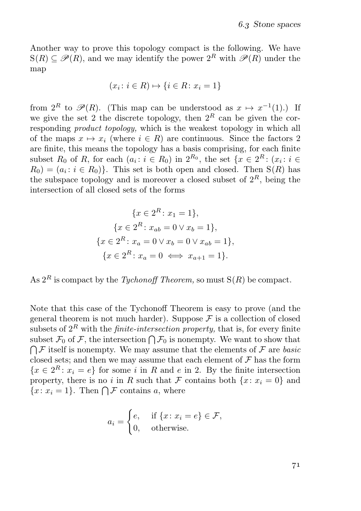Another way to prove this topology compact is the following. We have  $S(R) \subseteq \mathscr{P}(R)$ , and we may identify the power  $2^R$  with  $\mathscr{P}(R)$  under the map

$$
(x_i \colon i \in R) \mapsto \{i \in R \colon x_i = 1\}
$$

from  $2^R$  to  $\mathscr{P}(R)$ . (This map can be understood as  $x \mapsto x^{-1}(1)$ .) If we give the set 2 the discrete topology, then  $2^R$  can be given the corresponding *product topology*, which is the weakest topology in which all of the maps  $x \mapsto x_i$  (where  $i \in R$ ) are continuous. Since the factors 2 are finite, this means the topology has a basis comprising, for each finite subset  $R_0$  of  $R$ , for each  $(a_i : i \in R_0)$  in  $2^{R_0}$ , the set  $\{x \in 2^R : (x_i : i \in R_0) \mid x_i \in R_0\}$  $R_0 = (a_i : i \in R_0)$ . This set is both open and closed. Then  $S(R)$  has the subspace topology and is moreover a closed subset of  $2<sup>R</sup>$ , being the intersection of all closed sets of the forms

$$
\{x \in 2^{R} : x_1 = 1\},\
$$

$$
\{x \in 2^{R} : x_{ab} = 0 \lor x_b = 1\},\
$$

$$
\{x \in 2^{R} : x_a = 0 \lor x_b = 0 \lor x_{ab} = 1\},\
$$

$$
\{x \in 2^{R} : x_a = 0 \iff x_{a+1} = 1\}.
$$

As  $2^R$  is compact by the *Tychonoff Theorem*, so must  $S(R)$  be compact.

Note that this case of the Tychonoff Theorem is easy to prove (and the general theorem is not much harder). Suppose  $\mathcal F$  is a collection of closed subsets of  $2^R$  with the *finite-intersection property*, that is, for every finite subset  $\mathcal{F}_0$  of  $\mathcal{F}$ , the intersection  $\bigcap \mathcal{F}_0$  is nonempty. We want to show that  $\bigcap \mathcal{F}$  itself is nonempty. We may assume that the elements of  $\mathcal{F}$  are basic closed sets; and then we may assume that each element of  $\mathcal F$  has the form  ${x \in 2^R : x_i = e}$  for some *i* in *R* and *e* in 2. By the finite intersection property, there is no i in R such that F contains both  $\{x: x_i = 0\}$  and  ${x: x_i = 1}$ . Then  $\bigcap \mathcal{F}$  contains a, where

$$
a_i = \begin{cases} e, & \text{if } \{x \colon x_i = e\} \in \mathcal{F}, \\ 0, & \text{otherwise.} \end{cases}
$$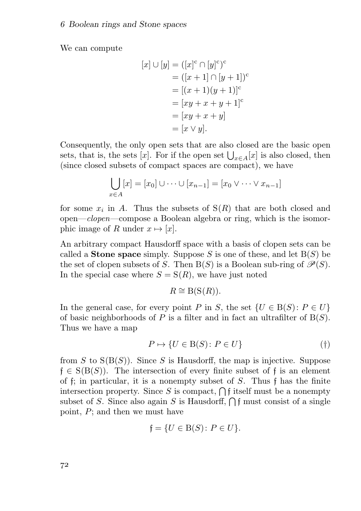We can compute

$$
[x] \cup [y] = ([x]^{c} \cap [y]^{c})^{c}
$$
  
= 
$$
([x + 1] \cap [y + 1])^{c}
$$
  
= 
$$
[(x + 1)(y + 1)]^{c}
$$
  
= 
$$
[xy + x + y + 1]^{c}
$$
  
= 
$$
[xy + x + y]
$$
  
= 
$$
[x \vee y].
$$

Consequently, the only open sets that are also closed are the basic open sets, that is, the sets [x]. For if the open set  $\bigcup_{x \in A}[x]$  is also closed, then (since closed subsets of compact spaces are compact), we have

$$
\bigcup_{x \in A} [x] = [x_0] \cup \dots \cup [x_{n-1}] = [x_0 \vee \dots \vee x_{n-1}]
$$

for some  $x_i$  in A. Thus the subsets of  $S(R)$  that are both closed and open—clopen—compose a Boolean algebra or ring, which is the isomorphic image of R under  $x \mapsto [x]$ .

An arbitrary compact Hausdorff space with a basis of clopen sets can be called a **Stone space** simply. Suppose S is one of these, and let  $B(S)$  be the set of clopen subsets of S. Then  $B(S)$  is a Boolean sub-ring of  $\mathcal{P}(S)$ . In the special case where  $S = S(R)$ , we have just noted

$$
R \cong B(S(R)).
$$

In the general case, for every point P in S, the set  $\{U \in B(S) : P \in U\}$ of basic neighborhoods of P is a filter and in fact an ultrafilter of  $B(S)$ . Thus we have a map

$$
P \mapsto \{ U \in \mathcal{B}(S) \colon P \in U \}
$$
\n<sup>(†)</sup>

from  $S$  to  $S(B(S))$ . Since S is Hausdorff, the map is injective. Suppose  $f \in S(B(S))$ . The intersection of every finite subset of f is an element of f; in particular, it is a nonempty subset of  $S$ . Thus f has the finite intersection property. Since S is compact,  $\bigcap f$  itself must be a nonempty subset of S. Since also again S is Hausdorff,  $\bigcap f$  must consist of a single point, P; and then we must have

$$
\mathfrak{f} = \{ U \in B(S) \colon P \in U \}.
$$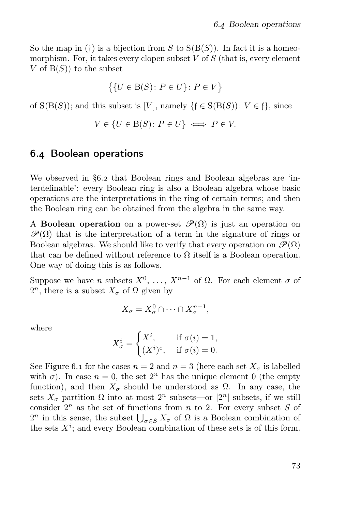So the map in (†) is a bijection from S to  $S(B(S))$ . In fact it is a homeomorphism. For, it takes every clopen subset  $V$  of  $S$  (that is, every element V of  $B(S)$  to the subset

$$
\big\{\{U \in \mathcal{B}(S) \colon P \in U\} \colon P \in V\big\}
$$

of  $S(B(S))$ ; and this subset is [V], namely  $\{f \in S(B(S)) : V \in \mathfrak{f}\}\)$ , since

$$
V \in \{U \in B(S) \colon P \in U\} \iff P \in V.
$$

### . Boolean operations

We observed in §6.2 that Boolean rings and Boolean algebras are 'interdefinable': every Boolean ring is also a Boolean algebra whose basic operations are the interpretations in the ring of certain terms; and then the Boolean ring can be obtained from the algebra in the same way.

A **Boolean operation** on a power-set  $\mathcal{P}(\Omega)$  is just an operation on  $\mathcal{P}(\Omega)$  that is the interpretation of a term in the signature of rings or Boolean algebras. We should like to verify that every operation on  $\mathscr{P}(\Omega)$ that can be defined without reference to  $\Omega$  itself is a Boolean operation. One way of doing this is as follows.

Suppose we have *n* subsets  $X^0, \ldots, X^{n-1}$  of  $\Omega$ . For each element  $\sigma$  of  $2^n$ , there is a subset  $X_{\sigma}$  of  $\Omega$  given by

$$
X_{\sigma} = X_{\sigma}^0 \cap \cdots \cap X_{\sigma}^{n-1},
$$

where

$$
X^i_{\sigma} = \begin{cases} X^i, & \text{if } \sigma(i) = 1, \\ (X^i)^c, & \text{if } \sigma(i) = 0. \end{cases}
$$

See Figure 6.1 for the cases  $n = 2$  and  $n = 3$  (here each set  $X_{\sigma}$  is labelled with  $\sigma$ ). In case  $n = 0$ , the set  $2<sup>n</sup>$  has the unique element 0 (the empty function), and then  $X_{\sigma}$  should be understood as  $\Omega$ . In any case, the sets  $X_{\sigma}$  partition  $\Omega$  into at most  $2^{n}$  subsets—or  $|2^{n}|$  subsets, if we still consider  $2^n$  as the set of functions from n to 2. For every subset S of  $2^n$  in this sense, the subset  $\bigcup_{\sigma \in S} X_{\sigma}$  of  $\Omega$  is a Boolean combination of the sets  $X^i$ ; and every Boolean combination of these sets is of this form.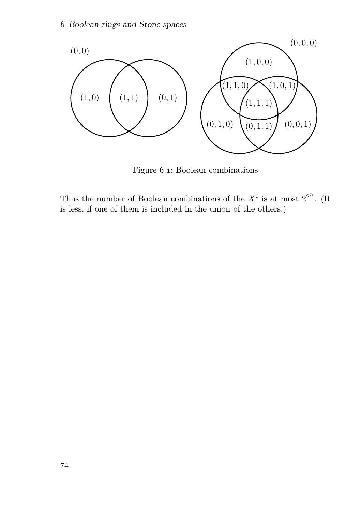

Figure 6.1: Boolean combinations

Thus the number of Boolean combinations of the  $X^i$  is at most  $2^{2^n}$ . (It is less, if one of them is included in the union of the others.)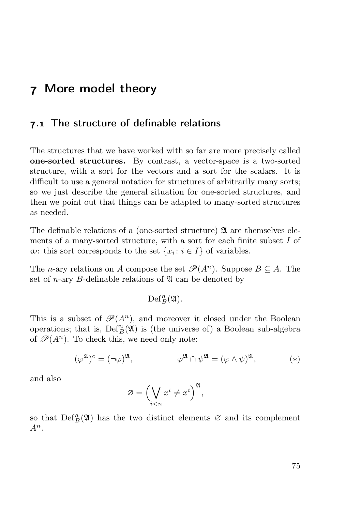## More model theory

### 7.1 The structure of definable relations

The structures that we have worked with so far are more precisely called one-sorted structures. By contrast, a vector-space is a two-sorted structure, with a sort for the vectors and a sort for the scalars. It is difficult to use a general notation for structures of arbitrarily many sorts; so we just describe the general situation for one-sorted structures, and then we point out that things can be adapted to many-sorted structures as needed.

The definable relations of a (one-sorted structure)  $\mathfrak A$  are themselves elements of a many-sorted structure, with a sort for each finite subset I of w: this sort corresponds to the set  $\{x_i : i \in I\}$  of variables.

The *n*-ary relations on A compose the set  $\mathcal{P}(A^n)$ . Suppose  $B \subseteq A$ . The set of *n*-ary *B*-definable relations of  $\mathfrak A$  can be denoted by

$$
\operatorname{Def\!}^n_B(\mathfrak{A}).
$$

This is a subset of  $\mathscr{P}(A^n)$ , and moreover it closed under the Boolean operations; that is,  $\mathrm{Def}_{B}^{n}(\mathfrak{A})$  is (the universe of) a Boolean sub-algebra of  $\mathscr{P}(A^n)$ . To check this, we need only note:

$$
(\varphi^{\mathfrak{A}})^c = (\neg \varphi)^{\mathfrak{A}}, \qquad \qquad \varphi^{\mathfrak{A}} \cap \psi^{\mathfrak{A}} = (\varphi \wedge \psi)^{\mathfrak{A}}, \qquad (*)
$$

and also

$$
\varnothing = \Big(\bigvee_{i
$$

so that  $\mathrm{Def}_B^n(\mathfrak{A})$  has the two distinct elements  $\varnothing$  and its complement  $A^n$ .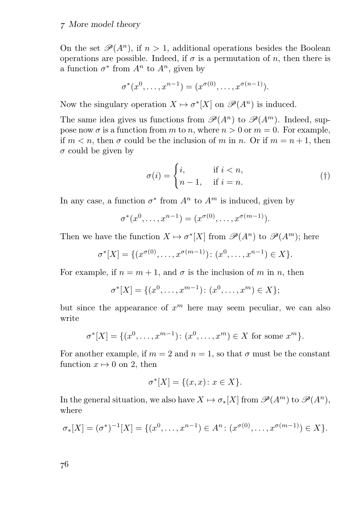#### More model theory

On the set  $\mathscr{P}(A^n)$ , if  $n > 1$ , additional operations besides the Boolean operations are possible. Indeed, if  $\sigma$  is a permutation of n, then there is a function  $\sigma^*$  from  $A^n$  to  $A^n$ , given by

$$
\sigma^*(x^0, \dots, x^{n-1}) = (x^{\sigma(0)}, \dots, x^{\sigma(n-1)}).
$$

Now the singulary operation  $X \mapsto \sigma^*[X]$  on  $\mathscr{P}(A^n)$  is induced.

The same idea gives us functions from  $\mathscr{P}(A^n)$  to  $\mathscr{P}(A^m)$ . Indeed, suppose now  $\sigma$  is a function from m to n, where  $n > 0$  or  $m = 0$ . For example, if  $m < n$ , then  $\sigma$  could be the inclusion of m in n. Or if  $m = n + 1$ , then  $\sigma$  could be given by

$$
\sigma(i) = \begin{cases} i, & \text{if } i < n, \\ n-1, & \text{if } i = n. \end{cases} \tag{\dagger}
$$

In any case, a function  $\sigma^*$  from  $A^n$  to  $A^m$  is induced, given by

$$
\sigma^*(x^0, \ldots, x^{n-1}) = (x^{\sigma(0)}, \ldots, x^{\sigma(m-1)}).
$$

Then we have the function  $X \mapsto \sigma^*[X]$  from  $\mathscr{P}(A^n)$  to  $\mathscr{P}(A^m)$ ; here

$$
\sigma^*[X] = \{ (x^{\sigma(0)}, \dots, x^{\sigma(m-1)}): (x^0, \dots, x^{n-1}) \in X \}.
$$

For example, if  $n = m + 1$ , and  $\sigma$  is the inclusion of m in n, then

$$
\sigma^*[X] = \{(x^0, \ldots, x^{m-1}) \colon (x^0, \ldots, x^m) \in X\};
$$

but since the appearance of  $x^m$  here may seem peculiar, we can also write

$$
\sigma^*[X] = \{(x^0, \dots, x^{m-1}) \colon (x^0, \dots, x^m) \in X \text{ for some } x^m\}.
$$

For another example, if  $m = 2$  and  $n = 1$ , so that  $\sigma$  must be the constant function  $x \mapsto 0$  on 2, then

$$
\sigma^*[X] = \{(x, x) \colon x \in X\}.
$$

In the general situation, we also have  $X \mapsto \sigma_*[X]$  from  $\mathscr{P}(A^m)$  to  $\mathscr{P}(A^n)$ , where

$$
\sigma_*[X] = (\sigma^*)^{-1}[X] = \{(x^0, \dots, x^{n-1}) \in A^n : (x^{\sigma(0)}, \dots, x^{\sigma(m-1)}) \in X\}.
$$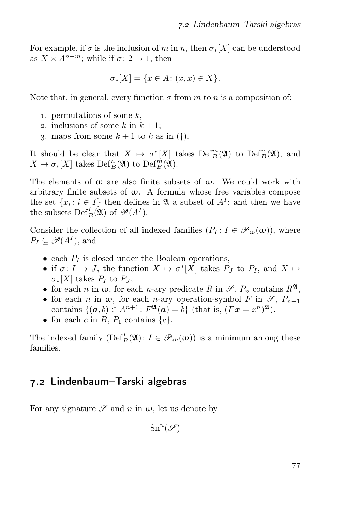For example, if  $\sigma$  is the inclusion of m in n, then  $\sigma_*[X]$  can be understood as  $X \times A^{n-m}$ ; while if  $\sigma: 2 \to 1$ , then

$$
\sigma_*[X] = \{ x \in A \colon (x, x) \in X \}.
$$

Note that, in general, every function  $\sigma$  from m to n is a composition of:

- 1. permutations of some  $k$ ,
- 2. inclusions of some k in  $k + 1$ ;
- 3. maps from some  $k + 1$  to k as in (†).

It should be clear that  $X \mapsto \sigma^*[X]$  takes  $\mathrm{Def}_B^m(\mathfrak{A})$  to  $\mathrm{Def}_B^n(\mathfrak{A})$ , and  $X \mapsto \sigma_*[X]$  takes  $\mathrm{Def}_B^n(\mathfrak{A})$  to  $\mathrm{Def}_B^m(\mathfrak{A})$ .

The elements of  $\omega$  are also finite subsets of  $\omega$ . We could work with arbitrary finite subsets of  $\omega$ . A formula whose free variables compose the set  $\{x_i : i \in I\}$  then defines in  $\mathfrak A$  a subset of  $A^I$ ; and then we have the subsets  $\mathrm{Def}_{B}^{I}(\mathfrak{A})$  of  $\mathscr{P}(A^{I}).$ 

Consider the collection of all indexed families  $(P_I: I \in \mathscr{P}_{\omega}(\omega))$ , where  $P_I \subseteq \mathscr{P}(A^I)$ , and

- each  $P_I$  is closed under the Boolean operations,
- if  $\sigma: I \to J$ , the function  $X \mapsto \sigma^*[X]$  takes  $P_J$  to  $P_I$ , and  $X \mapsto$  $\sigma_*[X]$  takes  $P_I$  to  $P_J$ ,
- for each n in  $\omega$ , for each n-ary predicate R in  $\mathscr{S}, P_n$  contains  $R^{\mathfrak{A}},$
- for each n in  $\omega$ , for each n-ary operation-symbol F in  $\mathscr{S}, P_{n+1}$ contains  $\{(\boldsymbol{a},b)\in A^{n+1}\colon F^\mathfrak{A}(\boldsymbol{a})=b\}$  (that is,  $(F\boldsymbol{x}=x^n)^\mathfrak{A}$ ).
- for each c in B,  $P_1$  contains  $\{c\}$ .

The indexed family  $(\text{Def}_B^I(\mathfrak{A}): I \in \mathscr{P}_{\omega}(\omega))$  is a minimum among these families.

## 7.2 Lindenbaum–Tarski algebras

For any signature  $\mathscr S$  and n in  $\omega$ , let us denote by

 $\mathrm{Sn}^n(\mathscr{S})$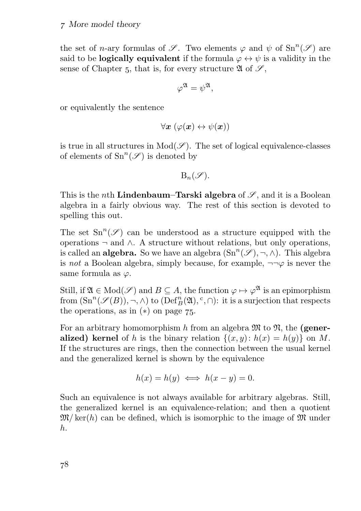the set of *n*-ary formulas of  $\mathscr{S}$ . Two elements  $\varphi$  and  $\psi$  of  $\text{Sn}^n(\mathscr{S})$  are said to be **logically equivalent** if the formula  $\varphi \leftrightarrow \psi$  is a validity in the sense of Chapter 5, that is, for every structure  $\mathfrak{A}$  of  $\mathfrak{S}$ ,

$$
\varphi^{\mathfrak{A}}=\psi^{\mathfrak{A}},
$$

or equivalently the sentence

$$
\forall \pmb{x} \ (\varphi(\pmb{x}) \leftrightarrow \psi(\pmb{x}))
$$

is true in all structures in  $Mod(\mathscr{S})$ . The set of logical equivalence-classes of elements of  $\text{Sn}^n(\mathscr{S})$  is denoted by

$$
\mathrm{B}_n(\mathscr{S}).
$$

This is the *n*th **Lindenbaum–Tarski algebra** of  $\mathscr{S}$ , and it is a Boolean algebra in a fairly obvious way. The rest of this section is devoted to spelling this out.

The set  $\text{Sn}^n(\mathscr{S})$  can be understood as a structure equipped with the operations  $\neg$  and  $\wedge$ . A structure without relations, but only operations, is called an **algebra**. So we have an algebra  $(\text{Sn}^n(\mathscr{S}), \neg, \wedge)$ . This algebra is not a Boolean algebra, simply because, for example,  $\neg\neg\varphi$  is never the same formula as  $\varphi$ .

Still, if  $\mathfrak{A} \in \text{Mod}(\mathscr{S})$  and  $B \subseteq A$ , the function  $\varphi \mapsto \varphi^{\mathfrak{A}}$  is an epimorphism from  $(\mathrm{Sn}^n(\mathscr{S}(B)), \neg, \wedge)$  to  $(\mathrm{Def}^n_B(\mathfrak{A}), \degree, \cap)$ : it is a surjection that respects the operations, as in  $(*)$  on page 75.

For an arbitrary homomorphism h from an algebra  $\mathfrak{M}$  to  $\mathfrak{N}$ , the (generalized) kernel of h is the binary relation  $\{(x, y): h(x) = h(y)\}\$ on M. If the structures are rings, then the connection between the usual kernel and the generalized kernel is shown by the equivalence

$$
h(x) = h(y) \iff h(x - y) = 0.
$$

Such an equivalence is not always available for arbitrary algebras. Still, the generalized kernel is an equivalence-relation; and then a quotient  $\mathfrak{M}/\text{ker}(h)$  can be defined, which is isomorphic to the image of  $\mathfrak{M}$  under h.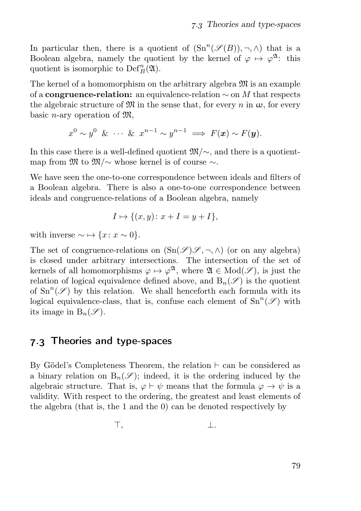In particular then, there is a quotient of  $(Sn^n(\mathscr{S}(B)), \neg, \wedge)$  that is a Boolean algebra, namely the quotient by the kernel of  $\varphi \mapsto \varphi^{\mathfrak{A}}$ : this quotient is isomorphic to  $\mathrm{Def}_{B}^{n}(\mathfrak{A}).$ 

The kernel of a homomorphism on the arbitrary algebra  $\mathfrak{M}$  is an example of a congruence-relation: an equivalence-relation  $\sim$  on M that respects the algebraic structure of  $\mathfrak{M}$  in the sense that, for every n in  $\omega$ , for every basic *n*-ary operation of  $\mathfrak{M}$ ,

$$
x^0 \sim y^0 \& \cdots \& x^{n-1} \sim y^{n-1} \Longrightarrow F(\mathbf{x}) \sim F(\mathbf{y}).
$$

In this case there is a well-defined quotient  $\mathfrak{M}/\sim$ , and there is a quotientmap from  $\mathfrak{M}$  to  $\mathfrak{M}/\sim$  whose kernel is of course  $\sim$ .

We have seen the one-to-one correspondence between ideals and filters of a Boolean algebra. There is also a one-to-one correspondence between ideals and congruence-relations of a Boolean algebra, namely

$$
I \mapsto \{(x, y) \colon x + I = y + I\},\
$$

with inverse  $\sim \rightarrow \{x: x \sim 0\}.$ 

The set of congruence-relations on  $(Sn(\mathscr{S})\mathscr{S}, \neg, \wedge)$  (or on any algebra) is closed under arbitrary intersections. The intersection of the set of kernels of all homomorphisms  $\varphi \mapsto \varphi^{\mathfrak{A}},$  where  $\mathfrak{A} \in Mod(\mathscr{S}),$  is just the relation of logical equivalence defined above, and  $B_n(\mathscr{S})$  is the quotient of  $\text{Sn}^n(\mathscr{S})$  by this relation. We shall henceforth each formula with its logical equivalence-class, that is, confuse each element of  $\text{Sn}^n(\mathscr{S})$  with its image in  $B_n(\mathscr{S})$ .

#### . Theories and type-spaces

By Gödel's Completeness Theorem, the relation ⊢ can be considered as a binary relation on  $B_n(\mathscr{S})$ ; indeed, it is the ordering induced by the algebraic structure. That is,  $\varphi \vdash \psi$  means that the formula  $\varphi \rightarrow \psi$  is a validity. With respect to the ordering, the greatest and least elements of the algebra (that is, the 1 and the 0) can be denoted respectively by

$$
\top, \qquad \qquad \bot.
$$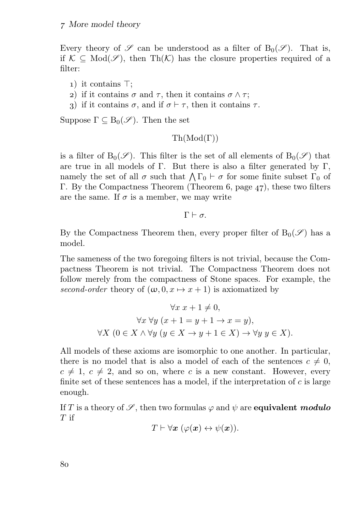Every theory of  $\mathscr S$  can be understood as a filter of  $B_0(\mathscr S)$ . That is, if  $K \subseteq Mod(\mathscr{S})$ , then Th $(K)$  has the closure properties required of a filter:

- ) it contains ⊤;
- 2) if it contains  $\sigma$  and  $\tau$ , then it contains  $\sigma \wedge \tau$ ;
- 3) if it contains  $\sigma$ , and if  $\sigma$  ⊢  $\tau$ , then it contains  $\tau$ .

Suppose  $\Gamma \subseteq B_0(\mathscr{S})$ . Then the set

$$
\operatorname{Th}(\operatorname{Mod}(\Gamma))
$$

is a filter of  $B_0(\mathscr{S})$ . This filter is the set of all elements of  $B_0(\mathscr{S})$  that are true in all models of Γ. But there is also a filter generated by Γ. namely the set of all  $\sigma$  such that  $\bigwedge \Gamma_0 \vdash \sigma$  for some finite subset  $\Gamma_0$  of Γ. By the Compactness Theorem (Theorem 6, page 47), these two filters are the same. If  $\sigma$  is a member, we may write

 $\Gamma \vdash \sigma$ 

By the Compactness Theorem then, every proper filter of  $B_0(\mathscr{S})$  has a model.

The sameness of the two foregoing filters is not trivial, because the Compactness Theorem is not trivial. The Compactness Theorem does not follow merely from the compactness of Stone spaces. For example, the second-order theory of  $(\omega, 0, x \mapsto x + 1)$  is axiomatized by

$$
\forall x \ x + 1 \neq 0,
$$
  

$$
\forall x \ \forall y \ (x + 1 = y + 1 \to x = y),
$$
  

$$
\forall X \ (0 \in X \land \forall y \ (y \in X \to y + 1 \in X) \to \forall y \ y \in X).
$$

All models of these axioms are isomorphic to one another. In particular, there is no model that is also a model of each of the sentences  $c \neq 0$ ,  $c \neq 1, c \neq 2$ , and so on, where c is a new constant. However, every finite set of these sentences has a model, if the interpretation of  $c$  is large enough.

If T is a theory of  $\mathscr{S}$ , then two formulas  $\varphi$  and  $\psi$  are **equivalent** modulo  $T$  if

$$
T\vdash \forall \boldsymbol{x} \ (\varphi(\boldsymbol{x})\leftrightarrow \psi(\boldsymbol{x})).
$$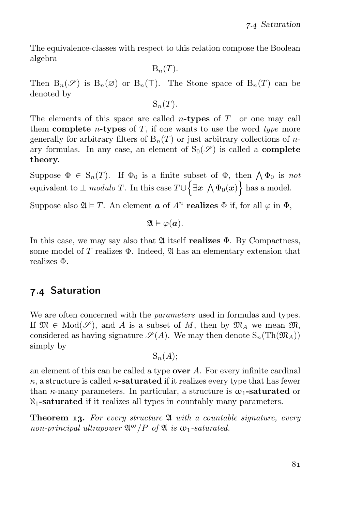The equivalence-classes with respect to this relation compose the Boolean algebra

 $B_n(T)$ .

Then  $B_n(\mathscr{S})$  is  $B_n(\emptyset)$  or  $B_n(\top)$ . The Stone space of  $B_n(T)$  can be denoted by

$$
S_n(T).
$$

The elements of this space are called *n*-types of  $T$ —or one may call them complete *n*-types of  $T$ , if one wants to use the word type more generally for arbitrary filters of  $B_n(T)$  or just arbitrary collections of nary formulas. In any case, an element of  $S_0(\mathscr{S})$  is called a **complete** theory.

Suppose  $\Phi \in S_n(T)$ . If  $\Phi_0$  is a finite subset of  $\Phi$ , then  $\bigwedge \Phi_0$  is not equivalent to  $\perp$  modulo T. In this case  $T \cup \Big\{\exists x \; \bigwedge \Phi_0(x)\Big\}$  has a model.

Suppose also  $\mathfrak{A} \models T$ . An element  $\boldsymbol{a}$  of  $A^n$  realizes  $\Phi$  if, for all  $\varphi$  in  $\Phi$ .

 $\mathfrak{A} \models \varphi(\mathbf{a}).$ 

In this case, we may say also that  $\mathfrak A$  itself realizes  $\Phi$ . By Compactness, some model of T realizes  $\Phi$ . Indeed,  $\mathfrak{A}$  has an elementary extension that realizes Φ.

## 7.4 Saturation

We are often concerned with the *parameters* used in formulas and types. If  $\mathfrak{M} \in Mod(\mathscr{S})$ , and A is a subset of M, then by  $\mathfrak{M}_A$  we mean  $\mathfrak{M}$ , considered as having signature  $\mathscr{S}(A)$ . We may then denote  $S_n(Th(\mathfrak{M}_A))$ simply by

$$
S_n(A);
$$

an element of this can be called a type **over**  $A$ . For every infinite cardinal  $\kappa$ , a structure is called  $\kappa$ -saturated if it realizes every type that has fewer than  $\kappa$ -many parameters. In particular, a structure is  $\omega_1$ -saturated or  $\aleph_1$ -saturated if it realizes all types in countably many parameters.

**Theorem 13.** For every structure  $\mathfrak A$  with a countable signature, every non-principal ultrapower  $\mathfrak{A}^{\omega}/P$  of  $\mathfrak A$  is  $\omega_1$ -saturated.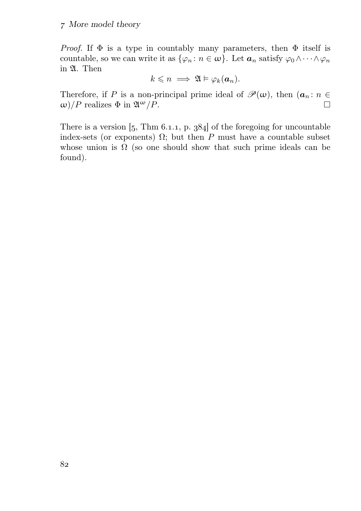*Proof.* If  $\Phi$  is a type in countably many parameters, then  $\Phi$  itself is countable, so we can write it as  $\{\varphi_n : n \in \omega\}$ . Let  $a_n$  satisfy  $\varphi_0 \wedge \cdots \wedge \varphi_n$ in A. Then

$$
k\leqslant n \implies \mathfrak{A}\vDash \varphi_k(\boldsymbol{a}_n).
$$

Therefore, if P is a non-principal prime ideal of  $\mathcal{P}(\omega)$ , then  $(a_n : n \in \omega)/P$  realizes  $\Phi$  in  $\mathfrak{A}^{\omega}/P$ .  $ω)/P$  realizes  $Φ$  in  $\mathfrak{A}^{\omega}/P$ .

There is a version  $\left[5, \text{Thm } 6.1.1, \text{p. } 384\right]$  of the foregoing for uncountable index-sets (or exponents)  $\Omega$ ; but then P must have a countable subset whose union is  $\Omega$  (so one should show that such prime ideals can be found).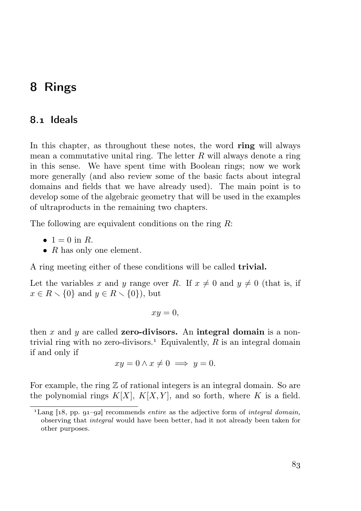# 8 Rings

## 8.1 Ideals

In this chapter, as throughout these notes, the word ring will always mean a commutative unital ring. The letter  $R$  will always denote a ring in this sense. We have spent time with Boolean rings; now we work more generally (and also review some of the basic facts about integral domains and fields that we have already used). The main point is to develop some of the algebraic geometry that will be used in the examples of ultraproducts in the remaining two chapters.

The following are equivalent conditions on the ring R:

- $1 = 0$  in R.
- $R$  has only one element.

A ring meeting either of these conditions will be called trivial.

Let the variables x and y range over R. If  $x \neq 0$  and  $y \neq 0$  (that is, if  $x \in R \setminus \{0\}$  and  $y \in R \setminus \{0\}$ , but

$$
xy=0,
$$

then x and y are called zero-divisors. An integral domain is a nontrivial ring with no zero-divisors.<sup>1</sup> Equivalently,  $R$  is an integral domain if and only if

$$
xy = 0 \land x \neq 0 \implies y = 0.
$$

For example, the ring  $\mathbb Z$  of rational integers is an integral domain. So are the polynomial rings  $K[X], K[X, Y]$ , and so forth, where K is a field.

<sup>&</sup>lt;sup>1</sup>Lang  $[18, pp. 91–92]$  recommends entire as the adjective form of integral domain, observing that integral would have been better, had it not already been taken for other purposes.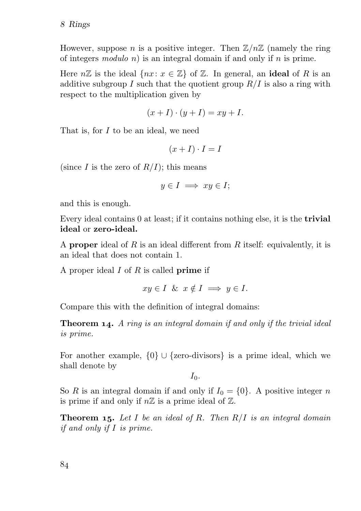However, suppose n is a positive integer. Then  $\mathbb{Z}/n\mathbb{Z}$  (namely the ring of integers modulo n) is an integral domain if and only if n is prime.

Here  $n\mathbb{Z}$  is the ideal  $\{nx: x \in \mathbb{Z}\}\$  of  $\mathbb{Z}$ . In general, an **ideal** of R is an additive subgroup I such that the quotient group  $R/I$  is also a ring with respect to the multiplication given by

$$
(x+I)\cdot (y+I)=xy+I.
$$

That is, for I to be an ideal, we need

$$
(x+I)\cdot I=I
$$

(since I is the zero of  $R/I$ ); this means

$$
y\in I\implies xy\in I;
$$

and this is enough.

Every ideal contains 0 at least; if it contains nothing else, it is the trivial ideal or zero-ideal.

A proper ideal of R is an ideal different from R itself: equivalently, it is an ideal that does not contain 1.

A proper ideal  $I$  of  $R$  is called **prime** if

$$
xy \in I \ \& \ x \notin I \implies y \in I.
$$

Compare this with the definition of integral domains:

**Theorem 14.** A ring is an integral domain if and only if the trivial ideal is prime.

For another example,  $\{0\} \cup \{$ zero-divisors} is a prime ideal, which we shall denote by

 $I_0$ .

So R is an integral domain if and only if  $I_0 = \{0\}$ . A positive integer n is prime if and only if  $n\mathbb{Z}$  is a prime ideal of  $\mathbb{Z}$ .

**Theorem 15.** Let I be an ideal of R. Then  $R/I$  is an integral domain if and only if I is prime.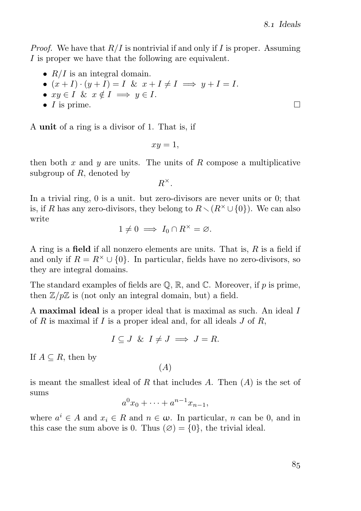*Proof.* We have that  $R/I$  is nontrivial if and only if I is proper. Assuming I is proper we have that the following are equivalent.

- $R/I$  is an integral domain.
- $(x+I)\cdot (y+I) = I \& x+I \neq I \Longrightarrow y+I = I.$
- $xy \in I$  &  $x \notin I \implies y \in I$ .
- $I$  is prime.

A unit of a ring is a divisor of 1. That is, if

 $xy = 1$ ,

then both x and y are units. The units of R compose a multiplicative subgroup of  $R$ , denoted by

 $R^{\times}.$ 

In a trivial ring, 0 is a unit. but zero-divisors are never units or 0; that is, if R has any zero-divisors, they belong to  $R\setminus(R^{\times}\cup\{0\})$ . We can also write

$$
1 \neq 0 \implies I_0 \cap R^{\times} = \varnothing.
$$

A ring is a field if all nonzero elements are units. That is,  $R$  is a field if and only if  $R = R^{\times} \cup \{0\}$ . In particular, fields have no zero-divisors, so they are integral domains.

The standard examples of fields are  $\mathbb{Q}, \mathbb{R}$ , and  $\mathbb{C}$ . Moreover, if p is prime, then  $\mathbb{Z}/p\mathbb{Z}$  is (not only an integral domain, but) a field.

A **maximal ideal** is a proper ideal that is maximal as such. An ideal I of R is maximal if I is a proper ideal and, for all ideals  $J$  of R,

$$
I \subseteq J \ \& \ I \neq J \implies J = R.
$$

If  $A \subseteq R$ , then by

 $(A)$ 

is meant the smallest ideal of R that includes A. Then  $(A)$  is the set of sums

$$
a^0 x_0 + \dots + a^{n-1} x_{n-1},
$$

where  $a^i \in A$  and  $x_i \in R$  and  $n \in \omega$ . In particular, n can be 0, and in this case the sum above is 0. Thus  $(\emptyset) = \{0\}$ , the trivial ideal.

 $\Box$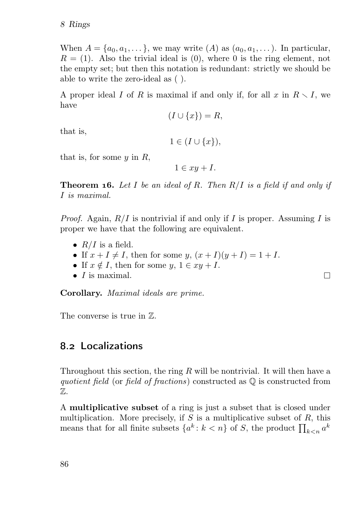When  $A = \{a_0, a_1, \dots\}$ , we may write  $(A)$  as  $(a_0, a_1, \dots)$ . In particular,  $R = (1)$ . Also the trivial ideal is  $(0)$ , where 0 is the ring element, not the empty set; but then this notation is redundant: strictly we should be able to write the zero-ideal as ( ).

A proper ideal I of R is maximal if and only if, for all  $x$  in  $R \setminus I$ , we have

$$
(I \cup \{x\}) = R,
$$

that is,

 $1 \in (I \cup \{x\})$ ,

that is, for some  $y$  in  $R$ ,

 $1 \in xu + I$ .

**Theorem 16.** Let I be an ideal of R. Then  $R/I$  is a field if and only if I is maximal.

*Proof.* Again,  $R/I$  is nontrivial if and only if I is proper. Assuming I is proper we have that the following are equivalent.

П

- $R/I$  is a field.
- If  $x + I \neq I$ , then for some  $y$ ,  $(x + I)(y + I) = 1 + I$ .
- If  $x \notin I$ , then for some  $y, 1 \in xy + I$ .
- $\bullet$  *I* is maximal.

Corollary. Maximal ideals are prime.

The converse is true in Z.

## 8.2 Localizations

Throughout this section, the ring  $R$  will be nontrivial. It will then have a quotient field (or field of fractions) constructed as  $\mathbb Q$  is constructed from Z.

A multiplicative subset of a ring is just a subset that is closed under multiplication. More precisely, if  $S$  is a multiplicative subset of  $R$ , this means that for all finite subsets  $\{a^k : k < n\}$  of S, the product  $\prod_{k \le n} a^k$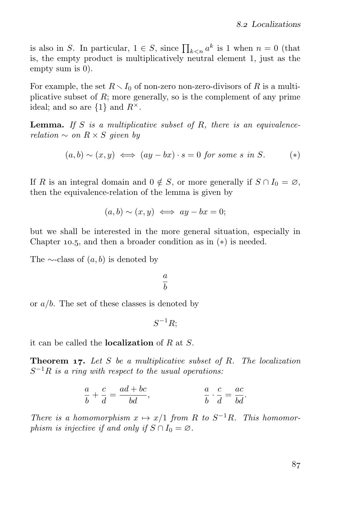is also in S. In particular,  $1 \in S$ , since  $\prod_{k \leq n} a^k$  is 1 when  $n = 0$  (that is, the empty product is multiplicatively neutral element 1, just as the empty sum is 0).

For example, the set  $R \setminus I_0$  of non-zero non-zero-divisors of R is a multiplicative subset of  $R$ ; more generally, so is the complement of any prime ideal; and so are  $\{1\}$  and  $R^{\times}$ .

**Lemma.** If S is a multiplicative subset of R, there is an equivalencerelation  $\sim$  on  $R \times S$  given by

$$
(a, b) \sim (x, y) \iff (ay - bx) \cdot s = 0 \text{ for some } s \text{ in } S. \tag{*}
$$

If R is an integral domain and  $0 \notin S$ , or more generally if  $S \cap I_0 = \emptyset$ , then the equivalence-relation of the lemma is given by

$$
(a,b) \sim (x,y) \iff ay - bx = 0;
$$

but we shall be interested in the more general situation, especially in Chapter 10.5, and then a broader condition as in  $(*)$  is needed.

The  $\sim$ -class of  $(a, b)$  is denoted by

a b

or  $a/b$ . The set of these classes is denoted by

 $S^{-1}R;$ 

it can be called the **localization** of  $R$  at  $S$ .

**Theorem 17.** Let S be a multiplicative subset of R. The localization  $S^{-1}R$  is a ring with respect to the usual operations:

$$
\frac{a}{b} + \frac{c}{d} = \frac{ad + bc}{bd}, \qquad \frac{a}{b} \cdot \frac{c}{d} = \frac{ac}{bd}.
$$

There is a homomorphism  $x \mapsto x/1$  from R to  $S^{-1}R$ . This homomorphism is injective if and only if  $S \cap I_0 = \emptyset$ .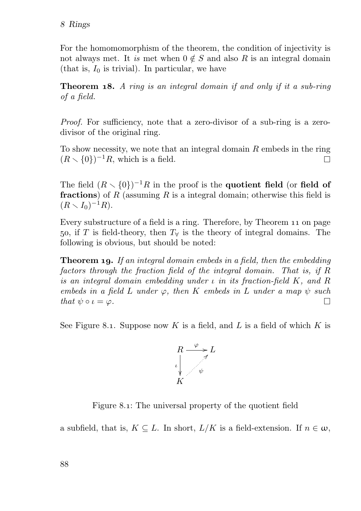For the homomomorphism of the theorem, the condition of injectivity is not always met. It is met when  $0 \notin S$  and also R is an integral domain (that is,  $I_0$  is trivial). In particular, we have

**Theorem 18.** A ring is an integral domain if and only if it a sub-ring of a field.

Proof. For sufficiency, note that a zero-divisor of a sub-ring is a zerodivisor of the original ring.

To show necessity, we note that an integral domain  $R$  embeds in the ring  $(R \setminus \{0\})^{-1}R$ , which is a field. П

The field  $(R \setminus \{0\})^{-1}R$  in the proof is the **quotient field** (or **field of** fractions) of R (assuming R is a integral domain; otherwise this field is  $(R \setminus I_0)^{-1}R$ ).

Every substructure of a field is a ring. Therefore, by Theorem 11 on page 50, if T is field-theory, then  $T_{\forall}$  is the theory of integral domains. The following is obvious, but should be noted:

**Theorem 19.** If an integral domain embeds in a field, then the embedding factors through the fraction field of the integral domain. That is, if R is an integral domain embedding under  $\iota$  in its fraction-field K, and R embeds in a field L under  $\varphi$ , then K embeds in L under a map  $\psi$  such that  $\psi \circ \iota = \varphi$ .  $\Box$ 

See Figure 8.1. Suppose now  $K$  is a field, and  $L$  is a field of which  $K$  is



Figure 8.1: The universal property of the quotient field

a subfield, that is,  $K \subseteq L$ . In short,  $L/K$  is a field-extension. If  $n \in \omega$ ,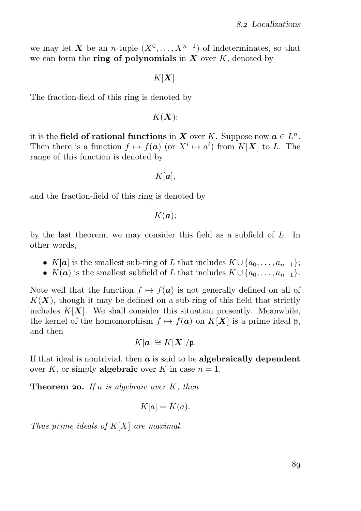we may let X be an n-tuple  $(X^0, \ldots, X^{n-1})$  of indeterminates, so that we can form the **ring of polynomials** in  $X$  over  $K$ , denoted by

 $K[X]$ .

The fraction-field of this ring is denoted by

 $K(X)$ ;

it is the field of rational functions in X over K. Suppose now  $a \in L^n$ . Then there is a function  $f \mapsto f(a)$  (or  $X^i \mapsto a^i$ ) from  $K[X]$  to L. The range of this function is denoted by

 $K[\boldsymbol{a}],$ 

and the fraction-field of this ring is denoted by

 $K(a);$ 

by the last theorem, we may consider this field as a subfield of L. In other words,

- K[a] is the smallest sub-ring of L that includes  $K \cup \{a_0, \ldots, a_{n-1}\};$
- $K(a)$  is the smallest subfield of L that includes  $K \cup \{a_0, \ldots, a_{n-1}\}.$

Note well that the function  $f \mapsto f(a)$  is not generally defined on all of  $K(X)$ , though it may be defined on a sub-ring of this field that strictly includes  $K[X]$ . We shall consider this situation presently. Meanwhile, the kernel of the homomorphism  $f \mapsto f(a)$  on  $K[X]$  is a prime ideal p, and then

$$
K[\mathbf{a}] \cong K[\mathbf{X}]/\mathfrak{p}.
$$

If that ideal is nontrivial, then  $\boldsymbol{a}$  is said to be algebraically dependent over K, or simply **algebraic** over K in case  $n = 1$ .

**Theorem 20.** If a is algebraic over  $K$ , then

$$
K[a] = K(a).
$$

Thus prime ideals of  $K[X]$  are maximal.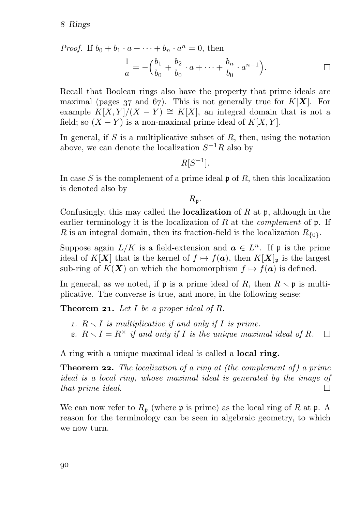*Proof.* If  $b_0 + b_1 \cdot a + \cdots + b_n \cdot a^n = 0$ , then

$$
\frac{1}{a} = -\left(\frac{b_1}{b_0} + \frac{b_2}{b_0} \cdot a + \dots + \frac{b_n}{b_0} \cdot a^{n-1}\right).
$$

Recall that Boolean rings also have the property that prime ideals are maximal (pages  $37$  and  $67$ ). This is not generally true for  $K[X]$ . For example  $K[X, Y]/(X - Y) \cong K[X]$ , an integral domain that is not a field; so  $(X - Y)$  is a non-maximal prime ideal of  $K[X, Y]$ .

In general, if S is a multiplicative subset of R, then, using the notation above, we can denote the localization  $S^{-1}R$  also by

$$
R[S^{-1}].
$$

In case S is the complement of a prime ideal  $\mathfrak p$  of R, then this localization is denoted also by

 $R_{n}$ .

Confusingly, this may called the **localization** of  $R$  at  $\mathfrak{p}$ , although in the earlier terminology it is the localization of  $R$  at the *complement* of  $\mathfrak p$ . If R is an integral domain, then its fraction-field is the localization  $R_{\{0\}}$ .

Suppose again  $L/K$  is a field-extension and  $\boldsymbol{a} \in L^n$ . If  $\mathfrak{p}$  is the prime ideal of K[X] that is the kernel of  $f \mapsto f(a)$ , then  $K[X]_p$  is the largest sub-ring of  $K(X)$  on which the homomorphism  $f \mapsto f(a)$  is defined.

In general, as we noted, if **p** is a prime ideal of R, then  $R \setminus \mathfrak{p}$  is multiplicative. The converse is true, and more, in the following sense:

**Theorem 21.** Let I be a proper ideal of R.

- 1.  $R \setminus I$  is multiplicative if and only if I is prime.
- 2.  $R \setminus I = R^{\times}$  if and only if I is the unique maximal ideal of R.  $\Box$

A ring with a unique maximal ideal is called a local ring.

**Theorem 22.** The localization of a ring at (the complement of) a prime ideal is a local ring, whose maximal ideal is generated by the image of that prime ideal.  $\Box$ 

We can now refer to  $R_p$  (where  $\mathfrak p$  is prime) as the local ring of R at  $\mathfrak p$ . A reason for the terminology can be seen in algebraic geometry, to which we now turn.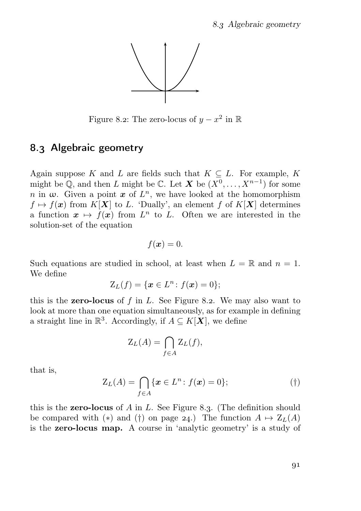

Figure 8.2: The zero-locus of  $y - x^2$  in  $\mathbb R$ 

## 8.3 Algebraic geometry

Again suppose K and L are fields such that  $K \subseteq L$ . For example, K might be  $\mathbb{Q}$ , and then L might be  $\mathbb{C}$ . Let X be  $(X^0, \ldots, X^{n-1})$  for some n in  $\omega$ . Given a point  $x$  of  $L^n$ , we have looked at the homomorphism  $f \mapsto f(x)$  from  $K[X]$  to L. 'Dually', an element f of  $K[X]$  determines a function  $x \mapsto f(x)$  from  $L^n$  to L. Often we are interested in the solution-set of the equation

$$
f(\boldsymbol{x})=0.
$$

Such equations are studied in school, at least when  $L = \mathbb{R}$  and  $n = 1$ . We define

$$
Z_L(f) = \{ \boldsymbol{x} \in L^n : f(\boldsymbol{x}) = 0 \};
$$

this is the **zero-locus** of  $f$  in  $L$ . See Figure 8.2. We may also want to look at more than one equation simultaneously, as for example in defining a straight line in  $\mathbb{R}^3$ . Accordingly, if  $A \subseteq K[\mathbf{X}]$ , we define

$$
\mathcal{Z}_L(A) = \bigcap_{f \in A} \mathcal{Z}_L(f),
$$

that is,

$$
Z_L(A) = \bigcap_{f \in A} \{ \boldsymbol{x} \in L^n : f(\boldsymbol{x}) = 0 \};\tag{\dagger}
$$

this is the **zero-locus** of A in L. See Figure 8.3. (The definition should be compared with (\*) and (†) on page 24.) The function  $A \mapsto Z_L(A)$ is the zero-locus map. A course in 'analytic geometry' is a study of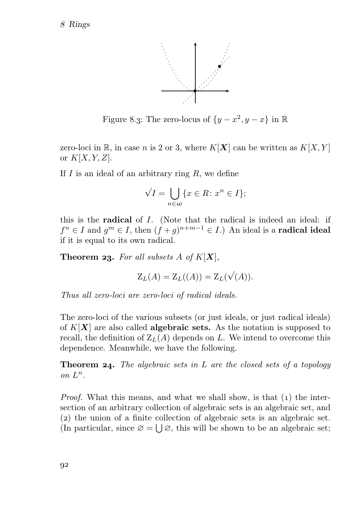Rings



Figure 8.3: The zero-locus of  $\{y - x^2, y - x\}$  in  $\mathbb R$ 

zero-loci in R, in case n is 2 or 3, where  $K[X]$  can be written as  $K[X, Y]$ or  $K[X, Y, Z]$ .

If  $I$  is an ideal of an arbitrary ring  $R$ , we define

$$
\sqrt{I} = \bigcup_{n \in \omega} \{x \in R \colon x^n \in I\};
$$

this is the radical of I. (Note that the radical is indeed an ideal: if  $f^n \in I$  and  $g^m \in I$ , then  $(f + g)^{n+m-1} \in I$ .) An ideal is a **radical ideal** if it is equal to its own radical.

**Theorem 23.** For all subsets A of  $K[X]$ ,

$$
\mathcal{Z}_L(A) = \mathcal{Z}_L((A)) = \mathcal{Z}_L(\sqrt{(A)}).
$$

Thus all zero-loci are zero-loci of radical ideals.

The zero-loci of the various subsets (or just ideals, or just radical ideals) of  $K[X]$  are also called **algebraic sets.** As the notation is supposed to recall, the definition of  $Z_L(A)$  depends on L. We intend to overcome this dependence. Meanwhile, we have the following.

**Theorem 24.** The algebraic sets in L are the closed sets of a topology on  $L^n$ .

*Proof.* What this means, and what we shall show, is that  $(1)$  the intersection of an arbitrary collection of algebraic sets is an algebraic set, and () the union of a finite collection of algebraic sets is an algebraic set. (In particular, since  $\varnothing = \bigcup \varnothing$ , this will be shown to be an algebraic set;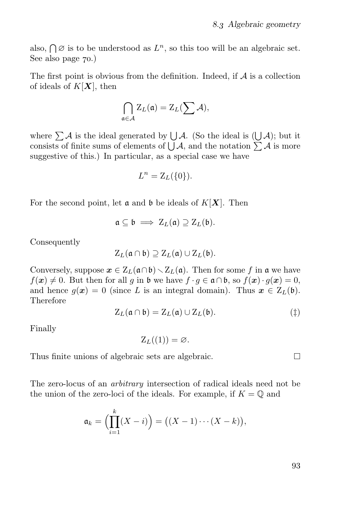also,  $\bigcap \emptyset$  is to be understood as  $L^n$ , so this too will be an algebraic set. See also page  $70.$ )

The first point is obvious from the definition. Indeed, if  $A$  is a collection of ideals of  $K[X]$ , then

$$
\bigcap_{\mathfrak{a}\in\mathcal{A}}Z_L(\mathfrak{a})=Z_L(\sum\mathcal{A}),
$$

where  $\sum A$  is the ideal generated by  $\bigcup A$ . (So the ideal is  $(\bigcup A)$ ; but it consists of finite sums of elements of  $\bigcup \mathcal{A}$ , and the notation  $\sum \mathcal{A}$  is more suggestive of this.) In particular, as a special case we have

$$
L^n = \mathcal{Z}_L(\{0\}).
$$

For the second point, let  $\mathfrak a$  and  $\mathfrak b$  be ideals of  $K[\mathbf X]$ . Then

$$
\mathfrak{a} \subseteq \mathfrak{b} \implies Z_L(\mathfrak{a}) \supseteq Z_L(\mathfrak{b}).
$$

Consequently

$$
Z_L(\mathfrak{a} \cap \mathfrak{b}) \supseteq Z_L(\mathfrak{a}) \cup Z_L(\mathfrak{b}).
$$

Conversely, suppose  $x \in Z_L(\mathfrak{a} \cap \mathfrak{b}) \setminus Z_L(\mathfrak{a})$ . Then for some f in  $\mathfrak{a}$  we have  $f(\mathbf{x}) \neq 0$ . But then for all g in b we have  $f \cdot g \in \mathfrak{a} \cap \mathfrak{b}$ , so  $f(\mathbf{x}) \cdot g(\mathbf{x}) = 0$ , and hence  $g(x) = 0$  (since L is an integral domain). Thus  $x \in Z_L(\mathfrak{b})$ . Therefore

$$
Z_L(\mathfrak{a} \cap \mathfrak{b}) = Z_L(\mathfrak{a}) \cup Z_L(\mathfrak{b}). \tag{\ddagger}
$$

Finally

 $Z_L((1)) = \emptyset$ .

Thus finite unions of algebraic sets are algebraic.

The zero-locus of an arbitrary intersection of radical ideals need not be the union of the zero-loci of the ideals. For example, if  $K = \mathbb{O}$  and

$$
\mathfrak{a}_k = \Bigl(\prod_{i=1}^k (X - i)\Bigr) = \bigl((X - 1) \cdots (X - k)\bigr),
$$

 $\Box$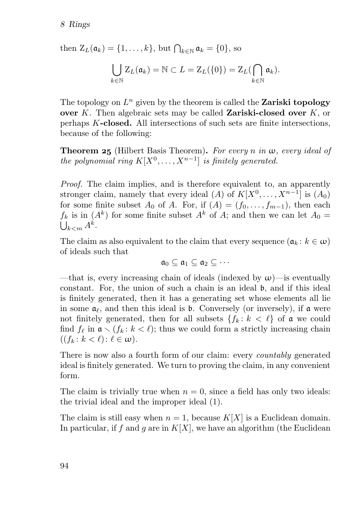then  $\mathbf{Z}_L(\mathfrak{a}_k) = \{1, \ldots, k\}$ , but  $\bigcap_{k \in \mathbb{N}} \mathfrak{a}_k = \{0\}$ , so  $\vert \ \ \vert$  $k \in \mathbb{N}$  $Z_L(\mathfrak{a}_k) = \mathbb{N} \subset L = Z_L(\{0\}) = Z_L(\bigcap$  $k \in \mathbb{N}$  $\mathfrak{a}_k).$ 

The topology on  $L^n$  given by the theorem is called the Zariski topology over K. Then algebraic sets may be called **Zariski-closed over**  $K$ , or perhaps K-closed. All intersections of such sets are finite intersections, because of the following:

**Theorem 25** (Hilbert Basis Theorem). For every n in  $\omega$ , every ideal of the polynomial ring  $K[X^0, \ldots, X^{n-1}]$  is finitely generated.

Proof. The claim implies, and is therefore equivalent to, an apparently stronger claim, namely that every ideal  $(A)$  of  $K[X^0, \ldots, X^{n-1}]$  is  $(A_0)$ for some finite subset  $A_0$  of A. For, if  $(A) = (f_0, \ldots, f_{m-1})$ , then each  $f_k$  is in  $(A^k)$  for some finite subset  $A^k$  of  $A$ ; and then we can let  $A_0 =$  $\bigcup_{k$ 

The claim as also equivalent to the claim that every sequence  $(a_k : k \in \omega)$ of ideals such that

 $a_0 \subset a_1 \subset a_2 \subset \cdots$ 

—that is, every increasing chain of ideals (indexed by  $\omega$ )—is eventually constant. For, the union of such a chain is an ideal b, and if this ideal is finitely generated, then it has a generating set whose elements all lie in some  $a_\ell$ , and then this ideal is b. Conversely (or inversely), if a were not finitely generated, then for all subsets  $\{f_k : k < \ell\}$  of a we could find  $f_{\ell}$  in  $\mathfrak{a} \setminus (f_k : k < \ell)$ ; thus we could form a strictly increasing chain  $((f_k: k < \ell): \ell \in \omega).$ 

There is now also a fourth form of our claim: every *countably* generated ideal is finitely generated. We turn to proving the claim, in any convenient form.

The claim is trivially true when  $n = 0$ , since a field has only two ideals: the trivial ideal and the improper ideal (1).

The claim is still easy when  $n = 1$ , because  $K[X]$  is a Euclidean domain. In particular, if f and g are in  $K[X]$ , we have an algorithm (the Euclidean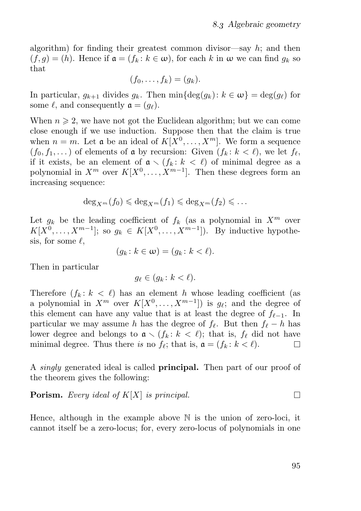algorithm) for finding their greatest common divisor—say  $h$ ; and then  $(f, q) = (h)$ . Hence if  $\mathfrak{a} = (f_k : k \in \omega)$ , for each k in  $\omega$  we can find  $g_k$  so that

$$
(f_0,\ldots,f_k)=(g_k).
$$

In particular,  $g_{k+1}$  divides  $g_k$ . Then  $\min{\{\deg(g_k): k \in \omega\}} = \deg(g_\ell)$  for some  $\ell$ , and consequently  $\mathfrak{a} = (q_{\ell}).$ 

When  $n \geq 2$ , we have not got the Euclidean algorithm; but we can come close enough if we use induction. Suppose then that the claim is true when  $n = m$ . Let **a** be an ideal of  $K[X^0, \ldots, X^m]$ . We form a sequence  $(f_0, f_1, \dots)$  of elements of **a** by recursion: Given  $(f_k : k < \ell)$ , we let  $f_\ell$ , if it exists, be an element of  $a \setminus (f_k : k < \ell)$  of minimal degree as a polynomial in  $X^m$  over  $K[X^0, \ldots, X^{m-1}]$ . Then these degrees form an increasing sequence:

$$
\deg_{X^m}(f_0)\leqslant \deg_{X^m}(f_1)\leqslant \deg_{X^m}(f_2)\leqslant \ldots
$$

Let  $g_k$  be the leading coefficient of  $f_k$  (as a polynomial in  $X^m$  over  $K[X^0, \ldots, X^{m-1}]$ ; so  $g_k \in K[X^0, \ldots, X^{m-1}]$ ). By inductive hypothesis, for some  $\ell$ ,

$$
(g_k\colon k\in\omega)=(g_k\colon k<\ell).
$$

Then in particular

$$
g_{\ell} \in (g_k \colon k < \ell).
$$

Therefore  $(f_k : k < \ell)$  has an element h whose leading coefficient (as a polynomial in  $X^m$  over  $K[X^0, \ldots, X^{m-1}]$  is  $g_{\ell}$ ; and the degree of this element can have any value that is at least the degree of  $f_{\ell-1}$ . In particular we may assume h has the degree of  $f_{\ell}$ . But then  $f_{\ell} - h$  has lower degree and belongs to  $a \setminus (f_k : k \lt \ell)$ ; that is,  $f_\ell$  did not have minimal degree. Thus there is no  $f_\ell$ ; that is,  $\mathfrak{a} = (f_k : k < \ell)$ .  $\Box$ 

A *singly* generated ideal is called **principal.** Then part of our proof of the theorem gives the following:

#### **Porism.** Every ideal of  $K[X]$  is principal.  $\Box$

Hence, although in the example above N is the union of zero-loci, it cannot itself be a zero-locus; for, every zero-locus of polynomials in one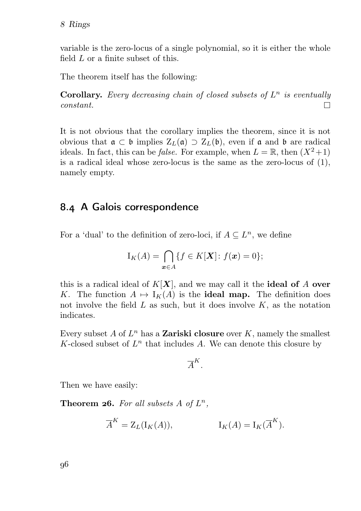variable is the zero-locus of a single polynomial, so it is either the whole field L or a finite subset of this.

The theorem itself has the following:

**Corollary.** Every decreasing chain of closed subsets of  $L^n$  is eventually  $\Box$ constant.

It is not obvious that the corollary implies the theorem, since it is not obvious that  $\mathfrak{a} \subset \mathfrak{b}$  implies  $Z_L(\mathfrak{a}) \supset Z_L(\mathfrak{b})$ , even if  $\mathfrak{a}$  and  $\mathfrak{b}$  are radical ideals. In fact, this can be *false*. For example, when  $L = \mathbb{R}$ , then  $(X^2+1)$ is a radical ideal whose zero-locus is the same as the zero-locus of (1), namely empty.

## 8.4 A Galois correspondence

For a 'dual' to the definition of zero-loci, if  $A \subseteq L<sup>n</sup>$ , we define

$$
I_K(A) = \bigcap_{\mathbf{x} \in A} \{ f \in K[\mathbf{X}] : f(\mathbf{x}) = 0 \};
$$

this is a radical ideal of  $K[X]$ , and we may call it the **ideal of** A **over** K. The function  $A \mapsto I_K(A)$  is the **ideal map.** The definition does not involve the field  $L$  as such, but it does involve  $K$ , as the notation indicates.

Every subset A of  $L^n$  has a Zariski closure over K, namely the smallest K-closed subset of  $L^n$  that includes A. We can denote this closure by

$$
\overline{A}^K.
$$

Then we have easily:

**Theorem 26.** For all subsets  $A$  of  $L^n$ ,

$$
\overline{A}^K = Z_L(\mathbf{I}_K(A)), \qquad \qquad \mathbf{I}_K(A) = \mathbf{I}_K(\overline{A}^K).
$$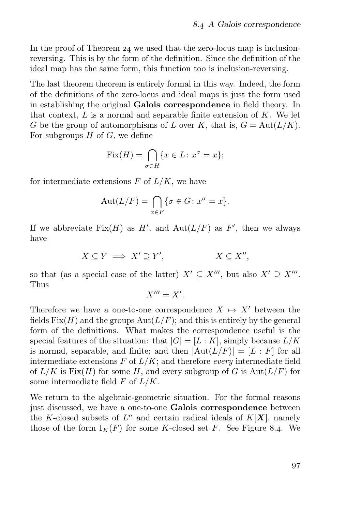In the proof of Theorem  $24$  we used that the zero-locus map is inclusionreversing. This is by the form of the definition. Since the definition of the ideal map has the same form, this function too is inclusion-reversing.

The last theorem theorem is entirely formal in this way. Indeed, the form of the definitions of the zero-locus and ideal maps is just the form used in establishing the original Galois correspondence in field theory. In that context,  $L$  is a normal and separable finite extension of  $K$ . We let G be the group of automorphisms of L over K, that is,  $G = Aut(L/K)$ . For subgroups  $H$  of  $G$ , we define

$$
\text{Fix}(H) = \bigcap_{\sigma \in H} \{ x \in L : x^{\sigma} = x \};
$$

for intermediate extensions  $F$  of  $L/K$ , we have

$$
Aut(L/F) = \bigcap_{x \in F} \{ \sigma \in G \colon x^{\sigma} = x \}.
$$

If we abbreviate  $Fix(H)$  as  $H'$ , and  $Aut(L/F)$  as  $F'$ , then we always have

$$
X \subseteq Y \implies X' \supseteq Y', \qquad X \subseteq X'',
$$

so that (as a special case of the latter)  $X' \subseteq X'''$ , but also  $X' \supseteq X'''$ . Thus

$$
X''' = X'.
$$

Therefore we have a one-to-one correspondence  $X \mapsto X'$  between the fields  $Fix(H)$  and the groups  $Aut(L/F)$ ; and this is entirely by the general form of the definitions. What makes the correspondence useful is the special features of the situation: that  $|G| = [L : K]$ , simply because  $L/K$ is normal, separable, and finite; and then  $|Aut(L/F)| = [L : F]$  for all intermediate extensions  $F$  of  $L/K$ ; and therefore *every* intermediate field of  $L/K$  is Fix $(H)$  for some H, and every subgroup of G is  $Aut(L/F)$  for some intermediate field  $F$  of  $L/K$ .

We return to the algebraic-geometric situation. For the formal reasons just discussed, we have a one-to-one Galois correspondence between the K-closed subsets of  $L^n$  and certain radical ideals of  $K[X]$ , namely those of the form  $I_K(F)$  for some K-closed set F. See Figure 8.4. We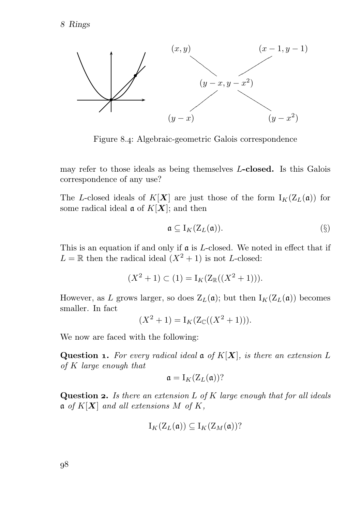

Figure 8.4: Algebraic-geometric Galois correspondence

may refer to those ideals as being themselves L-closed. Is this Galois correspondence of any use?

The L-closed ideals of  $K[X]$  are just those of the form  $I_K(Z_L(\mathfrak{a}))$  for some radical ideal  $\mathfrak{a}$  of  $K[X]$ ; and then

$$
\mathfrak{a} \subseteq I_K(Z_L(\mathfrak{a})).\tag{§}
$$

This is an equation if and only if  $\mathfrak a$  is L-closed. We noted in effect that if  $L = \mathbb{R}$  then the radical ideal  $(X^2 + 1)$  is not L-closed:

$$
(X^2 + 1) \subset (1) = I_K(Z_{\mathbb{R}}((X^2 + 1))).
$$

However, as L grows larger, so does  $Z_L(\mathfrak{a})$ ; but then  $I_K(Z_L(\mathfrak{a}))$  becomes smaller. In fact

$$
(X^2 + 1) = I_K(Z_{\mathbb{C}}((X^2 + 1))).
$$

We now are faced with the following:

Question 1. For every radical ideal  $\mathfrak{a}$  of  $K[X]$ , is there an extension L of K large enough that

$$
\mathfrak{a} = I_K(Z_L(\mathfrak{a}))?
$$

**Question 2.** Is there an extension  $L$  of  $K$  large enough that for all ideals  $\mathfrak{a}$  of  $K[X]$  and all extensions M of K,

$$
I_K(Z_L(\mathfrak{a}))\subseteq I_K(Z_M(\mathfrak{a}))?
$$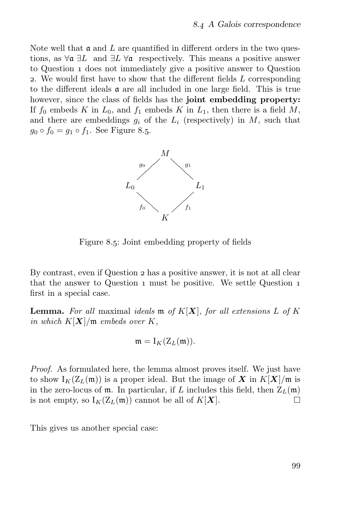Note well that  $\mathfrak a$  and L are quantified in different orders in the two questions, as  $\forall \mathfrak{a} \exists L$  and  $\exists L \forall \mathfrak{a}$  respectively. This means a positive answer to Question 1 does not immediately give a positive answer to Question . We would first have to show that the different fields L corresponding to the different ideals  $\alpha$  are all included in one large field. This is true however, since the class of fields has the joint embedding property: If  $f_0$  embeds K in  $L_0$ , and  $f_1$  embeds K in  $L_1$ , then there is a field M, and there are embeddings  $g_i$  of the  $L_i$  (respectively) in M, such that  $g_0 \circ f_0 = g_1 \circ f_1$ . See Figure 8.5.



Figure 8.5: Joint embedding property of fields

By contrast, even if Question 2 has a positive answer, it is not at all clear that the answer to Question 1 must be positive. We settle Question 1 first in a special case.

**Lemma.** For all maximal ideals  $\mathfrak{m}$  of  $K[X]$ , for all extensions L of K in which  $K[X]/\mathfrak{m}$  embeds over  $K$ ,

$$
\mathfrak{m}=\mathrm{I}_K(\mathrm{Z}_L(\mathfrak{m})).
$$

Proof. As formulated here, the lemma almost proves itself. We just have to show  $I_K(\mathbb{Z}_L(\mathfrak{m}))$  is a proper ideal. But the image of X in  $K[X]/\mathfrak{m}$  is in the zero-locus of  $m$ . In particular, if L includes this field, then  $Z_L(m)$ is not empty, so  $I_K(Z_L(\mathfrak{m}))$  cannot be all of  $K[\mathbf{X}]$ .  $\Box$ 

This gives us another special case: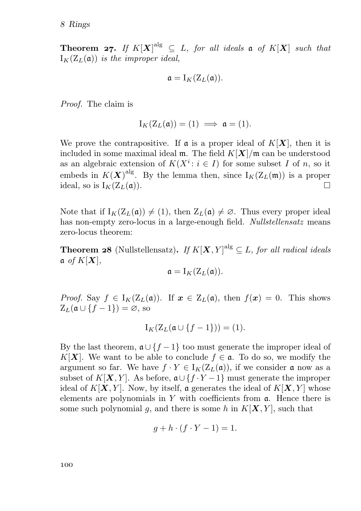**Theorem 27.** If  $K[X]^{\text{alg}} \subseteq L$ , for all ideals  $\mathfrak{a}$  of  $K[X]$  such that  $I_K(Z_L(\mathfrak{a}))$  is the improper ideal,

$$
\mathfrak{a} = I_K(Z_L(\mathfrak{a})).
$$

Proof. The claim is

$$
I_K(Z_L(\mathfrak{a}))=(1) \implies \mathfrak{a}=(1).
$$

We prove the contrapositive. If  $\mathfrak a$  is a proper ideal of  $K[X]$ , then it is included in some maximal ideal  $\mathfrak{m}$ . The field  $K[X]/\mathfrak{m}$  can be understood as an algebraic extension of  $K(X^i: i \in I)$  for some subset I of n, so it embeds in  $K(\mathbf{X})^{\text{alg}}$ . By the lemma then, since  $I_K(\mathbf{Z}_L(\mathfrak{m}))$  is a proper ideal, so is  $I_K(Z_L(\mathfrak{a}))$ . П

Note that if  $I_K(Z_L(\mathfrak{a})) \neq (1)$ , then  $Z_L(\mathfrak{a}) \neq \emptyset$ . Thus every proper ideal has non-empty zero-locus in a large-enough field. Nullstellensatz means zero-locus theorem:

**Theorem 28** (Nullstellensatz). If  $K[\mathbf{X}, Y]^{\text{alg}} \subseteq L$ , for all radical ideals  $\mathfrak{a}$  of  $K[\boldsymbol{X}],$ 

$$
\mathfrak{a} = I_K(Z_L(\mathfrak{a})).
$$

*Proof.* Say  $f \in I_K(\mathbb{Z}_L(\mathfrak{a}))$ . If  $x \in \mathbb{Z}_L(\mathfrak{a})$ , then  $f(x) = 0$ . This shows  $Z_L(\mathfrak{a} \cup \{f-1\}) = \emptyset$ , so

$$
I_K(Z_L(\mathfrak{a}\cup\{f-1\}))=(1).
$$

By the last theorem,  $\mathfrak{a} \cup \{f-1\}$  too must generate the improper ideal of K[X]. We want to be able to conclude  $f \in \mathfrak{a}$ . To do so, we modify the argument so far. We have  $f \cdot Y \in I_K(Z_L(\mathfrak{a}))$ , if we consider  $\mathfrak{a}$  now as a subset of  $K[X, Y]$ . As before,  $\mathfrak{a} \cup \{f \cdot Y - 1\}$  must generate the improper ideal of  $K[X, Y]$ . Now, by itself, a generates the ideal of  $K[X, Y]$  whose elements are polynomials in Y with coefficients from  $\alpha$ . Hence there is some such polynomial g, and there is some h in  $K[X, Y]$ , such that

$$
g + h \cdot (f \cdot Y - 1) = 1.
$$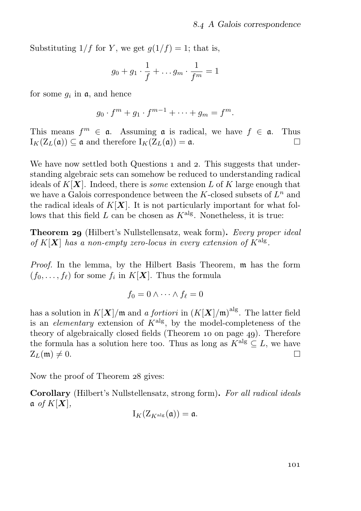Substituting  $1/f$  for Y, we get  $g(1/f) = 1$ ; that is,

$$
g_0 + g_1 \cdot \frac{1}{f} + \dots g_m \cdot \frac{1}{f^m} = 1
$$

for some  $g_i$  in  $\mathfrak{a}$ , and hence

$$
g_0 \cdot f^m + g_1 \cdot f^{m-1} + \dots + g_m = f^m.
$$

This means  $f^m \in \mathfrak{a}$ . Assuming  $\mathfrak{a}$  is radical, we have  $f \in \mathfrak{a}$ . Thus  $I_K(Z_L(\mathfrak{a})) \subset \mathfrak{a}$  and therefore  $I_K(Z_L(\mathfrak{a})) = \mathfrak{a}$ .

We have now settled both Questions  $_1$  and  $_2$ . This suggests that understanding algebraic sets can somehow be reduced to understanding radical ideals of  $K[X]$ . Indeed, there is *some* extension L of K large enough that we have a Galois correspondence between the K-closed subsets of  $L^n$  and the radical ideals of  $K[X]$ . It is not particularly important for what follows that this field  $L$  can be chosen as  $K^{\text{alg}}$ . Nonetheless, it is true:

**Theorem 29** (Hilbert's Nullstellensatz, weak form). Every proper ideal of  $K[\boldsymbol{X}]$  has a non-empty zero-locus in every extension of  $K^{\text{alg}}$ .

Proof. In the lemma, by the Hilbert Basis Theorem, m has the form  $(f_0, \ldots, f_\ell)$  for some  $f_i$  in  $K[\boldsymbol{X}]$ . Thus the formula

$$
f_0=0 \wedge \cdots \wedge f_\ell=0
$$

has a solution in  $K[\mathbf{X}]/\mathfrak{m}$  and a fortiori in  $(K[\mathbf{X}]/\mathfrak{m})^{\text{alg}}$ . The latter field is an *elementary* extension of  $K^{\text{alg}}$ , by the model-completeness of the theory of algebraically closed fields (Theorem 10 on page 49). Therefore the formula has a solution here too. Thus as long as  $\widehat{K}^{\text{alg}} \subseteq L$ , we have  $Z_L(\mathfrak{m}) \neq 0$ .  $Z_L(\mathfrak{m}) \neq 0.$ 

Now the proof of Theorem 28 gives:

Corollary (Hilbert's Nullstellensatz, strong form). For all radical ideals  $\mathfrak{a}$  of  $K[\boldsymbol{X}],$ 

$$
I_K(Z_{K^{\operatorname{alg}}}(\mathfrak{a}))=\mathfrak{a}.
$$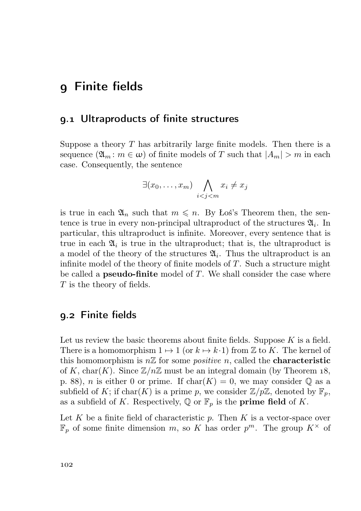# Finite fields

#### . Ultraproducts of finite structures

Suppose a theory  $T$  has arbitrarily large finite models. Then there is a sequence  $(\mathfrak{A}_m : m \in \omega)$  of finite models of T such that  $|A_m| > m$  in each case. Consequently, the sentence

$$
\exists (x_0,\ldots,x_m) \bigwedge_{i
$$

is true in each  $\mathfrak{A}_n$  such that  $m \leq n$ . By Łoś's Theorem then, the sentence is true in every non-principal ultraproduct of the structures  $\mathfrak{A}_i$ . In particular, this ultraproduct is infinite. Moreover, every sentence that is true in each  $\mathfrak{A}_i$  is true in the ultraproduct; that is, the ultraproduct is a model of the theory of the structures  $\mathfrak{A}_i$ . Thus the ultraproduct is an infinite model of the theory of finite models of  $T$ . Such a structure might be called a **pseudo-finite** model of  $T$ . We shall consider the case where T is the theory of fields.

#### . Finite fields

Let us review the basic theorems about finite fields. Suppose  $K$  is a field. There is a homomorphism  $1 \mapsto 1$  (or  $k \mapsto k \cdot 1$ ) from Z to K. The kernel of this homomorphism is  $n\mathbb{Z}$  for some *positive* n, called the **characteristic** of K, char(K). Since  $\mathbb{Z}/n\mathbb{Z}$  must be an integral domain (by Theorem 18, p. 88), *n* is either 0 or prime. If  $char(K) = 0$ , we may consider  $\mathbb Q$  as a subfield of K; if char(K) is a prime p, we consider  $\mathbb{Z}/p\mathbb{Z}$ , denoted by  $\mathbb{F}_p$ , as a subfield of K. Respectively,  $\mathbb{Q}$  or  $\mathbb{F}_p$  is the **prime field** of K.

Let K be a finite field of characteristic  $p$ . Then K is a vector-space over  $\mathbb{F}_p$  of some finite dimension m, so K has order  $p^m$ . The group  $K^{\times}$  of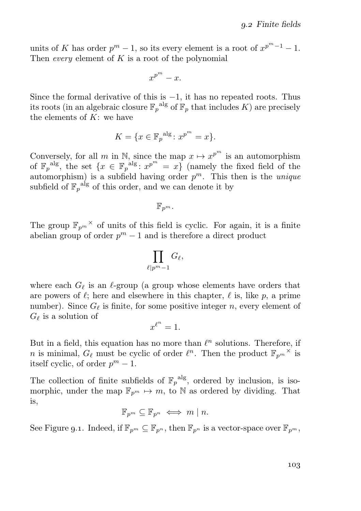units of K has order  $p^m - 1$ , so its every element is a root of  $x^{p^m-1} - 1$ . Then *every* element of  $K$  is a root of the polynomial

$$
x^{p^m}-x.
$$

Since the formal derivative of this is  $-1$ , it has no repeated roots. Thus its roots (in an algebraic closure  $\mathbb{F}_p^{\text{alg}}$  of  $\mathbb{F}_p$  that includes K) are precisely the elements of  $K$ : we have

$$
K = \{ x \in \mathbb{F}_p^{\text{alg}} \colon x^{p^m} = x \}.
$$

Conversely, for all m in N, since the map  $x \mapsto x^{p^m}$  is an automorphism of  $\mathbb{F}_p^{\text{alg}}$ , the set  $\{x \in \mathbb{F}_p^{\text{alg}} : x^{p^m} = x\}$  (namely the fixed field of the automorphism) is a subfield having order  $p^m$ . This then is the *unique* subfield of  $\mathbb{F}_p^{\text{alg}}$  of this order, and we can denote it by

 $\mathbb{F}_{p^m}.$ 

The group  $\mathbb{F}_{p^m}$ <sup> $\times$ </sup> of units of this field is cyclic. For again, it is a finite abelian group of order  $p^m - 1$  and is therefore a direct product

$$
\prod_{\ell \mid p^m-1} G_\ell,
$$

where each  $G_{\ell}$  is an  $\ell$ -group (a group whose elements have orders that are powers of  $\ell$ ; here and elsewhere in this chapter,  $\ell$  is, like p, a prime number). Since  $G_{\ell}$  is finite, for some positive integer n, every element of  $G_{\ell}$  is a solution of

$$
x^{\ell^n}=1.
$$

But in a field, this equation has no more than  $\ell^n$  solutions. Therefore, if *n* is minimal,  $G_{\ell}$  must be cyclic of order  $\ell^{n}$ . Then the product  $\mathbb{F}_{p^{m}}^{\times}$  is itself cyclic, of order  $p^m - 1$ .

The collection of finite subfields of  $\mathbb{F}_p^{\text{alg}}$ , ordered by inclusion, is isomorphic, under the map  $\mathbb{F}_{p^m} \mapsto m$ , to N as ordered by dividing. That is,

$$
\mathbb{F}_{p^m} \subseteq \mathbb{F}_{p^n} \iff m \mid n.
$$

See Figure 9.1. Indeed, if  $\mathbb{F}_{p^m} \subseteq \mathbb{F}_{p^n}$ , then  $\mathbb{F}_{p^n}$  is a vector-space over  $\mathbb{F}_{p^m}$ ,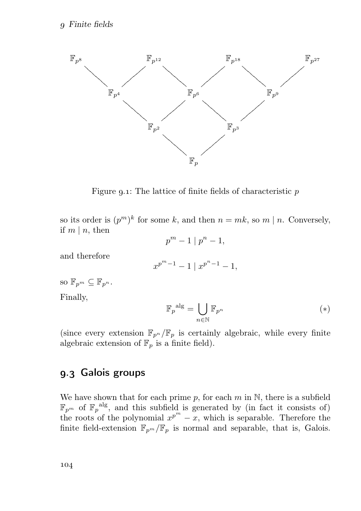

Figure 9.1: The lattice of finite fields of characteristic  $p$ 

so its order is  $(p^m)^k$  for some k, and then  $n = mk$ , so  $m \mid n$ . Conversely, if  $m \mid n$ , then

$$
p^m-1\mid p^n-1,
$$

and therefore

$$
x^{p^m-1}-1 \mid x^{p^n-1}-1,
$$

so  $\mathbb{F}_{n^m} \subset \mathbb{F}_{n^n}$ .

Finally,

$$
\mathbb{F}_p^{\text{alg}} = \bigcup_{n \in \mathbb{N}} \mathbb{F}_{p^n} \tag{*}
$$

(since every extension  $\mathbb{F}_{p^n}/\mathbb{F}_p$  is certainly algebraic, while every finite algebraic extension of  $\mathbb{F}_p$  is a finite field).

## 9.3 Galois groups

We have shown that for each prime  $p$ , for each  $m$  in  $\mathbb{N}$ , there is a subfield  $\mathbb{F}_{p^m}$  of  $\mathbb{F}_p^{\text{alg}}$ , and this subfield is generated by (in fact it consists of) the roots of the polynomial  $x^{p^m} - x$ , which is separable. Therefore the finite field-extension  $\mathbb{F}_{p^m}/\mathbb{F}_p$  is normal and separable, that is, Galois.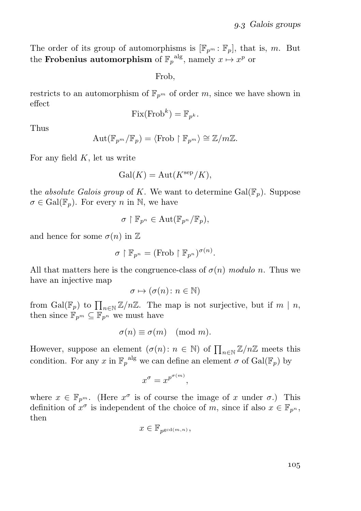The order of its group of automorphisms is  $[\mathbb{F}_{p^m} : \mathbb{F}_p]$ , that is, m. But the **Frobenius automorphism** of  $\mathbb{F}_p^{\text{alg}}$ , namely  $x \mapsto x^p$  or

Frob,

restricts to an automorphism of  $\mathbb{F}_{p^m}$  of order m, since we have shown in effect

$$
Fix(Frob^k) = \mathbb{F}_{p^k}.
$$

Thus

$$
\mathrm{Aut}(\mathbb{F}_{p^m}/\mathbb{F}_p)=\langle \mathrm{Frob}\restriction \mathbb{F}_{p^m}\rangle\cong \mathbb{Z}/m\mathbb{Z}.
$$

For any field  $K$ , let us write

$$
Gal(K) = Aut(Ksep/K),
$$

the *absolute Galois group* of K. We want to determine  $Gal(\mathbb{F}_p)$ . Suppose  $\sigma \in \text{Gal}(\mathbb{F}_n)$ . For every n in N, we have

$$
\sigma\restriction \mathbb{F}_{p^n}\in \mathrm{Aut}(\mathbb{F}_{p^n}/\mathbb{F}_p),
$$

and hence for some  $\sigma(n)$  in  $\mathbb Z$ 

$$
\sigma\restriction\mathbb{F}_{p^n}=(\text{Frob}\restriction\mathbb{F}_{p^n})^{\sigma(n)}.
$$

All that matters here is the congruence-class of  $\sigma(n)$  modulo n. Thus we have an injective map

$$
\sigma \mapsto (\sigma(n) \colon n \in \mathbb{N})
$$

from  $Gal(\mathbb{F}_p)$  to  $\prod_{n\in\mathbb{N}}\mathbb{Z}/n\mathbb{Z}$ . The map is not surjective, but if  $m \mid n$ , then since  $\mathbb{F}_{p^m} \subseteq \mathbb{F}_{p^n}$  we must have

$$
\sigma(n) \equiv \sigma(m) \pmod{m}.
$$

However, suppose an element  $(\sigma(n): n \in \mathbb{N})$  of  $\prod_{n \in \mathbb{N}} \mathbb{Z}/n\mathbb{Z}$  meets this condition. For any x in  $\mathbb{F}_p^{\text{alg}}$  we can define an element  $\sigma$  of  $\text{Gal}(\mathbb{F}_p)$  by

$$
x^{\sigma} = x^{p^{\sigma(m)}},
$$

where  $x \in \mathbb{F}_{p^m}$ . (Here  $x^{\sigma}$  is of course the image of x under  $\sigma$ .) This definition of  $x^{\sigma}$  is independent of the choice of m, since if also  $x \in \mathbb{F}_{p^n}$ , then

$$
x\in\mathbb{F}_{p^{\gcd(m,n)}},
$$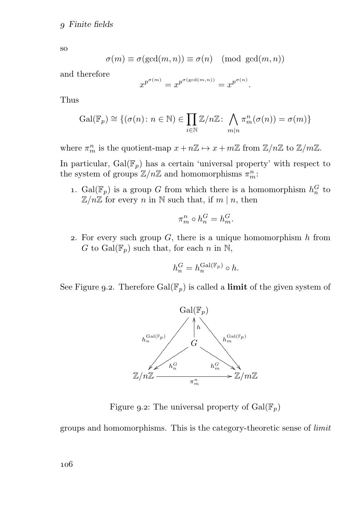so

$$
\sigma(m) \equiv \sigma(\gcd(m, n)) \equiv \sigma(n) \pmod{\gcd(m, n)}
$$

and therefore

$$
x^{p^{\sigma(m)}} = x^{p^{\sigma(\gcd(m,n))}} = x^{p^{\sigma(n)}}.
$$

Thus

$$
\mathrm{Gal}(\mathbb{F}_p) \cong \{ (\sigma(n) \colon n \in \mathbb{N}) \in \prod_{i \in \mathbb{N}} \mathbb{Z}/n\mathbb{Z} \colon \bigwedge_{m|n} \pi_m^n(\sigma(n)) = \sigma(m) \}
$$

where  $\pi_m^n$  is the quotient-map  $x + n\mathbb{Z} \to x + m\mathbb{Z}$  from  $\mathbb{Z}/n\mathbb{Z}$  to  $\mathbb{Z}/m\mathbb{Z}$ .

In particular,  $Gal(\mathbb{F}_p)$  has a certain 'universal property' with respect to the system of groups  $\mathbb{Z}/n\mathbb{Z}$  and homomorphisms  $\pi_m^n$ :

1.  $Gal(\mathbb{F}_p)$  is a group G from which there is a homomorphism  $h_n^G$  to  $\mathbb{Z}/n\mathbb{Z}$  for every n in N such that, if  $m \mid n$ , then

$$
\pi_m^n \circ h_n^G = h_m^G.
$$

2. For every such group  $G$ , there is a unique homomorphism  $h$  from G to Gal( $\mathbb{F}_p$ ) such that, for each n in N,

$$
h_n^G = h_n^{\operatorname{Gal}(\mathbb{F}_p)} \circ h.
$$

See Figure 9.2. Therefore  $Gal(\mathbb{F}_p)$  is called a **limit** of the given system of



Figure 9.2: The universal property of  $Gal(\mathbb{F}_p)$ 

groups and homomorphisms. This is the category-theoretic sense of limit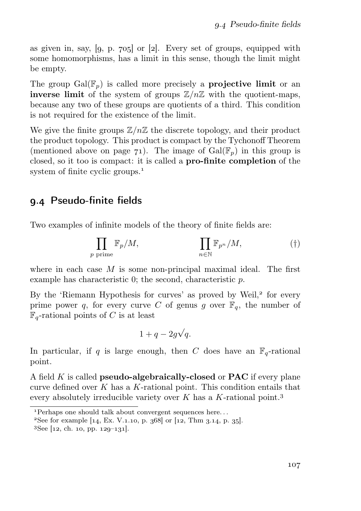as given in, say,  $[9, p. 705]$  or  $[2]$ . Every set of groups, equipped with some homomorphisms, has a limit in this sense, though the limit might be empty.

The group  $Gal(\mathbb{F}_p)$  is called more precisely a **projective limit** or an **inverse limit** of the system of groups  $\mathbb{Z}/n\mathbb{Z}$  with the quotient-maps, because any two of these groups are quotients of a third. This condition is not required for the existence of the limit.

We give the finite groups  $\mathbb{Z}/n\mathbb{Z}$  the discrete topology, and their product the product topology. This product is compact by the Tychonoff Theorem (mentioned above on page  $71$ ). The image of  $Gal(\mathbb{F}_p)$  in this group is closed, so it too is compact: it is called a pro-finite completion of the system of finite cyclic groups.<sup>1</sup>

## . Pseudo-finite fields

Two examples of infinite models of the theory of finite fields are:

$$
\prod_{p \text{ prime}} \mathbb{F}_p/M, \qquad \prod_{n \in \mathbb{N}} \mathbb{F}_{p^n}/M, \qquad \qquad (\dagger)
$$

where in each case  $M$  is some non-principal maximal ideal. The first example has characteristic 0; the second, characteristic p.

By the 'Riemann Hypothesis for curves' as proved by Weil,<sup>2</sup> for every prime power q, for every curve C of genus g over  $\mathbb{F}_q$ , the number of  $\mathbb{F}_q$ -rational points of C is at least

$$
1 + q - 2g\sqrt{q}.
$$

In particular, if q is large enough, then C does have an  $\mathbb{F}_q$ -rational point.

A field  $K$  is called **pseudo-algebraically-closed** or **PAC** if every plane curve defined over  $K$  has a  $K$ -rational point. This condition entails that every absolutely irreducible variety over K has a K-rational point.<sup>3</sup>

<sup>&</sup>lt;sup>1</sup>Perhaps one should talk about convergent sequences here...

 ${}^{2}$ See for example [14, Ex. V.1.10, p. 368] or [12, Thm 3.14, p. 35].

 ${}^{3}$ See [12, ch. 10, pp. 129–131].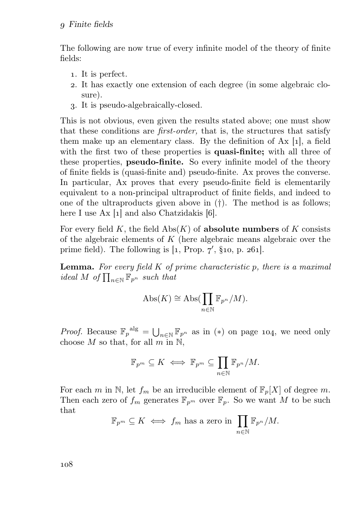The following are now true of every infinite model of the theory of finite fields:

- . It is perfect.
- . It has exactly one extension of each degree (in some algebraic closure).
- . It is pseudo-algebraically-closed.

This is not obvious, even given the results stated above; one must show that these conditions are first-order, that is, the structures that satisfy them make up an elementary class. By the definition of  $Ax [1]$ , a field with the first two of these properties is quasi-finite; with all three of these properties, **pseudo-finite.** So every infinite model of the theory of finite fields is (quasi-finite and) pseudo-finite. Ax proves the converse. In particular, Ax proves that every pseudo-finite field is elementarily equivalent to a non-principal ultraproduct of finite fields, and indeed to one of the ultraproducts given above in (†). The method is as follows; here I use  $Ax [1]$  and also Chatzidakis [6].

For every field K, the field  $\mathrm{Abs}(K)$  of absolute numbers of K consists of the algebraic elements of  $K$  (here algebraic means algebraic over the prime field). The following is  $[1, Prop. 7', §10, p. 261]$ .

**Lemma.** For every field  $K$  of prime characteristic p, there is a maximal ideal M of  $\prod_{n\in \mathbb{N}} \mathbb{F}_{p^n}$  such that

$$
Abs(K) \cong Abs(\prod_{n \in \mathbb{N}} \mathbb{F}_{p^n}/M).
$$

*Proof.* Because  $\mathbb{F}_p^{\text{alg}} = \bigcup_{n \in \mathbb{N}} \mathbb{F}_{p^n}$  as in (\*) on page 104, we need only choose M so that, for all m in  $\mathbb{N}$ ,

$$
\mathbb{F}_{p^m} \subseteq K \iff \mathbb{F}_{p^m} \subseteq \prod_{n \in \mathbb{N}} \mathbb{F}_{p^n}/M.
$$

For each m in N, let  $f_m$  be an irreducible element of  $\mathbb{F}_p[X]$  of degree m. Then each zero of  $f_m$  generates  $\mathbb{F}_{p^m}$  over  $\mathbb{F}_p$ . So we want M to be such that

$$
\mathbb{F}_{p^m} \subseteq K \iff f_m \text{ has a zero in } \prod_{n \in \mathbb{N}} \mathbb{F}_{p^n}/M.
$$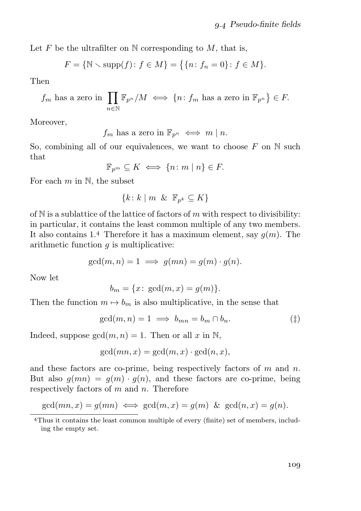Let F be the ultrafilter on  $\mathbb N$  corresponding to M, that is,

$$
F = \{ \mathbb{N} \setminus \text{supp}(f) : f \in M \} = \{ \{ n : f_n = 0 \} : f \in M \}.
$$

Then

$$
f_m
$$
 has a zero in  $\prod_{n \in \mathbb{N}} \mathbb{F}_{p^n} / M \iff \{n : f_m$  has a zero in  $\mathbb{F}_{p^n} \} \in F$ .

Moreover,

 $f_m$  has a zero in  $\mathbb{F}_{n^n} \iff m \mid n$ .

So, combining all of our equivalences, we want to choose  $F$  on  $N$  such that

$$
\mathbb{F}_{p^m} \subseteq K \iff \{n \colon m \mid n\} \in F.
$$

For each  $m$  in  $\mathbb{N}$ , the subset

$$
\{k\colon k\mid m\And\mathbb{F}_{p^k}\subseteq K\}
$$

of  $N$  is a sublattice of the lattice of factors of m with respect to divisibility: in particular, it contains the least common multiple of any two members. It also contains 1.4 Therefore it has a maximum element, say  $g(m)$ . The arithmetic function  $g$  is multiplicative:

$$
\gcd(m, n) = 1 \implies g(mn) = g(m) \cdot g(n).
$$

Now let

$$
b_m = \{x \colon \gcd(m, x) = g(m)\}.
$$

Then the function  $m \mapsto b_m$  is also multiplicative, in the sense that

$$
\gcd(m, n) = 1 \implies b_{mn} = b_m \cap b_n. \tag{\ddagger}
$$

Indeed, suppose  $gcd(m, n) = 1$ . Then or all x in N,

$$
\gcd(mn, x) = \gcd(m, x) \cdot \gcd(n, x),
$$

and these factors are co-prime, being respectively factors of  $m$  and  $n$ . But also  $g(mn) = g(m) \cdot g(n)$ , and these factors are co-prime, being respectively factors of  $m$  and  $n$ . Therefore

$$
\gcd(mn,x)=g(mn) \iff \gcd(m,x)=g(m) \And \gcd(n,x)=g(n).
$$

Thus it contains the least common multiple of every (finite) set of members, including the empty set.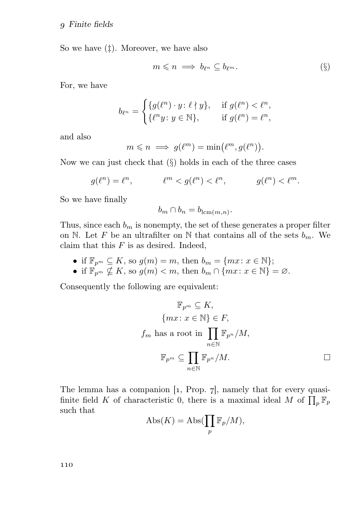So we have  $(\ddagger)$ . Moreover, we have also

$$
m \leqslant n \implies b_{\ell^m} \subseteq b_{\ell^m}.\tag{§}
$$

For, we have

$$
b_{\ell^n} = \begin{cases} \{g(\ell^n) \cdot y \colon \ell \nmid y\}, & \text{if } g(\ell^n) < \ell^n, \\ \{\ell^n y \colon y \in \mathbb{N}\}, & \text{if } g(\ell^n) = \ell^n, \end{cases}
$$

and also

$$
m \leqslant n \implies g(\ell^m) = \min(\ell^m, g(\ell^n)).
$$

Now we can just check that  $(\S)$  holds in each of the three cases

$$
g(\ell^n)=\ell^n,\qquad\qquad \ell^m
$$

So we have finally

$$
b_m \cap b_n = b_{\operatorname{lcm}(m,n)}.
$$

Thus, since each  $b_m$  is nonempty, the set of these generates a proper filter on N. Let F be an ultrafilter on N that contains all of the sets  $b_m$ . We claim that this  $F$  is as desired. Indeed,

• if  $\mathbb{F}_{p^m} \subseteq K$ , so  $g(m) = m$ , then  $b_m = \{mx : x \in \mathbb{N}\};$ 

• if  $\mathbb{F}_{p^m} \nsubseteq K$ , so  $g(m) < m$ , then  $b_m \cap \{mx : x \in \mathbb{N}\} = \emptyset$ .

Consequently the following are equivalent:

$$
\mathbb{F}_{p^m} \subseteq K,
$$
  
\n
$$
\{mx : x \in \mathbb{N}\} \in F,
$$
  
\n
$$
f_m \text{ has a root in } \prod_{n \in \mathbb{N}} \mathbb{F}_{p^n}/M,
$$
  
\n
$$
\mathbb{F}_{p^m} \subseteq \prod_{n \in \mathbb{N}} \mathbb{F}_{p^n}/M.
$$

The lemma has a companion  $\lbrack 1,$  Prop.  $\lbrack 7,$  namely that for every quasifinite field K of characteristic 0, there is a maximal ideal M of  $\prod_p \mathbb{F}_p$ such that

$$
Abs(K) = Abs(\prod_p \mathbb{F}_p/M),
$$

110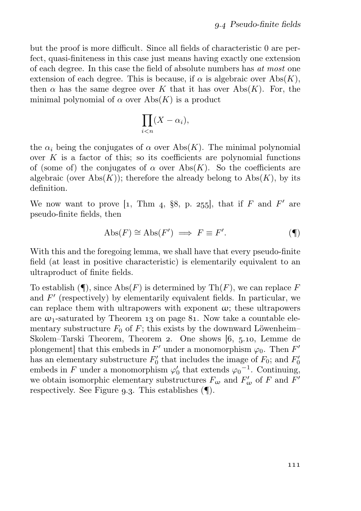but the proof is more difficult. Since all fields of characteristic 0 are perfect, quasi-finiteness in this case just means having exactly one extension of each degree. In this case the field of absolute numbers has at most one extension of each degree. This is because, if  $\alpha$  is algebraic over Abs(K), then  $\alpha$  has the same degree over K that it has over Abs(K). For, the minimal polynomial of  $\alpha$  over Abs(K) is a product

$$
\prod_{i
$$

the  $\alpha_i$  being the conjugates of  $\alpha$  over Abs(K). The minimal polynomial over  $K$  is a factor of this; so its coefficients are polynomial functions of (some of) the conjugates of  $\alpha$  over Abs(K). So the coefficients are algebraic (over Abs $(K)$ ); therefore the already belong to Abs $(K)$ , by its definition.

We now want to prove [1, Thm 4, §8, p. 255], that if F and F' are pseudo-finite fields, then

$$
Abs(F) \cong Abs(F') \implies F \equiv F'. \tag{\P}
$$

With this and the foregoing lemma, we shall have that every pseudo-finite field (at least in positive characteristic) is elementarily equivalent to an ultraproduct of finite fields.

To establish  $(\P)$ , since Abs $(F)$  is determined by Th $(F)$ , we can replace F and  $F'$  (respectively) by elementarily equivalent fields. In particular, we can replace them with ultrapowers with exponent  $\omega$ ; these ultrapowers are  $\omega_1$ -saturated by Theorem 13 on page 81. Now take a countable elementary substructure  $F_0$  of  $F$ ; this exists by the downward Löwenheim– Skolem–Tarski Theorem, Theorem 2. One shows  $[6, 5.10, 10.16]$ plongement] that this embeds in  $F'$  under a monomorphism  $\varphi_0$ . Then  $F'$ has an elementary substructure  $F'_0$  that includes the image of  $F_0$ ; and  $F'_0$ embeds in F under a monomorphism  $\varphi'_0$  that extends  $\varphi_0^{-1}$ . Continuing, we obtain isomorphic elementary substructures  $F_{\omega}$  and  $F'_{\omega}$  of F and F' respectively. See Figure 9.3. This establishes  $(\P)$ .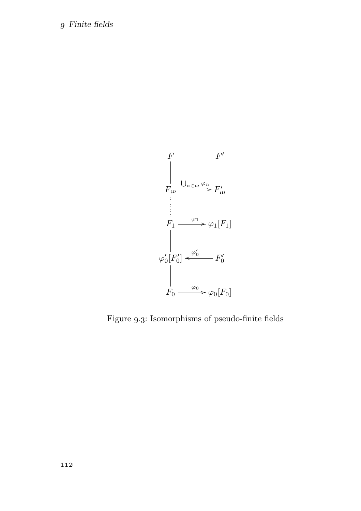### Finite fields



Figure 9.3: Isomorphisms of pseudo-finite fields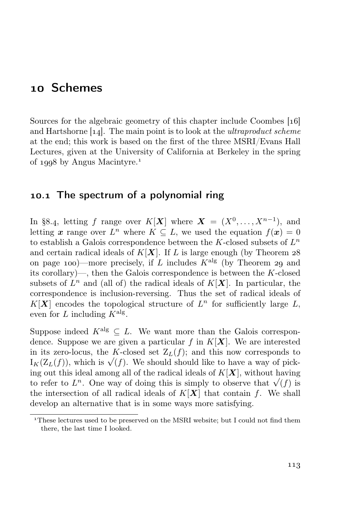## 10 Schemes

Sources for the algebraic geometry of this chapter include Coombes [16] and Hartshorne  $[1, 4]$ . The main point is to look at the *ultraproduct scheme* at the end; this work is based on the first of the three MSRI/Evans Hall Lectures, given at the University of California at Berkeley in the spring of  $1998$  by Angus Macintyre.<sup>1</sup>

### 10.1 The spectrum of a polynomial ring

In §8.4, letting f range over  $K[\mathbf{X}]$  where  $\mathbf{X} = (X^0, \dots, X^{n-1})$ , and letting x range over  $L^n$  where  $K \subseteq L$ , we used the equation  $f(x) = 0$ to establish a Galois correspondence between the K-closed subsets of  $L^n$ and certain radical ideals of  $K[X]$ . If L is large enough (by Theorem 28) on page 100)—more precisely, if L includes  $K^{\text{alg}}$  (by Theorem 29 and its corollary)—, then the Galois correspondence is between the K-closed subsets of  $L^n$  and (all of) the radical ideals of  $K[X]$ . In particular, the correspondence is inclusion-reversing. Thus the set of radical ideals of  $K[X]$  encodes the topological structure of  $L^n$  for sufficiently large  $L$ , even for L including  $K^{\text{alg}}$ .

Suppose indeed  $K^{\text{alg}} \subseteq L$ . We want more than the Galois correspondence. Suppose we are given a particular f in  $K[X]$ . We are interested in its zero-locus, the K-closed set  $Z_L(f)$ ; and this now corresponds to  $I_K(Z_L(f))$ , which is  $\sqrt{(f)}$ . We should should like to have a way of picking out this ideal among all of the radical ideals of  $K[X]$ , without having to refer to  $L^n$ . One way of doing this is simply to observe that  $\sqrt{(f)}$  is the intersection of all radical ideals of  $K[X]$  that contain f. We shall develop an alternative that is in some ways more satisfying.

These lectures used to be preserved on the MSRI website; but I could not find them there, the last time I looked.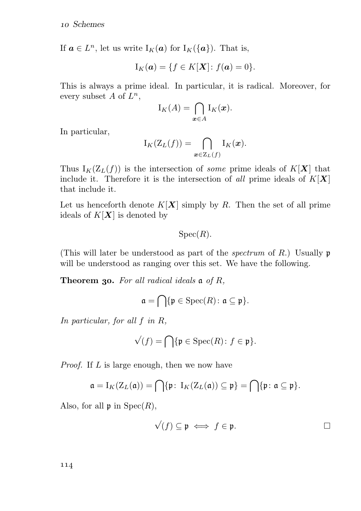If  $\mathbf{a} \in L^n$ , let us write  $I_K(\mathbf{a})$  for  $I_K(\{\mathbf{a}\})$ . That is,

$$
\mathrm{I}_K(\boldsymbol{a}) = \{ f \in K[\boldsymbol{X}] : f(\boldsymbol{a}) = 0 \}.
$$

This is always a prime ideal. In particular, it is radical. Moreover, for every subset A of  $L^n$ ,

$$
I_K(A) = \bigcap_{\boldsymbol{x} \in A} I_K(\boldsymbol{x}).
$$

In particular,

$$
I_K(Z_L(f)) = \bigcap_{\boldsymbol{x} \in Z_L(f)} I_K(\boldsymbol{x}).
$$

Thus  $I_K(Z_L(f))$  is the intersection of *some* prime ideals of  $K[X]$  that include it. Therefore it is the intersection of all prime ideals of  $K[X]$ that include it.

Let us henceforth denote  $K[X]$  simply by R. Then the set of all prime ideals of  $K[X]$  is denoted by

 $Spec(R)$ .

(This will later be understood as part of the *spectrum* of R.) Usually  $\mathfrak{p}$ will be understood as ranging over this set. We have the following.

**Theorem 30.** For all radical ideals  $\mathfrak{a}$  of R,

$$
\mathfrak{a} = \bigcap \{ \mathfrak{p} \in \mathrm{Spec}(R) \colon \mathfrak{a} \subseteq \mathfrak{p} \}.
$$

In particular, for all f in R,

$$
\sqrt{(f)} = \bigcap \{\mathfrak{p} \in \text{Spec}(R) \colon f \in \mathfrak{p}\}.
$$

Proof. If L is large enough, then we now have

$$
\mathfrak{a} = I_K(Z_L(\mathfrak{a})) = \bigcap \{\mathfrak{p} \colon I_K(Z_L(\mathfrak{a})) \subseteq \mathfrak{p}\} = \bigcap \{\mathfrak{p} \colon \mathfrak{a} \subseteq \mathfrak{p}\}.
$$

Also, for all  $\mathfrak{p}$  in  $Spec(R)$ ,

$$
\sqrt{(f)} \subseteq \mathfrak{p} \iff f \in \mathfrak{p}.\hspace{1cm} \square
$$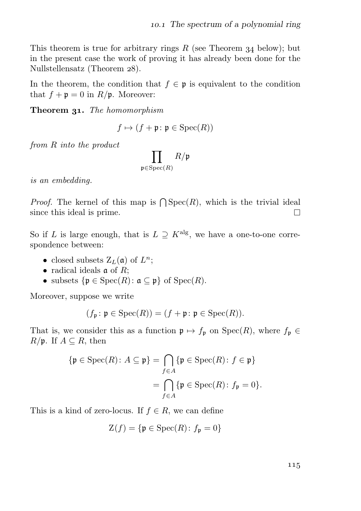This theorem is true for arbitrary rings  $R$  (see Theorem 34 below); but in the present case the work of proving it has already been done for the Nullstellensatz (Theorem 28).

In the theorem, the condition that  $f \in \mathfrak{p}$  is equivalent to the condition that  $f + \mathfrak{p} = 0$  in  $R/\mathfrak{p}$ . Moreover:

**Theorem 31.** The homomorphism

$$
f \mapsto (f + \mathfrak{p} \colon \mathfrak{p} \in \text{Spec}(R))
$$

from R into the product

$$
\prod_{\mathfrak{p} \in \mathrm{Spec}(R)} R/\mathfrak{p}
$$

is an embedding.

*Proof.* The kernel of this map is  $\bigcap \text{Spec}(R)$ , which is the trivial ideal since this ideal is prime.  $\Box$ 

So if L is large enough, that is  $L \supseteq K^{\text{alg}}$ , we have a one-to-one correspondence between:

- closed subsets  $Z_L(\mathfrak{a})$  of  $L^n$ ;
- radical ideals  $\mathfrak a$  of  $R$ ;
- subsets  $\{ \mathfrak{p} \in \text{Spec}(R) : \mathfrak{a} \subseteq \mathfrak{p} \}$  of  $\text{Spec}(R)$ .

Moreover, suppose we write

$$
(f_{\mathfrak{p}} : \mathfrak{p} \in \mathrm{Spec}(R)) = (f + \mathfrak{p} : \mathfrak{p} \in \mathrm{Spec}(R)).
$$

That is, we consider this as a function  $\mathfrak{p} \mapsto f_{\mathfrak{p}}$  on  $Spec(R)$ , where  $f_{\mathfrak{p}} \in$  $R/\mathfrak{p}$ . If  $A \subseteq R$ , then

$$
\{\mathfrak{p} \in \text{Spec}(R) : A \subseteq \mathfrak{p}\} = \bigcap_{f \in A} \{\mathfrak{p} \in \text{Spec}(R) : f \in \mathfrak{p}\}
$$

$$
= \bigcap_{f \in A} \{\mathfrak{p} \in \text{Spec}(R) : f_{\mathfrak{p}} = 0\}.
$$

This is a kind of zero-locus. If  $f \in R$ , we can define

$$
\mathcal{Z}(f) = \{ \mathfrak{p} \in \text{Spec}(R) \colon f_{\mathfrak{p}} = 0 \}
$$

115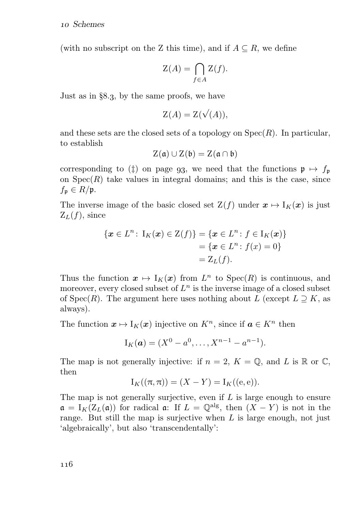(with no subscript on the Z this time), and if  $A \subseteq R$ , we define

$$
\mathcal{Z}(A) = \bigcap_{f \in A} \mathcal{Z}(f).
$$

Just as in  $\S 8.3$ , by the same proofs, we have

$$
\mathcal{Z}(A) = \mathcal{Z}(\sqrt{(A)}),
$$

and these sets are the closed sets of a topology on  $Spec(R)$ . In particular, to establish

$$
Z(\mathfrak{a}) \cup Z(\mathfrak{b}) = Z(\mathfrak{a} \cap \mathfrak{b})
$$

corresponding to ( $\ddagger$ ) on page 93, we need that the functions  $\mathfrak{p} \mapsto f_{\mathfrak{p}}$ on  $Spec(R)$  take values in integral domains; and this is the case, since  $f_{\mathfrak{p}} \in R/\mathfrak{p}.$ 

The inverse image of the basic closed set  $Z(f)$  under  $x \mapsto I_K(x)$  is just  $Z_L(f)$ , since

$$
\begin{aligned} \{\boldsymbol{x} \in L^n : \; \mathrm{I}_K(\boldsymbol{x}) \in \mathrm{Z}(f)\} &= \{\boldsymbol{x} \in L^n : f \in \mathrm{I}_K(\boldsymbol{x})\} \\ &= \{\boldsymbol{x} \in L^n : f(\boldsymbol{x}) = 0\} \\ &= \mathrm{Z}_L(f). \end{aligned}
$$

Thus the function  $x \mapsto I_K(x)$  from  $L^n$  to  $Spec(R)$  is continuous, and moreover, every closed subset of  $L^n$  is the inverse image of a closed subset of Spec(R). The argument here uses nothing about L (except  $L \supseteq K$ , as always).

The function  $x \mapsto I_K(x)$  injective on  $K^n$ , since if  $a \in K^n$  then

$$
I_K(a) = (X^0 - a^0, \dots, X^{n-1} - a^{n-1}).
$$

The map is not generally injective: if  $n = 2$ ,  $K = \mathbb{Q}$ , and L is R or C, then

$$
\mathcal{I}_K((\pi,\pi))=(X-Y)=\mathcal{I}_K((\mathbf{e},\mathbf{e})).
$$

The map is not generally surjective, even if  $L$  is large enough to ensure  $\mathfrak{a} = I_K(Z_L(\mathfrak{a}))$  for radical  $\mathfrak{a}$ : If  $L = \mathbb{Q}^{\text{alg}}$ , then  $(X - Y)$  is not in the range. But still the map is surjective when  $L$  is large enough, not just 'algebraically', but also 'transcendentally':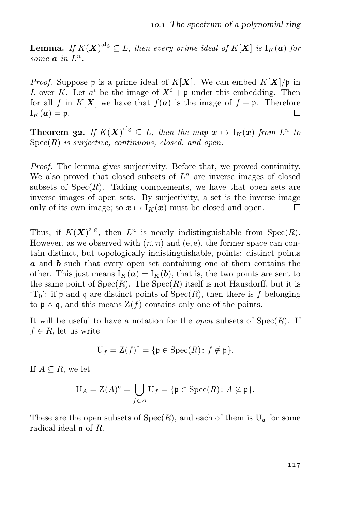**Lemma.** If  $K(X)^{alg} \subseteq L$ , then every prime ideal of  $K[X]$  is  $I_K(a)$  for some  $a$  in  $L^n$ .

*Proof.* Suppose **p** is a prime ideal of  $K[X]$ . We can embed  $K[X]/p$  in L over K. Let  $a^i$  be the image of  $X^i + \mathfrak{p}$  under this embedding. Then for all f in  $K[X]$  we have that  $f(a)$  is the image of  $f + \mathfrak{p}$ . Therefore  $I_K(a) = \mathfrak{p}.$  $\Box$ 

**Theorem 32.** If  $K(X)^{alg} \subseteq L$ , then the map  $x \mapsto I_K(x)$  from  $L^n$  to  $Spec(R)$  is surjective, continuous, closed, and open.

Proof. The lemma gives surjectivity. Before that, we proved continuity. We also proved that closed subsets of  $L<sup>n</sup>$  are inverse images of closed subsets of  $Spec(R)$ . Taking complements, we have that open sets are inverse images of open sets. By surjectivity, a set is the inverse image only of its own image; so  $x \mapsto I_K(x)$  must be closed and open.  $\Box$ 

Thus, if  $K(X)^{alg}$ , then  $L^n$  is nearly indistinguishable from  $Spec(R)$ . However, as we observed with  $(\pi, \pi)$  and  $(e, e)$ , the former space can contain distinct, but topologically indistinguishable, points: distinct points a and b such that every open set containing one of them contains the other. This just means  $I_K(a) = I_K(b)$ , that is, the two points are sent to the same point of  $Spec(R)$ . The  $Spec(R)$  itself is not Hausdorff, but it is  $T_0$ : if p and q are distinct points of  $Spec(R)$ , then there is f belonging to  $\mathfrak{p} \Delta \mathfrak{q}$ , and this means  $Z(f)$  contains only one of the points.

It will be useful to have a notation for the *open* subsets of  $Spec(R)$ . If  $f \in R$ , let us write

$$
U_f=Z(f)^c=\{\mathfrak{p}\in \mathrm{Spec}(R)\colon f\notin \mathfrak{p}\}.
$$

If  $A \subseteq R$ , we let

$$
U_A = Z(A)^c = \bigcup_{f \in A} U_f = \{ \mathfrak{p} \in \operatorname{Spec}(R) \colon A \nsubseteq \mathfrak{p} \}.
$$

These are the open subsets of  $Spec(R)$ , and each of them is  $U_a$  for some radical ideal a of R.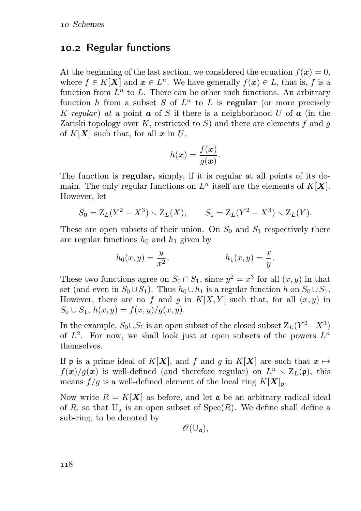### 10.2 Regular functions

At the beginning of the last section, we considered the equation  $f(x) = 0$ , where  $f \in K[\mathbf{X}]$  and  $\mathbf{x} \in L^n$ . We have generally  $f(\mathbf{x}) \in L$ , that is, f is a function from  $L^n$  to L. There can be other such functions. An arbitrary function h from a subset S of  $L^n$  to L is regular (or more precisely K-regular) at a point  $\boldsymbol{a}$  of S if there is a neighborhood U of  $\boldsymbol{a}$  (in the Zariski topology over K, restricted to S) and there are elements f and q of  $K[X]$  such that, for all  $x$  in U,

$$
h(\boldsymbol{x}) = \frac{f(\boldsymbol{x})}{g(\boldsymbol{x})}.
$$

The function is regular, simply, if it is regular at all points of its domain. The only regular functions on  $L^n$  itself are the elements of  $K[X]$ . However, let

$$
S_0 = Z_L(Y^2 - X^3) \setminus Z_L(X), \qquad S_1 = Z_L(Y^2 - X^3) \setminus Z_L(Y).
$$

These are open subsets of their union. On  $S_0$  and  $S_1$  respectively there are regular functions  $h_0$  and  $h_1$  given by

$$
h_0(x, y) = \frac{y}{x^2},
$$
  $h_1(x, y) = \frac{x}{y}.$ 

These two functions agree on  $S_0 \cap S_1$ , since  $y^2 = x^3$  for all  $(x, y)$  in that set (and even in  $S_0 \cup S_1$ ). Thus  $h_0 \cup h_1$  is a regular function h on  $S_0 \cup S_1$ . However, there are no f and g in  $K[X, Y]$  such that, for all  $(x, y)$  in  $S_0 \cup S_1$ ,  $h(x, y) = f(x, y)/g(x, y)$ .

In the example,  $S_0 \cup S_1$  is an open subset of the closed subset  $Z_L(Y^2 - X^3)$ of  $L^2$ . For now, we shall look just at open subsets of the powers  $L^n$ themselves.

If **p** is a prime ideal of K[X], and f and g in K[X] are such that  $x \mapsto$  $f(x)/g(x)$  is well-defined (and therefore regular) on  $L^n \setminus \mathbb{Z}_L(\mathfrak{p})$ , this means  $f/g$  is a well-defined element of the local ring  $K[\mathbf{X}]_{\mathfrak{p}}$ .

Now write  $R = K[X]$  as before, and let  $\mathfrak a$  be an arbitrary radical ideal of R, so that  $U_a$  is an open subset of  $Spec(R)$ . We define shall define a sub-ring, to be denoted by

$$
\mathscr{O}(\mathrm{U}_{\mathfrak{a}}),
$$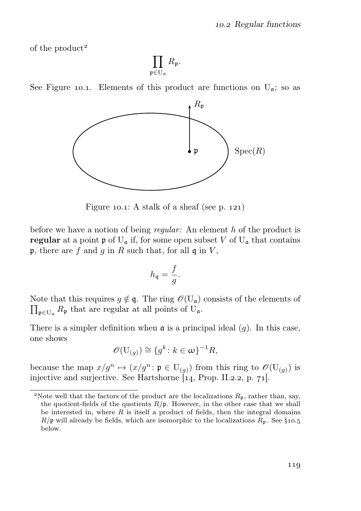of the product

 $\Pi$ p∈U<sup>a</sup>  $R_{\mathfrak{p}}.$ 





Figure 10.1: A stalk of a sheaf (see p. 121)

before we have a notion of being *regular*: An element h of the product is regular at a point  $\mathfrak{p}$  of  $U_{\mathfrak{a}}$  if, for some open subset V of  $U_{\mathfrak{a}}$  that contains p, there are f and g in R such that, for all q in V,

$$
h_{\mathfrak{q}}=\frac{f}{g}
$$

.

 $\prod_{\mathfrak{p} \in \mathcal{U}_\mathfrak{a}} R_{\mathfrak{p}}$  that are regular at all points of  $\mathcal{U}_\mathfrak{a}$ . Note that this requires  $g \notin \mathfrak{q}$ . The ring  $\mathscr{O}(U_{\mathfrak{q}})$  consists of the elements of

There is a simpler definition when  $\mathfrak a$  is a principal ideal  $(g)$ . In this case, one shows

$$
\mathscr{O}(\mathbf{U}_{(g)}) \cong \{g^k \colon k \in \omega\}^{-1}R,
$$

because the map  $x/g^n \mapsto (x/g^n : \mathfrak{p} \in U_{(q)})$  from this ring to  $\mathcal{O}(U_{(q)})$  is injective and surjective. See Hartshorne  $\tilde{[14]}$ , Prop. II.2.2, p. 71.

<sup>&</sup>lt;sup>2</sup>Note well that the factors of the product are the localizations  $R_p$ , rather than, say, the quotient-fields of the quotients  $R/\mathfrak{p}$ . However, in the other case that we shall be interested in, where  $R$  is itself a product of fields, then the integral domains  $R/\mathfrak{p}$  will already be fields, which are isomorphic to the localizations  $R_{\mathfrak{p}}$ . See §10.5 below.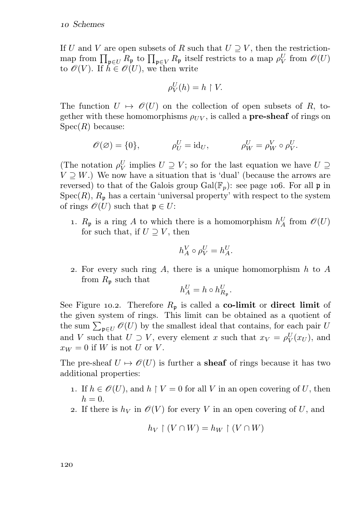If U and V are open subsets of R such that  $U \supset V$ , then the restrictionmap from  $\prod_{\mathfrak{p}\in U} R_{\mathfrak{p}}$  to  $\prod_{\mathfrak{p}\in V} R_{\mathfrak{p}}$  itself restricts to a map  $\rho_V^U$  from  $\mathscr{O}(U)$ to  $\mathscr{O}(V)$ . If  $h \in \mathscr{O}(U)$ , we then write

$$
\rho_V^U(h) = h \restriction V.
$$

The function  $U \mapsto \mathscr{O}(U)$  on the collection of open subsets of R, together with these homomorphisms  $\rho_{UV}$ , is called a **pre-sheaf** of rings on  $Spec(R)$  because:

$$
\mathscr{O}(\varnothing) = \{0\}, \qquad \qquad \rho_U^U = \mathrm{id}_U, \qquad \qquad \rho_W^U = \rho_W^V \circ \rho_V^U.
$$

(The notation  $\rho_V^U$  implies  $U \supseteq V$ ; so for the last equation we have  $U \supseteq V$  $V \supseteq W$ .) We now have a situation that is 'dual' (because the arrows are reversed) to that of the Galois group  $Gal(\mathbb{F}_p)$ : see page 106. For all p in  $Spec(R)$ ,  $R_{\mathfrak{p}}$  has a certain 'universal property' with respect to the system of rings  $\mathscr{O}(U)$  such that  $\mathfrak{p} \in U$ :

1.  $R_{\mathfrak{p}}$  is a ring A to which there is a homomorphism  $h^U_A$  from  $\mathcal{O}(U)$ for such that, if  $U \supset V$ , then

$$
h_A^V \circ \rho_V^U = h_A^U.
$$

2. For every such ring A, there is a unique homomorphism  $h$  to A from  $R_{\rm p}$  such that

$$
h_A^U = h \circ h_{R_{\mathfrak{p}}}^U.
$$

See Figure 10.2. Therefore  $R_p$  is called a co-limit or direct limit of the given system of rings. This limit can be obtained as a quotient of the sum  $\sum_{\mathfrak{p}\in U}\mathscr{O}(U)$  by the smallest ideal that contains, for each pair U and V such that  $U \supset V$ , every element x such that  $x_V = \rho_V^U(x_U)$ , and  $x_W = 0$  if W is not U or V.

The pre-sheaf  $U \mapsto \mathscr{O}(U)$  is further a **sheaf** of rings because it has two additional properties:

- 1. If  $h \in \mathcal{O}(U)$ , and  $h \restriction V = 0$  for all V in an open covering of U, then  $h = 0$ .
- 2. If there is  $h_V$  in  $\mathcal{O}(V)$  for every V in an open covering of U, and

$$
h_V\restriction (V\cap W)=h_W\restriction (V\cap W)
$$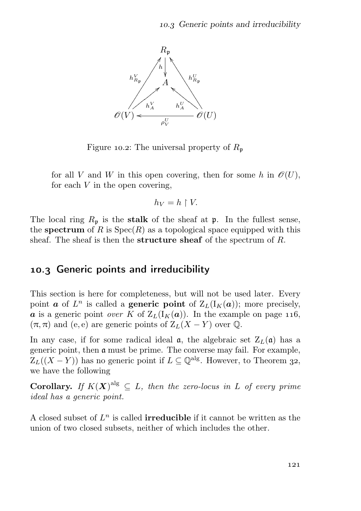

Figure 10.2: The universal property of  $R_p$ 

for all V and W in this open covering, then for some h in  $\mathcal{O}(U)$ , for each  $V$  in the open covering,

$$
h_V = h \restriction V.
$$

The local ring  $R_p$  is the stalk of the sheaf at p. In the fullest sense, the spectrum of R is  $Spec(R)$  as a topological space equipped with this sheaf. The sheaf is then the **structure sheaf** of the spectrum of R.

### 10.3 Generic points and irreducibility

This section is here for completeness, but will not be used later. Every point **a** of  $L^n$  is called a **generic point** of  $Z_L(I_K(a))$ ; more precisely, a is a generic point over K of  $Z_L(I_K(a))$ . In the example on page 116,  $(\pi, \pi)$  and (e, e) are generic points of  $Z_L(X - Y)$  over  $\mathbb{Q}$ .

In any case, if for some radical ideal  $\alpha$ , the algebraic set  $Z_L(\alpha)$  has a generic point, then a must be prime. The converse may fail. For example,  $Z_L((X - Y))$  has no generic point if  $L \subseteq \mathbb{Q}^{alg}$ . However, to Theorem 32, we have the following

**Corollary.** If  $K(X)^{alg} \subseteq L$ , then the zero-locus in L of every prime ideal has a generic point.

A closed subset of  $L^n$  is called **irreducible** if it cannot be written as the union of two closed subsets, neither of which includes the other.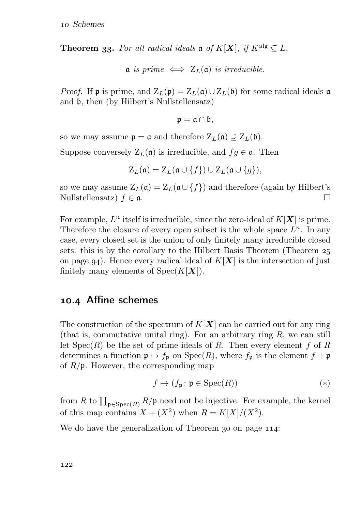**Theorem 33.** For all radical ideals  $\mathfrak{a}$  of  $K[X]$ , if  $K^{\text{alg}} \subset L$ ,

$$
\mathfrak{a} \text{ is prime } \iff Z_L(\mathfrak{a}) \text{ is irreducible.}
$$

*Proof.* If p is prime, and  $Z_L(p) = Z_L(q) \cup Z_L(p)$  for some radical ideals a and b, then (by Hilbert's Nullstellensatz)

$$
\mathfrak{p}=\mathfrak{a}\cap\mathfrak{b},
$$

so we may assume  $\mathfrak{p} = \mathfrak{a}$  and therefore  $Z_L(\mathfrak{a}) \supseteq Z_L(\mathfrak{b})$ .

Suppose conversely  $Z_L(\mathfrak{a})$  is irreducible, and  $f \in \mathfrak{a}$ . Then

$$
Z_L(\mathfrak{a})=Z_L(\mathfrak{a}\cup\{f\})\cup Z_L(\mathfrak{a}\cup\{g\}),
$$

so we may assume  $Z_L(\mathfrak{a}) = Z_L(\mathfrak{a} \cup \{f\})$  and therefore (again by Hilbert's Nullstellensatz)  $f \in \mathfrak{a}$ . Nullstellensatz)  $f \in \mathfrak{a}$ .

For example,  $L^n$  itself is irreducible, since the zero-ideal of  $K[X]$  is prime. Therefore the closure of every open subset is the whole space  $L^n$ . In any case, every closed set is the union of only finitely many irreducible closed sets: this is by the corollary to the Hilbert Basis Theorem (Theorem on page  $q_4$ ). Hence every radical ideal of  $K[X]$  is the intersection of just finitely many elements of  $Spec(K[X])$ .

#### 10.4 Affine schemes

The construction of the spectrum of  $K[X]$  can be carried out for any ring (that is, commutative unital ring). For an arbitrary ring  $R$ , we can still let  $Spec(R)$  be the set of prime ideals of R. Then every element f of R determines a function  $\mathfrak{p} \mapsto f_{\mathfrak{p}}$  on  $Spec(R)$ , where  $f_{\mathfrak{p}}$  is the element  $f + \mathfrak{p}$ of  $R/\mathfrak{p}$ . However, the corresponding map

$$
f \mapsto (f_{\mathfrak{p}} : \mathfrak{p} \in \text{Spec}(R))
$$
 (\*)

from R to  $\prod_{\mathfrak{p} \in \mathrm{Spec}(R)} R/\mathfrak{p}$  need not be injective. For example, the kernel of this map contains  $X + (X^2)$  when  $R = K[X]/(X^2)$ .

We do have the generalization of Theorem  $30$  on page  $114$ :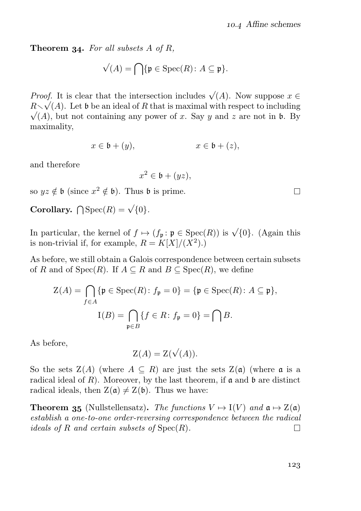**Theorem 34.** For all subsets  $A$  of  $R$ ,

$$
\sqrt(A) = \bigcap \{ \mathfrak{p} \in \text{Spec}(R) \colon A \subseteq \mathfrak{p} \}.
$$

*Proof.* It is clear that the intersection includes  $\sqrt{(A)}$ . Now suppose  $x \in$  $R\sqrt{(A)}$ . Let b be an ideal of R that is maximal with respect to including  $\sqrt{(A)}$ , but not containing any power of x. Say y and z are not in b. By maximality,

$$
x \in \mathfrak{b} + (y), \qquad x \in \mathfrak{b} + (z),
$$

and therefore

$$
x^2 \in \mathfrak{b} + (yz),
$$

so  $yz \notin \mathfrak{b}$  (since  $x^2 \notin \mathfrak{b}$ ). Thus  $\mathfrak{b}$  is prime.

Corollary.  $\bigcap \text{Spec}(R) = \sqrt{\{0\}}$ .

In particular, the kernel of  $f \mapsto (f_{\mathfrak{p}} : \mathfrak{p} \in \text{Spec}(R))$  is  $\sqrt{\{0\}}$ . (Again this is non-trivial if, for example,  $R = K[X]/(X^2)$ .

As before, we still obtain a Galois correspondence between certain subsets of R and of  $Spec(R)$ . If  $A \subseteq R$  and  $B \subseteq Spec(R)$ , we define

$$
Z(A) = \bigcap_{f \in A} \{ \mathfrak{p} \in \text{Spec}(R) : f_{\mathfrak{p}} = 0 \} = \{ \mathfrak{p} \in \text{Spec}(R) : A \subseteq \mathfrak{p} \},
$$

$$
I(B) = \bigcap_{\mathfrak{p} \in B} \{ f \in R : f_{\mathfrak{p}} = 0 \} = \bigcap B.
$$

As before,

 $Z(A) = Z(\sqrt{(A)}).$ 

So the sets  $\mathcal{Z}(A)$  (where  $A \subseteq R$ ) are just the sets  $\mathcal{Z}(\mathfrak{a})$  (where  $\mathfrak{a}$  is a radical ideal of R). Moreover, by the last theorem, if  $\mathfrak a$  and  $\mathfrak b$  are distinct radical ideals, then  $Z(\mathfrak{a}) \neq Z(\mathfrak{b})$ . Thus we have:

**Theorem 35** (Nullstellensatz). The functions  $V \mapsto I(V)$  and  $\mathfrak{a} \mapsto Z(\mathfrak{a})$ establish a one-to-one order-reversing correspondence between the radical ideals of R and certain subsets of  $Spec(R)$ .  $\Box$ 

 $\Box$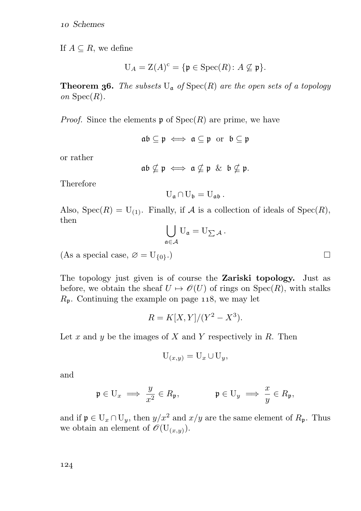If  $A \subseteq R$ , we define

$$
U_A = Z(A)^c = \{ \mathfrak{p} \in \text{Spec}(R) \colon A \not\subseteq \mathfrak{p} \}.
$$

**Theorem 36.** The subsets  $U_a$  of  $Spec(R)$  are the open sets of a topology on  $Spec(R)$ .

*Proof.* Since the elements  $\mathfrak{p}$  of  $Spec(R)$  are prime, we have

 $ab \subseteq p \iff a \subseteq p$  or  $b \subseteq p$ 

or rather

$$
\mathfrak{a}\mathfrak{b}\nsubseteq\mathfrak{p}\iff\mathfrak{a}\nsubseteq\mathfrak{p}\ \&\ \mathfrak{b}\nsubseteq\mathfrak{p}.
$$

Therefore

$$
U_{\mathfrak{a}} \cap U_{\mathfrak{b}} = U_{\mathfrak{a}\mathfrak{b}}.
$$

Also,  $Spec(R) = U_{(1)}$ . Finally, if A is a collection of ideals of  $Spec(R)$ , then

$$
\bigcup_{\mathfrak{a}\in\mathcal{A}}\mathrm{U}_{\mathfrak{a}}=\mathrm{U}_{\sum\mathcal{A}}\,.
$$

(As a special case,  $\varnothing = U_{\{0\}}$ .)

The topology just given is of course the Zariski topology. Just as before, we obtain the sheaf  $U \mapsto \mathscr{O}(U)$  of rings on  $Spec(R)$ , with stalks  $R_p$ . Continuing the example on page 118, we may let

$$
R = K[X, Y]/(Y^2 - X^3).
$$

Let x and y be the images of X and Y respectively in R. Then

$$
U_{(x,y)} = U_x \cup U_y,
$$

and

$$
\mathfrak{p} \in \mathcal{U}_x \implies \frac{y}{x^2} \in R_{\mathfrak{p}}, \qquad \qquad \mathfrak{p} \in \mathcal{U}_y \implies \frac{x}{y} \in R_{\mathfrak{p}},
$$

and if  $\mathfrak{p} \in U_x \cap U_y$ , then  $y/x^2$  and  $x/y$  are the same element of  $R_{\mathfrak{p}}$ . Thus we obtain an element of  $\mathscr{O}(\mathbf{U}_{(x,y)}).$ 

 $\Box$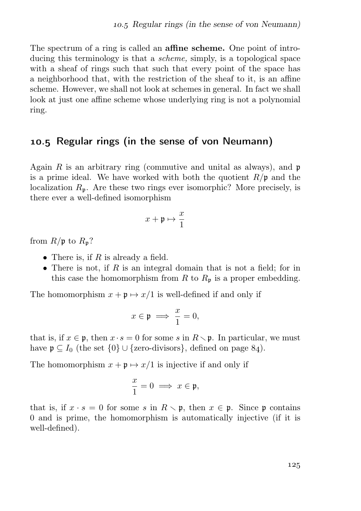The spectrum of a ring is called an **affine scheme.** One point of introducing this terminology is that a scheme, simply, is a topological space with a sheaf of rings such that such that every point of the space has a neighborhood that, with the restriction of the sheaf to it, is an affine scheme. However, we shall not look at schemes in general. In fact we shall look at just one affine scheme whose underlying ring is not a polynomial ring.

### . Regular rings (in the sense of von Neumann)

Again R is an arbitrary ring (commutive and unital as always), and  $\mathfrak p$ is a prime ideal. We have worked with both the quotient  $R/\mathfrak{p}$  and the localization  $R_p$ . Are these two rings ever isomorphic? More precisely, is there ever a well-defined isomorphism

$$
x+\mathfrak{p}\mapsto \frac{x}{1}
$$

from  $R/\mathfrak{p}$  to  $R_{\mathfrak{p}}$ ?

- There is, if  $R$  is already a field.
- There is not, if  $R$  is an integral domain that is not a field; for in this case the homomorphism from R to  $R_p$  is a proper embedding.

The homomorphism  $x + \mathfrak{p} \mapsto x/1$  is well-defined if and only if

$$
x\in\mathfrak{p}\implies \frac{x}{1}=0,
$$

that is, if  $x \in \mathfrak{p}$ , then  $x \cdot s = 0$  for some s in  $R \setminus \mathfrak{p}$ . In particular, we must have  $\mathfrak{p} \subseteq I_0$  (the set  $\{0\} \cup \{\text{zero-divisors}\},\$  defined on page 84).

The homomorphism  $x + \mathfrak{p} \mapsto x/1$  is injective if and only if

$$
\frac{x}{1} = 0 \implies x \in \mathfrak{p},
$$

that is, if  $x \cdot s = 0$  for some s in  $R \setminus \mathfrak{p}$ , then  $x \in \mathfrak{p}$ . Since p contains 0 and is prime, the homomorphism is automatically injective (if it is well-defined).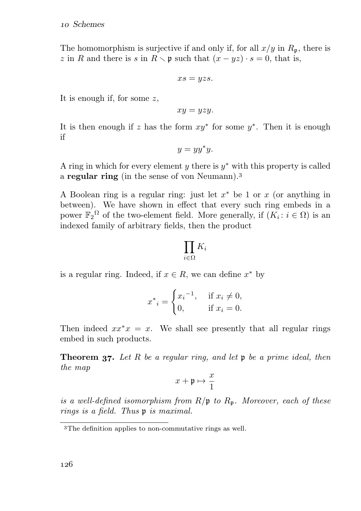The homomorphism is surjective if and only if, for all  $x/y$  in  $R_p$ , there is z in R and there is s in  $R \setminus \mathfrak{p}$  such that  $(x - yz) \cdot s = 0$ , that is,

$$
xs = yzs.
$$

It is enough if, for some z,

$$
xy = yzy.
$$

It is then enough if z has the form  $xy^*$  for some  $y^*$ . Then it is enough if

$$
y = yy^*y.
$$

A ring in which for every element  $y$  there is  $y^*$  with this property is called a regular ring (in the sense of von Neumann).

A Boolean ring is a regular ring: just let  $x^*$  be 1 or  $x$  (or anything in between). We have shown in effect that every such ring embeds in a power  $\mathbb{F}_2^{\Omega}$  of the two-element field. More generally, if  $(K_i: i \in \Omega)$  is an indexed family of arbitrary fields, then the product

$$
\prod_{i\in\Omega}K_i
$$

is a regular ring. Indeed, if  $x \in R$ , we can define  $x^*$  by

$$
x^*_{i} = \begin{cases} x_i^{-1}, & \text{if } x_i \neq 0, \\ 0, & \text{if } x_i = 0. \end{cases}
$$

Then indeed  $xx^*x = x$ . We shall see presently that all regular rings embed in such products.

**Theorem 37.** Let R be a regular ring, and let  $\mathfrak p$  be a prime ideal, then the map

$$
x+\mathfrak{p}\mapsto \frac{x}{1}
$$

is a well-defined isomorphism from  $R/\mathfrak{p}$  to  $R_{\mathfrak{p}}$ . Moreover, each of these rings is a field. Thus p is maximal.

<sup>&</sup>lt;sup>3</sup>The definition applies to non-commutative rings as well.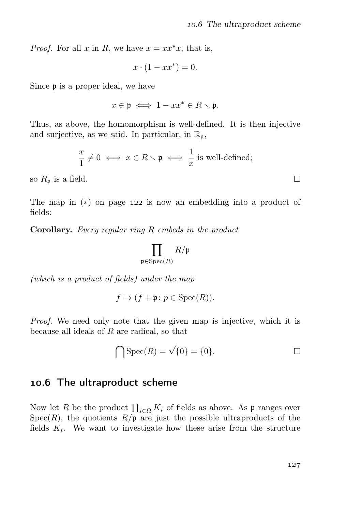*Proof.* For all x in R, we have  $x = xx^*x$ , that is,

$$
x \cdot (1 - xx^*) = 0.
$$

Since  $\mathfrak p$  is a proper ideal, we have

 $x \in \mathfrak{p} \iff 1 - xx^* \in R \setminus \mathfrak{p}.$ 

Thus, as above, the homomorphism is well-defined. It is then injective and surjective, as we said. In particular, in  $\mathbb{R}_p$ ,

$$
\frac{x}{1} \neq 0 \iff x \in R \setminus \mathfrak{p} \iff \frac{1}{x} \text{ is well-defined};
$$

so  $R_p$  is a field.

The map in  $(*)$  on page 122 is now an embedding into a product of fields:

Corollary. Every regular ring R embeds in the product

$$
\prod_{\mathfrak{p} \in \mathrm{Spec}(R)} R/\mathfrak{p}
$$

(which is a product of fields) under the map

$$
f \mapsto (f + \mathfrak{p} \colon p \in \text{Spec}(R)).
$$

Proof. We need only note that the given map is injective, which it is because all ideals of R are radical, so that

$$
\bigcap \operatorname{Spec}(R) = \sqrt{\{0\}} = \{0\}.
$$

#### 10.6 The ultraproduct scheme

Now let R be the product  $\prod_{i\in\Omega} K_i$  of fields as above. As p ranges over  $Spec(R)$ , the quotients  $R/\mathfrak{p}$  are just the possible ultraproducts of the fields  $K_i$ . We want to investigate how these arise from the structure

 $\Box$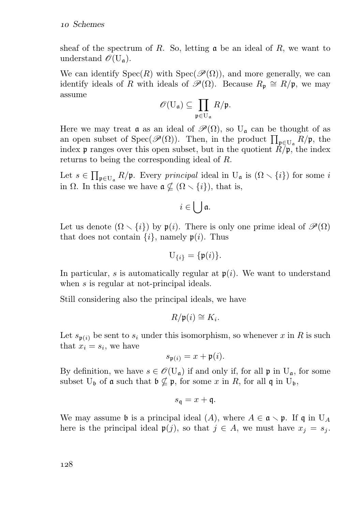sheaf of the spectrum of R. So, letting  $\alpha$  be an ideal of R, we want to understand  $\mathscr{O}(U_{\mathfrak{a}})$ .

We can identify  $Spec(R)$  with  $Spec(\mathcal{P}(\Omega))$ , and more generally, we can identify ideals of R with ideals of  $\mathscr{P}(\Omega)$ . Because  $R_p \cong R/\mathfrak{p}$ , we may assume

$$
\mathscr{O}(\mathrm{U}_{\mathfrak{a}})\subseteq \prod_{\mathfrak{p}\in \mathrm{U}_{\mathfrak{a}}}R/\mathfrak{p}.
$$

Here we may treat **a** as an ideal of  $\mathcal{P}(\Omega)$ , so U<sub>a</sub> can be thought of as an open subset of Spec $(\mathscr{P}(\Omega))$ . Then, in the product  $\prod_{\mathfrak{p}\in U_{\mathfrak{a}}} R/\mathfrak{p}$ , the index **p** ranges over this open subset, but in the quotient  $R/\mathfrak{p}$ , the index returns to being the corresponding ideal of R.

Let  $s \in \prod_{\mathfrak{p} \in U_a} R/\mathfrak{p}$ . Every *principal* ideal in  $U_{\mathfrak{a}}$  is  $(\Omega \setminus \{i\})$  for some *i* in  $\Omega$ . In this case we have  $\mathfrak{a} \nsubseteq (\Omega \setminus \{i\})$ , that is,

$$
i\in\bigcup\mathfrak{a}.
$$

Let us denote  $(\Omega \setminus \{i\})$  by  $\mathfrak{p}(i)$ . There is only one prime ideal of  $\mathscr{P}(\Omega)$ that does not contain  $\{i\}$ , namely  $\mathfrak{p}(i)$ . Thus

$$
U_{\{i\}} = \{\mathfrak{p}(i)\}.
$$

In particular, s is automatically regular at  $p(i)$ . We want to understand when s is regular at not-principal ideals.

Still considering also the principal ideals, we have

$$
R/\mathfrak{p}(i) \cong K_i.
$$

Let  $s_{\mathfrak{p}(i)}$  be sent to  $s_i$  under this isomorphism, so whenever x in R is such that  $x_i = s_i$ , we have

$$
s_{\mathfrak{p}(i)} = x + \mathfrak{p}(i).
$$

By definition, we have  $s \in \mathscr{O}(U_{\mathfrak{a}})$  if and only if, for all  $\mathfrak{p}$  in  $U_{\mathfrak{a}}$ , for some subset  $U_{\mathfrak{b}}$  of  $\mathfrak a$  such that  $\mathfrak b \nsubseteq \mathfrak p$ , for some x in R, for all  $\mathfrak q$  in  $U_{\mathfrak{b}}$ ,

$$
s_{\mathfrak{q}} = x + \mathfrak{q}.
$$

We may assume b is a principal ideal (A), where  $A \in \mathfrak{a} \setminus \mathfrak{p}$ . If  $\mathfrak{q}$  in U<sub>A</sub> here is the principal ideal  $\mathfrak{p}(j)$ , so that  $j \in A$ , we must have  $x_j = s_j$ .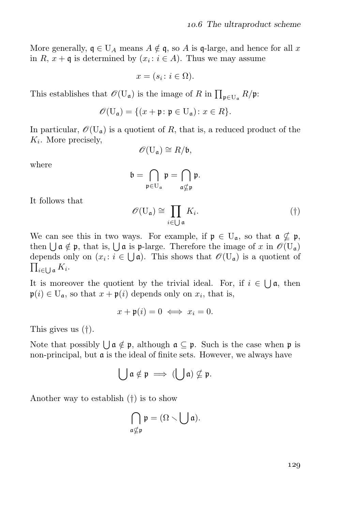More generally,  $\mathfrak{q} \in U_A$  means  $A \notin \mathfrak{q}$ , so A is  $\mathfrak{q}$ -large, and hence for all x in R,  $x + \mathfrak{q}$  is determined by  $(x_i : i \in A)$ . Thus we may assume

$$
x = (s_i \colon i \in \Omega).
$$

This establishes that  $\mathscr{O}(\mathbf{U}_{\mathfrak{a}})$  is the image of R in  $\prod_{\mathfrak{p} \in \mathbf{U}_{\mathfrak{a}}} R/\mathfrak{p}$ :

$$
\mathscr{O}(\mathbf{U}_{\mathfrak{a}}) = \{ (x + \mathfrak{p} \colon \mathfrak{p} \in \mathbf{U}_{\mathfrak{a}}) \colon x \in R \}.
$$

In particular,  $\mathscr{O}(\mathbf{U}_{\mathfrak{a}})$  is a quotient of R, that is, a reduced product of the  $K_i$ . More precisely,

$$
\mathscr{O}(\mathbf{U}_{\mathfrak{a}})\cong R/\mathfrak{b},
$$

where

$$
\mathfrak{b}=\bigcap_{\mathfrak{p}\in U_{\mathfrak{a}}}\mathfrak{p}=\bigcap_{\mathfrak{a}\nsubseteq\mathfrak{p}}\mathfrak{p}.
$$

It follows that

$$
\mathscr{O}(\mathbf{U}_{\mathfrak{a}}) \cong \prod_{i \in \bigcup \mathfrak{a}} K_i. \tag{\dagger}
$$

We can see this in two ways. For example, if  $\mathfrak{p} \in U_{\mathfrak{a}}$ , so that  $\mathfrak{a} \nsubseteq \mathfrak{p}$ , then  $\bigcup$   $\mathfrak{a} \notin \mathfrak{p}$ , that is,  $\bigcup$  a is  $\mathfrak{p}$ -large. Therefore the image of x in  $\mathscr{O}(\mathbf{U}_{\mathfrak{a}})$ depends only on  $(x_i : i \in \bigcup \mathfrak{a})$ . This shows that  $\mathscr{O}(\mathbf{U}_{\mathfrak{a}})$  is a quotient of  $\prod_{i\in \bigcup \mathfrak{a}} K_i.$ 

It is moreover the quotient by the trivial ideal. For, if  $i \in \bigcup_{i=1}^{\infty} a_i$ , then  $\mathfrak{p}(i) \in U_{\mathfrak{a}}$ , so that  $x + \mathfrak{p}(i)$  depends only on  $x_i$ , that is,

$$
x + \mathfrak{p}(i) = 0 \iff x_i = 0.
$$

This gives us (†).

Note that possibly  $\bigcup a \notin \mathfrak{p}$ , although  $a \subseteq \mathfrak{p}$ . Such is the case when  $\mathfrak{p}$  is non-principal, but a is the ideal of finite sets. However, we always have

$$
\bigcup \mathfrak{a} \notin \mathfrak{p} \implies (\bigcup \mathfrak{a}) \nsubseteq \mathfrak{p}.
$$

Another way to establish (†) is to show

$$
\bigcap_{\mathfrak{a}\nsubseteq \mathfrak{p}}\mathfrak{p}=(\Omega\smallsetminus\bigcup\mathfrak{a}).
$$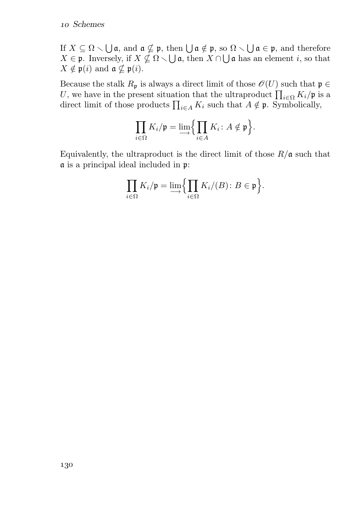If  $X \subseteq \Omega \setminus \bigcup \mathfrak{a}$ , and  $\mathfrak{a} \nsubseteq \mathfrak{p}$ , then  $\bigcup \mathfrak{a} \notin \mathfrak{p}$ , so  $\Omega \setminus \bigcup \mathfrak{a} \in \mathfrak{p}$ , and therefore  $X \in \mathfrak{p}$ . Inversely, if  $X \nsubseteq \Omega \setminus \bigcup \mathfrak{a}$ , then  $X \cap \bigcup \mathfrak{a}$  has an element i, so that  $X \notin \mathfrak{p}(i)$  and  $\mathfrak{a} \nsubseteq \mathfrak{p}(i)$ .

Because the stalk  $R_p$  is always a direct limit of those  $\mathscr{O}(U)$  such that  $\mathfrak{p} \in$ U, we have in the present situation that the ultraproduct  $\prod_{i\in\Omega} K_i/\mathfrak{p}$  is a direct limit of those products  $\prod_{i\in A} K_i$  such that  $A \notin \mathfrak{p}$ . Symbolically,

$$
\prod_{i\in\Omega}K_i/\mathfrak{p}=\lim_{i\in A}\Bigl\{\prod_{i\in A}K_i\colon A\notin\mathfrak{p}\Bigl\}.
$$

Equivalently, the ultraproduct is the direct limit of those  $R/\mathfrak{a}$  such that  $\frak a$  is a principal ideal included in  $\frak p:$ 

$$
\prod_{i\in\Omega}K_i/\mathfrak{p}=\lim_{\longrightarrow}\Big{\{\prod_{i\in\Omega}K_i/(B)\colon B\in\mathfrak{p}\Big}}.
$$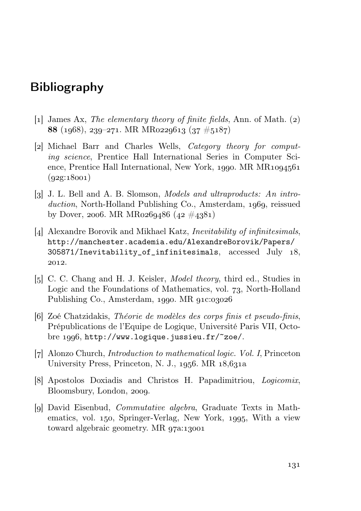# Bibliography

- [1] James Ax, The elementary theory of finite fields, Ann. of Math.  $(2)$ 88 (1968), 239–271. MR MR0229613 (37  $\#5187$ )
- [2] Michael Barr and Charles Wells, *Category theory for comput*ing science, Prentice Hall International Series in Computer Science, Prentice Hall International, New York, 1990. MR  $MR1094561$  $(q2g:18001)$
- $\lbrack 3 \rbrack$  J. L. Bell and A. B. Slomson, *Models and ultraproducts: An intro*duction, North-Holland Publishing Co., Amsterdam, 1969, reissued by Dover, 2006. MR MR0269486  $(42 \#4381)$
- [4] Alexandre Borovik and Mikhael Katz, *Inevitability of infinitesimals*, http://manchester.academia.edu/AlexandreBorovik/Papers/ 305871/Inevitability\_of\_infinitesimals, accessed July 18, 2012.
- [5] C. C. Chang and H. J. Keisler, *Model theory*, third ed., Studies in Logic and the Foundations of Mathematics, vol. 73, North-Holland Publishing Co., Amsterdam, 1990. MR 91c:03026
- [6] Zoé Chatzidakis, Théorie de modèles des corps finis et pseudo-finis, Prépublications de l'Equipe de Logique, Université Paris VII, Octobre 1996, http://www.logique.jussieu.fr/~zoe/.
- [7] Alonzo Church, *Introduction to mathematical logic. Vol. I*, Princeton University Press, Princeton, N. J., 1956. MR  $18,631a$
- [8] Apostolos Doxiadis and Christos H. Papadimitriou, *Logicomix*, Bloomsbury, London, 2009.
- [9] David Eisenbud, *Commutative algebra*, Graduate Texts in Mathematics, vol. 150, Springer-Verlag, New York, 1995, With a view toward algebraic geometry. MR  $q7a:13001$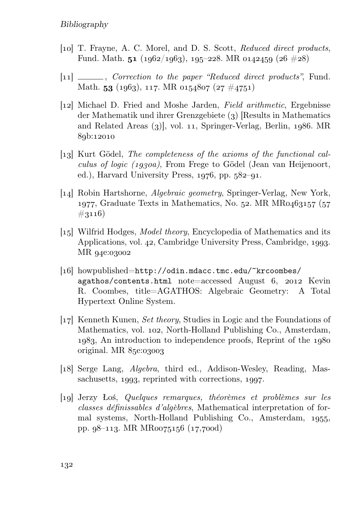- [10] T. Frayne, A. C. Morel, and D. S. Scott, Reduced direct products, Fund. Math. 51 ( $1962/1963$ ),  $195-228$ . MR  $0142459$  ( $26 \neq 28$ )
- $[11]$  \_\_\_\_\_, Correction to the paper "Reduced direct products", Fund. Math. 53 (1963), 117. MR 0154807 (27  $\#$ 4751)
- [] Michael D. Fried and Moshe Jarden, Field arithmetic, Ergebnisse der Mathematik und ihrer Grenzgebiete  $(3)$  [Results in Mathematics and Related Areas  $(3)$ , vol. 11, Springer-Verlag, Berlin, 1986. MR 89b:12010
- [13] Kurt Gödel, *The completeness of the axioms of the functional cal*culus of logic  $(1930a)$ , From Frege to Gödel (Jean van Heijenoort, ed.), Harvard University Press,  $1976$ , pp.  $582 - 91$ .
- [14] Robin Hartshorne, *Algebraic geometry*, Springer-Verlag, New York, 1977, Graduate Texts in Mathematics, No. 52. MR MR0463157  $(57$  $\#3116)$
- [15] Wilfrid Hodges, *Model theory*, Encyclopedia of Mathematics and its Applications, vol. 42, Cambridge University Press, Cambridge, 1993. MR 94e:03002
- [16] howpublished=http://odin.mdacc.tmc.edu/~krcoombes/  $agathos/contents.html$  note=accessed August 6, 2012 Kevin R. Coombes, title=AGATHOS: Algebraic Geometry: A Total Hypertext Online System.
- [ $17$ ] Kenneth Kunen, *Set theory*, Studies in Logic and the Foundations of Mathematics, vol. 102, North-Holland Publishing Co., Amsterdam, 1983, An introduction to independence proofs, Reprint of the 1980 original. MR  $85e:03003$
- [18] Serge Lang, *Algebra*, third ed., Addison-Wesley, Reading, Massachusetts, 1993, reprinted with corrections, 1997.
- [] Jerzy Łoś, Quelques remarques, théorèmes et problèmes sur les classes définissables d'algèbres, Mathematical interpretation of formal systems, North-Holland Publishing Co., Amsterdam, 1955, pp.  $98-113$ . MR MR0075156 (17,700d)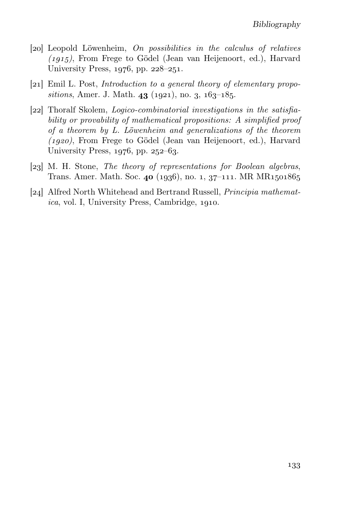- [20] Leopold Löwenheim, On possibilities in the calculus of relatives  $(1915)$ , From Frege to Gödel (Jean van Heijenoort, ed.), Harvard University Press,  $1976$ , pp.  $228-251$ .
- $[21]$  Emil L. Post, *Introduction to a general theory of elementary propo*sitions, Amer. J. Math.  $43$  (1921), no. 3,  $163-185$ .
- [] Thoralf Skolem, Logico-combinatorial investigations in the satisfiability or provability of mathematical propositions: A simplified proof of a theorem by L. Löwenheim and generalizations of the theorem  $(1920)$ , From Frege to Gödel (Jean van Heijenoort, ed.), Harvard University Press,  $1976$ , pp.  $252-63$ .
- [23] M. H. Stone, *The theory of representations for Boolean algebras*, Trans. Amer. Math. Soc. 40 (1936), no. 1, 37–111. MR MR1501865
- [24] Alfred North Whitehead and Bertrand Russell, *Principia mathemat* $ica$ , vol. I, University Press, Cambridge,  $1910$ .